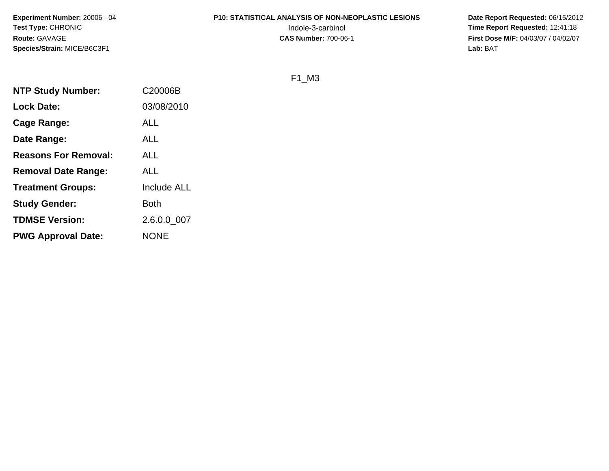**Experiment Number:** 20006 - 04**Test Type:** CHRONIC**Route:** GAVAGE**Species/Strain:** MICE/B6C3F1

# **P10: STATISTICAL ANALYSIS OF NON-NEOPLASTIC LESIONS**

 **Date Report Requested:** 06/15/2012 Indole-3-carbinol **Time Report Requested:** 12:41:18 **First Dose M/F:** 04/03/07 / 04/02/07<br>Lab: BAT **Lab:** BAT

F1\_M3

| <b>NTP Study Number:</b>    | C20006B     |
|-----------------------------|-------------|
| <b>Lock Date:</b>           | 03/08/2010  |
| Cage Range:                 | ALL         |
| Date Range:                 | ALL         |
| <b>Reasons For Removal:</b> | <b>ALL</b>  |
| <b>Removal Date Range:</b>  | <b>ALL</b>  |
| <b>Treatment Groups:</b>    | Include ALL |
| <b>Study Gender:</b>        | <b>Both</b> |
| <b>TDMSE Version:</b>       | 2.6.0.0 007 |
| <b>PWG Approval Date:</b>   | <b>NONE</b> |
|                             |             |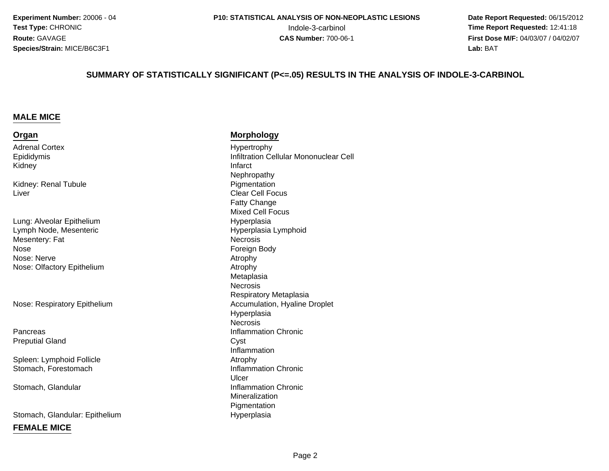**Experiment Number:** 20006 - 04**Test Type:** CHRONIC**Route:** GAVAGE**Species/Strain:** MICE/B6C3F1

 **Date Report Requested:** 06/15/2012 Indole-3-carbinol **Time Report Requested:** 12:41:18 **First Dose M/F:** 04/03/07 / 04/02/07<br>**Lab:** BAT **Lab:** BAT

#### **SUMMARY OF STATISTICALLY SIGNIFICANT (P<=.05) RESULTS IN THE ANALYSIS OF INDOLE-3-CARBINOL**

#### **MALE MICE**

#### **Organ**

Adrenal CortexEpididymisKidneyy and the contract of the contract of the contract of the contract of the contract of the contract of the contract of the contract of the contract of the contract of the contract of the contract of the contract of the cont

Kidney: Renal TubuleLiver

Lung: Alveolar EpitheliumLymph Node, MesentericMesentery: Fate the contract of the contract of the Foreign Body of the contract of the contract of the contract of the contract of the contract of the contract of the contract of the contract of the contract of the contract of the cont NoseNose: Nervee Atrophy Nose: Olfactory Epithelium

Nose: Respiratory Epithelium

**Pancreas** Preputial Gland

Spleen: Lymphoid FollicleStomach, Forestomach

Stomach, Glandular

Stomach, Glandular: Epithelium

#### **FEMALE MICE**

**Morphology**

 Hypertrophy Infiltration Cellular Mononuclear Cell Nephropathye Pigmentation Clear Cell FocusFatty Change Mixed Cell Focus Hyperplasia Hyperplasia Lymphoid**Necrosis**  Atrophy MetaplasiaNecrosis Respiratory Metaplasiam Accumulation, Hyaline Droplet<br> Hyperplasia**Necrosis** s and the contract of the contract of the line of the contract of the contract of the contract of the contract of the contract of the contract of the contract of the contract of the contract of the contract of the contract d Cyst Inflammation Atrophy Inflammation Chronic Ulcer**Inflammation Chronic** Mineralization Pigmentationm Hyperplasia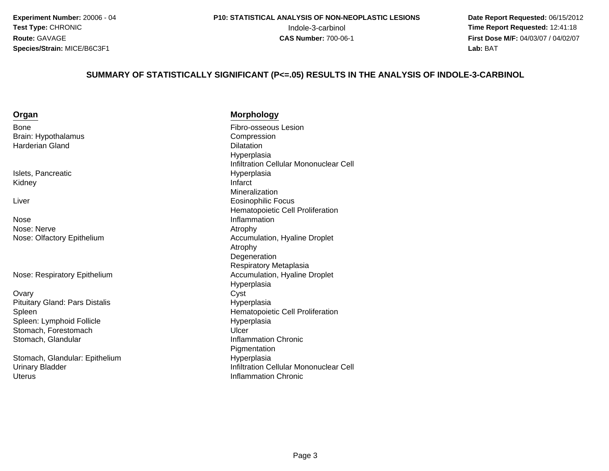**Date Report Requested:** 06/15/2012 **First Dose M/F:** 04/03/07 / 04/02/07<br>**Lab:** BAT **Lab:** BAT

#### **SUMMARY OF STATISTICALLY SIGNIFICANT (P<=.05) RESULTS IN THE ANALYSIS OF INDOLE-3-CARBINOL**

| ×<br>۰. | ×<br>٧ |  |
|---------|--------|--|
|         |        |  |

BoneBrain: HypothalamusHarderian Gland

Islets, PancreaticKidneyy and the contract of the contract of the contract of the contract of the contract of the contract of the contract of the contract of the contract of the contract of the contract of the contract of the contract of the cont

Liver

NoseNose: Nervee Atrophy Nose: Olfactory Epithelium

Nose: Respiratory Epithelium

**Ovary** y Cyst Pituitary Gland: Pars DistalisSpleenSpleen: Lymphoid FollicleStomach, Forestomachh Ulcer is a strong of the Ulcer in the Ulcer is a strong of the Ulcer in the Ulcer is a strong of the Ulcer i Stomach, Glandular

Stomach, Glandular: EpitheliumUrinary Bladder**Uterus** 

**Morphology**

 Fibro-osseous Lesion Compression<br>Dilatation d Dilatation Hyperplasia Infiltration Cellular Mononuclear CellHyperplasia<br>Infarct Mineralizationr and the contract of the contract of the Eosinophilic Focus Hematopoietic Cell ProliferationInflammation<br>Atrophy Accumulation, Hyaline Droplet Atrophy Degeneration Respiratory Metaplasiam and the communition, Hyaline Droplet<br>Hunomiasie Hyperplasia<br>Cyst Hyperplasian **Hematopoietic Cell Proliferation**  Hyperplasia Inflammation Chronic**Pigmentation** m Hyperplasia<br>Latitudina C Infiltration Cellular Mononuclear Cell Inflammation Chronic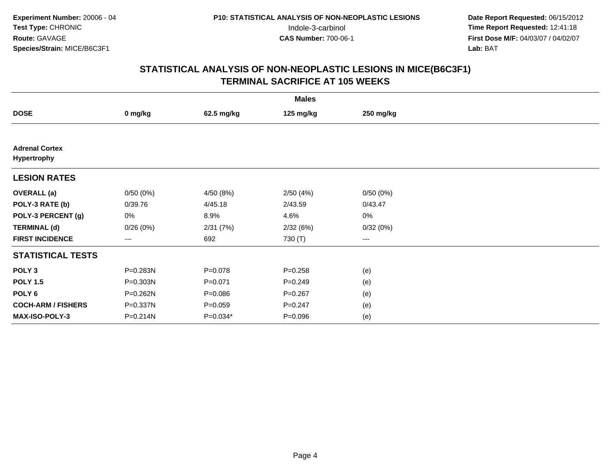| <b>Males</b>                         |              |             |             |                   |  |  |
|--------------------------------------|--------------|-------------|-------------|-------------------|--|--|
| <b>DOSE</b>                          | 0 mg/kg      | 62.5 mg/kg  | 125 mg/kg   | 250 mg/kg         |  |  |
|                                      |              |             |             |                   |  |  |
| <b>Adrenal Cortex</b><br>Hypertrophy |              |             |             |                   |  |  |
| <b>LESION RATES</b>                  |              |             |             |                   |  |  |
| <b>OVERALL</b> (a)                   | 0/50(0%)     | 4/50 (8%)   | 2/50(4%)    | 0/50(0%)          |  |  |
| POLY-3 RATE (b)                      | 0/39.76      | 4/45.18     | 2/43.59     | 0/43.47           |  |  |
| POLY-3 PERCENT (g)                   | 0%           | 8.9%        | 4.6%        | 0%                |  |  |
| <b>TERMINAL (d)</b>                  | 0/26(0%)     | 2/31(7%)    | 2/32(6%)    | 0/32(0%)          |  |  |
| <b>FIRST INCIDENCE</b>               | $---$        | 692         | 730 (T)     | $\qquad \qquad -$ |  |  |
| <b>STATISTICAL TESTS</b>             |              |             |             |                   |  |  |
| POLY <sub>3</sub>                    | P=0.283N     | $P = 0.078$ | $P = 0.258$ | (e)               |  |  |
| <b>POLY 1.5</b>                      | $P = 0.303N$ | $P = 0.071$ | $P = 0.249$ | (e)               |  |  |
| POLY <sub>6</sub>                    | P=0.262N     | $P = 0.086$ | $P = 0.267$ | (e)               |  |  |
| <b>COCH-ARM / FISHERS</b>            | P=0.337N     | $P = 0.059$ | $P = 0.247$ | (e)               |  |  |
| <b>MAX-ISO-POLY-3</b>                | P=0.214N     | $P=0.034*$  | $P = 0.096$ | (e)               |  |  |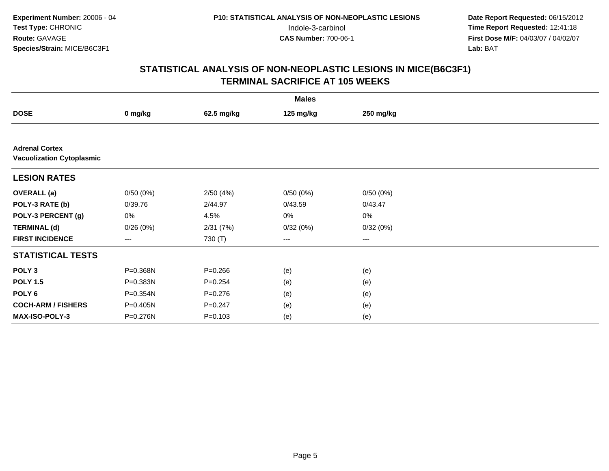| <b>Males</b>                                              |          |             |                   |           |  |  |
|-----------------------------------------------------------|----------|-------------|-------------------|-----------|--|--|
| <b>DOSE</b>                                               | 0 mg/kg  | 62.5 mg/kg  | 125 mg/kg         | 250 mg/kg |  |  |
|                                                           |          |             |                   |           |  |  |
| <b>Adrenal Cortex</b><br><b>Vacuolization Cytoplasmic</b> |          |             |                   |           |  |  |
| <b>LESION RATES</b>                                       |          |             |                   |           |  |  |
| <b>OVERALL</b> (a)                                        | 0/50(0%) | 2/50(4%)    | 0/50(0%)          | 0/50(0%)  |  |  |
| POLY-3 RATE (b)                                           | 0/39.76  | 2/44.97     | 0/43.59           | 0/43.47   |  |  |
| POLY-3 PERCENT (g)                                        | 0%       | 4.5%        | 0%                | $0\%$     |  |  |
| <b>TERMINAL (d)</b>                                       | 0/26(0%) | 2/31(7%)    | 0/32(0%)          | 0/32(0%)  |  |  |
| <b>FIRST INCIDENCE</b>                                    | ---      | 730 (T)     | $\qquad \qquad -$ | $---$     |  |  |
| <b>STATISTICAL TESTS</b>                                  |          |             |                   |           |  |  |
| POLY <sub>3</sub>                                         | P=0.368N | $P = 0.266$ | (e)               | (e)       |  |  |
| <b>POLY 1.5</b>                                           | P=0.383N | $P = 0.254$ | (e)               | (e)       |  |  |
| POLY 6                                                    | P=0.354N | $P = 0.276$ | (e)               | (e)       |  |  |
| <b>COCH-ARM / FISHERS</b>                                 | P=0.405N | $P = 0.247$ | (e)               | (e)       |  |  |
| <b>MAX-ISO-POLY-3</b>                                     | P=0.276N | $P = 0.103$ | (e)               | (e)       |  |  |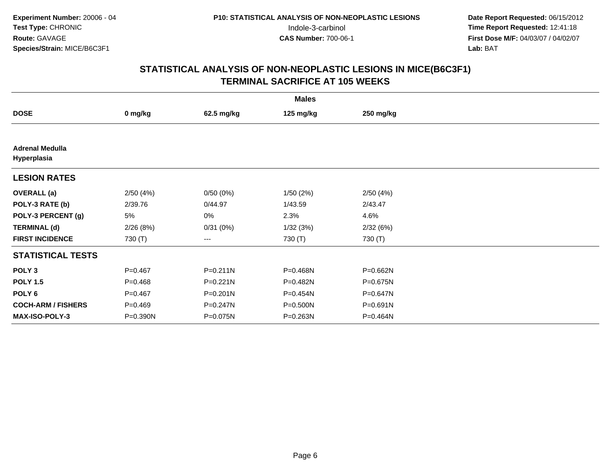| <b>Males</b>                          |             |              |              |              |  |  |
|---------------------------------------|-------------|--------------|--------------|--------------|--|--|
| <b>DOSE</b>                           | 0 mg/kg     | 62.5 mg/kg   | 125 mg/kg    | 250 mg/kg    |  |  |
|                                       |             |              |              |              |  |  |
| <b>Adrenal Medulla</b><br>Hyperplasia |             |              |              |              |  |  |
| <b>LESION RATES</b>                   |             |              |              |              |  |  |
| <b>OVERALL</b> (a)                    | 2/50(4%)    | 0/50(0%)     | 1/50(2%)     | 2/50(4%)     |  |  |
| POLY-3 RATE (b)                       | 2/39.76     | 0/44.97      | 1/43.59      | 2/43.47      |  |  |
| POLY-3 PERCENT (g)                    | 5%          | 0%           | 2.3%         | 4.6%         |  |  |
| <b>TERMINAL (d)</b>                   | 2/26(8%)    | 0/31(0%)     | 1/32(3%)     | 2/32(6%)     |  |  |
| <b>FIRST INCIDENCE</b>                | 730 (T)     | $--$         | 730 (T)      | 730 (T)      |  |  |
| <b>STATISTICAL TESTS</b>              |             |              |              |              |  |  |
| POLY <sub>3</sub>                     | $P = 0.467$ | $P = 0.211N$ | P=0.468N     | P=0.662N     |  |  |
| <b>POLY 1.5</b>                       | $P=0.468$   | $P = 0.221N$ | $P=0.482N$   | P=0.675N     |  |  |
| POLY <sub>6</sub>                     | $P=0.467$   | P=0.201N     | P=0.454N     | P=0.647N     |  |  |
| <b>COCH-ARM / FISHERS</b>             | $P=0.469$   | P=0.247N     | P=0.500N     | $P = 0.691N$ |  |  |
| <b>MAX-ISO-POLY-3</b>                 | P=0.390N    | P=0.075N     | $P = 0.263N$ | P=0.464N     |  |  |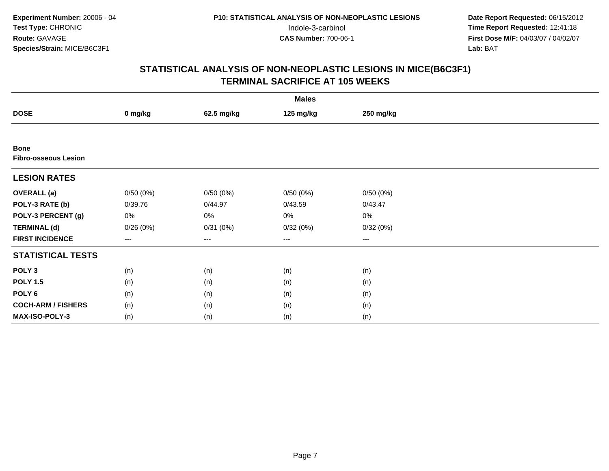| <b>Males</b>                               |          |                   |           |           |  |  |
|--------------------------------------------|----------|-------------------|-----------|-----------|--|--|
| <b>DOSE</b>                                | 0 mg/kg  | 62.5 mg/kg        | 125 mg/kg | 250 mg/kg |  |  |
|                                            |          |                   |           |           |  |  |
| <b>Bone</b><br><b>Fibro-osseous Lesion</b> |          |                   |           |           |  |  |
| <b>LESION RATES</b>                        |          |                   |           |           |  |  |
| <b>OVERALL</b> (a)                         | 0/50(0%) | 0/50(0%)          | 0/50(0%)  | 0/50(0%)  |  |  |
| POLY-3 RATE (b)                            | 0/39.76  | 0/44.97           | 0/43.59   | 0/43.47   |  |  |
| POLY-3 PERCENT (g)                         | 0%       | 0%                | 0%        | 0%        |  |  |
| <b>TERMINAL (d)</b>                        | 0/26(0%) | 0/31(0%)          | 0/32(0%)  | 0/32(0%)  |  |  |
| <b>FIRST INCIDENCE</b>                     | $---$    | $\qquad \qquad -$ | ---       | $\cdots$  |  |  |
| <b>STATISTICAL TESTS</b>                   |          |                   |           |           |  |  |
| POLY <sub>3</sub>                          | (n)      | (n)               | (n)       | (n)       |  |  |
| <b>POLY 1.5</b>                            | (n)      | (n)               | (n)       | (n)       |  |  |
| POLY <sub>6</sub>                          | (n)      | (n)               | (n)       | (n)       |  |  |
| <b>COCH-ARM / FISHERS</b>                  | (n)      | (n)               | (n)       | (n)       |  |  |
| MAX-ISO-POLY-3                             | (n)      | (n)               | (n)       | (n)       |  |  |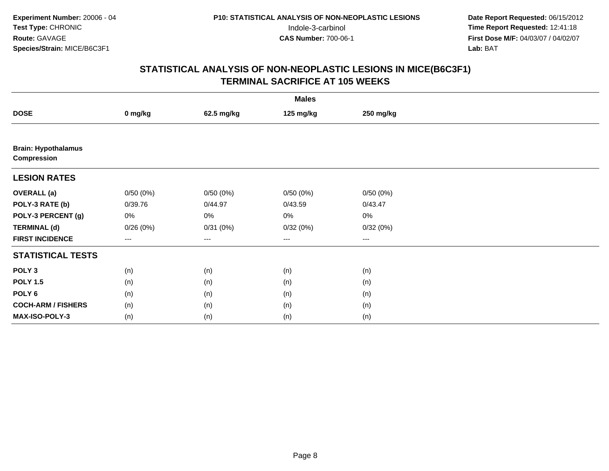| <b>Males</b>                              |                        |            |           |           |  |  |
|-------------------------------------------|------------------------|------------|-----------|-----------|--|--|
| <b>DOSE</b>                               | 0 mg/kg                | 62.5 mg/kg | 125 mg/kg | 250 mg/kg |  |  |
|                                           |                        |            |           |           |  |  |
| <b>Brain: Hypothalamus</b><br>Compression |                        |            |           |           |  |  |
| <b>LESION RATES</b>                       |                        |            |           |           |  |  |
| <b>OVERALL</b> (a)                        | 0/50(0%)               | 0/50(0%)   | 0/50(0%)  | 0/50(0%)  |  |  |
| POLY-3 RATE (b)                           | 0/39.76                | 0/44.97    | 0/43.59   | 0/43.47   |  |  |
| POLY-3 PERCENT (g)                        | $0\%$                  | $0\%$      | 0%        | 0%        |  |  |
| <b>TERMINAL (d)</b>                       | 0/26(0%)               | 0/31(0%)   | 0/32(0%)  | 0/32(0%)  |  |  |
| <b>FIRST INCIDENCE</b>                    | $\qquad \qquad \cdots$ | $---$      | ---       | $--$      |  |  |
| <b>STATISTICAL TESTS</b>                  |                        |            |           |           |  |  |
| POLY <sub>3</sub>                         | (n)                    | (n)        | (n)       | (n)       |  |  |
| <b>POLY 1.5</b>                           | (n)                    | (n)        | (n)       | (n)       |  |  |
| POLY <sub>6</sub>                         | (n)                    | (n)        | (n)       | (n)       |  |  |
| <b>COCH-ARM / FISHERS</b>                 | (n)                    | (n)        | (n)       | (n)       |  |  |
| MAX-ISO-POLY-3                            | (n)                    | (n)        | (n)       | (n)       |  |  |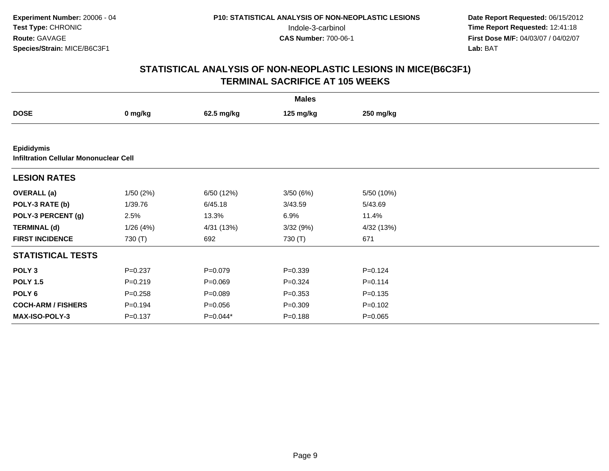|                           |                                               |             | <b>Males</b> |             |  |  |  |  |
|---------------------------|-----------------------------------------------|-------------|--------------|-------------|--|--|--|--|
| <b>DOSE</b>               | 0 mg/kg                                       | 62.5 mg/kg  | 125 mg/kg    | 250 mg/kg   |  |  |  |  |
|                           |                                               |             |              |             |  |  |  |  |
| <b>Epididymis</b>         | <b>Infiltration Cellular Mononuclear Cell</b> |             |              |             |  |  |  |  |
| <b>LESION RATES</b>       |                                               |             |              |             |  |  |  |  |
| <b>OVERALL</b> (a)        | 1/50(2%)                                      | 6/50 (12%)  | 3/50(6%)     | 5/50 (10%)  |  |  |  |  |
| POLY-3 RATE (b)           | 1/39.76                                       | 6/45.18     | 3/43.59      | 5/43.69     |  |  |  |  |
| POLY-3 PERCENT (g)        | 2.5%                                          | 13.3%       | 6.9%         | 11.4%       |  |  |  |  |
| <b>TERMINAL (d)</b>       | 1/26(4%)                                      | 4/31 (13%)  | 3/32(9%)     | 4/32 (13%)  |  |  |  |  |
| <b>FIRST INCIDENCE</b>    | 730 (T)                                       | 692         | 730 (T)      | 671         |  |  |  |  |
| <b>STATISTICAL TESTS</b>  |                                               |             |              |             |  |  |  |  |
| POLY <sub>3</sub>         | $P = 0.237$                                   | $P = 0.079$ | $P = 0.339$  | $P = 0.124$ |  |  |  |  |
| <b>POLY 1.5</b>           | $P = 0.219$                                   | $P = 0.069$ | $P = 0.324$  | $P = 0.114$ |  |  |  |  |
| POLY 6                    | $P = 0.258$                                   | $P = 0.089$ | $P = 0.353$  | $P = 0.135$ |  |  |  |  |
| <b>COCH-ARM / FISHERS</b> | $P = 0.194$                                   | $P = 0.056$ | $P = 0.309$  | $P = 0.102$ |  |  |  |  |
| <b>MAX-ISO-POLY-3</b>     | $P = 0.137$                                   | P=0.044*    | $P = 0.188$  | $P = 0.065$ |  |  |  |  |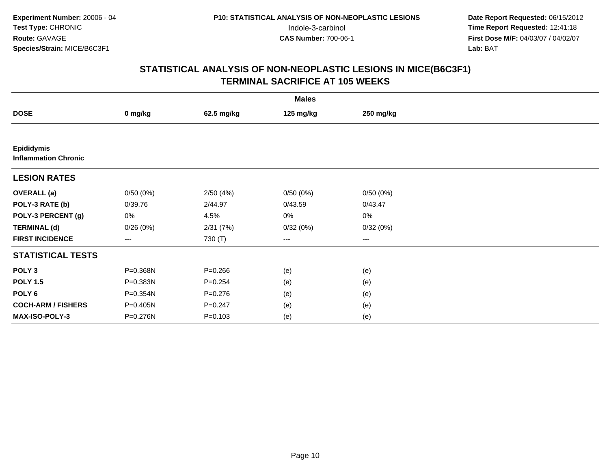| <b>Males</b>                                     |          |             |           |                        |  |  |
|--------------------------------------------------|----------|-------------|-----------|------------------------|--|--|
| <b>DOSE</b>                                      | 0 mg/kg  | 62.5 mg/kg  | 125 mg/kg | 250 mg/kg              |  |  |
|                                                  |          |             |           |                        |  |  |
| <b>Epididymis</b><br><b>Inflammation Chronic</b> |          |             |           |                        |  |  |
| <b>LESION RATES</b>                              |          |             |           |                        |  |  |
| <b>OVERALL</b> (a)                               | 0/50(0%) | 2/50(4%)    | 0/50(0%)  | 0/50(0%)               |  |  |
| POLY-3 RATE (b)                                  | 0/39.76  | 2/44.97     | 0/43.59   | 0/43.47                |  |  |
| POLY-3 PERCENT (g)                               | 0%       | 4.5%        | 0%        | 0%                     |  |  |
| <b>TERMINAL (d)</b>                              | 0/26(0%) | 2/31(7%)    | 0/32(0%)  | 0/32(0%)               |  |  |
| <b>FIRST INCIDENCE</b>                           | $--$     | 730 (T)     | ---       | $\qquad \qquad \cdots$ |  |  |
| <b>STATISTICAL TESTS</b>                         |          |             |           |                        |  |  |
| POLY <sub>3</sub>                                | P=0.368N | $P = 0.266$ | (e)       | (e)                    |  |  |
| <b>POLY 1.5</b>                                  | P=0.383N | $P = 0.254$ | (e)       | (e)                    |  |  |
| POLY <sub>6</sub>                                | P=0.354N | $P = 0.276$ | (e)       | (e)                    |  |  |
| <b>COCH-ARM / FISHERS</b>                        | P=0.405N | $P = 0.247$ | (e)       | (e)                    |  |  |
| MAX-ISO-POLY-3                                   | P=0.276N | $P = 0.103$ | (e)       | (e)                    |  |  |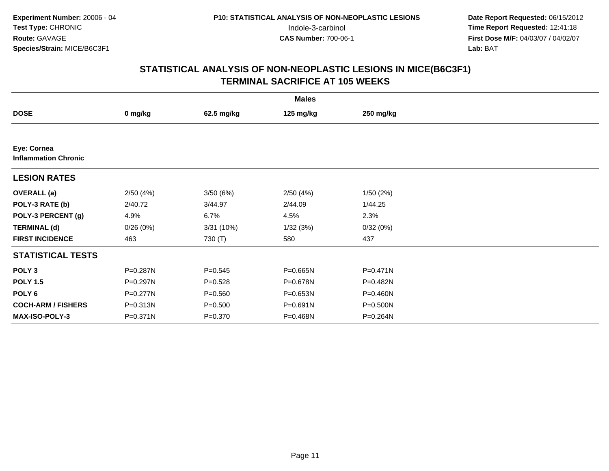| <b>Males</b>                               |              |             |              |              |  |  |
|--------------------------------------------|--------------|-------------|--------------|--------------|--|--|
| <b>DOSE</b>                                | 0 mg/kg      | 62.5 mg/kg  | 125 mg/kg    | 250 mg/kg    |  |  |
|                                            |              |             |              |              |  |  |
| Eye: Cornea<br><b>Inflammation Chronic</b> |              |             |              |              |  |  |
| <b>LESION RATES</b>                        |              |             |              |              |  |  |
| <b>OVERALL</b> (a)                         | 2/50(4%)     | 3/50(6%)    | 2/50(4%)     | 1/50(2%)     |  |  |
| POLY-3 RATE (b)                            | 2/40.72      | 3/44.97     | 2/44.09      | 1/44.25      |  |  |
| POLY-3 PERCENT (g)                         | 4.9%         | 6.7%        | 4.5%         | 2.3%         |  |  |
| <b>TERMINAL (d)</b>                        | 0/26(0%)     | 3/31(10%)   | 1/32(3%)     | 0/32(0%)     |  |  |
| <b>FIRST INCIDENCE</b>                     | 463          | 730 (T)     | 580          | 437          |  |  |
| <b>STATISTICAL TESTS</b>                   |              |             |              |              |  |  |
| POLY <sub>3</sub>                          | P=0.287N     | $P=0.545$   | $P = 0.665N$ | $P = 0.471N$ |  |  |
| <b>POLY 1.5</b>                            | P=0.297N     | $P=0.528$   | P=0.678N     | P=0.482N     |  |  |
| POLY 6                                     | $P = 0.277N$ | $P = 0.560$ | P=0.653N     | $P = 0.460N$ |  |  |
| <b>COCH-ARM / FISHERS</b>                  | P=0.313N     | $P = 0.500$ | P=0.691N     | P=0.500N     |  |  |
| MAX-ISO-POLY-3                             | P=0.371N     | $P = 0.370$ | P=0.468N     | P=0.264N     |  |  |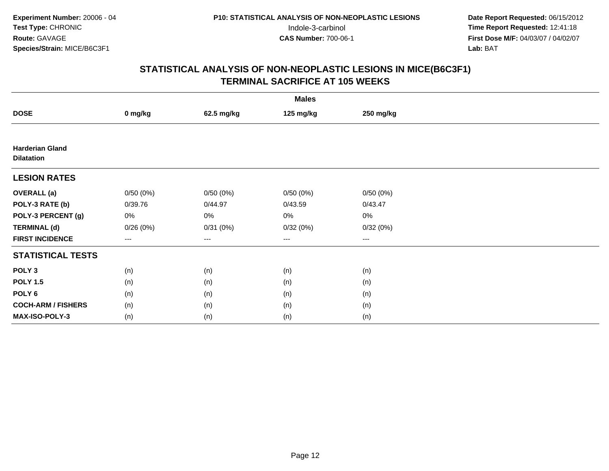| <b>Males</b>                                |          |            |           |           |  |  |
|---------------------------------------------|----------|------------|-----------|-----------|--|--|
| <b>DOSE</b>                                 | 0 mg/kg  | 62.5 mg/kg | 125 mg/kg | 250 mg/kg |  |  |
|                                             |          |            |           |           |  |  |
| <b>Harderian Gland</b><br><b>Dilatation</b> |          |            |           |           |  |  |
| <b>LESION RATES</b>                         |          |            |           |           |  |  |
| <b>OVERALL</b> (a)                          | 0/50(0%) | 0/50(0%)   | 0/50(0%)  | 0/50(0%)  |  |  |
| POLY-3 RATE (b)                             | 0/39.76  | 0/44.97    | 0/43.59   | 0/43.47   |  |  |
| POLY-3 PERCENT (g)                          | 0%       | 0%         | 0%        | 0%        |  |  |
| <b>TERMINAL (d)</b>                         | 0/26(0%) | 0/31(0%)   | 0/32(0%)  | 0/32(0%)  |  |  |
| <b>FIRST INCIDENCE</b>                      | $--$     | $---$      | $---$     | $\cdots$  |  |  |
| <b>STATISTICAL TESTS</b>                    |          |            |           |           |  |  |
| POLY <sub>3</sub>                           | (n)      | (n)        | (n)       | (n)       |  |  |
| <b>POLY 1.5</b>                             | (n)      | (n)        | (n)       | (n)       |  |  |
| POLY <sub>6</sub>                           | (n)      | (n)        | (n)       | (n)       |  |  |
| <b>COCH-ARM / FISHERS</b>                   | (n)      | (n)        | (n)       | (n)       |  |  |
| MAX-ISO-POLY-3                              | (n)      | (n)        | (n)       | (n)       |  |  |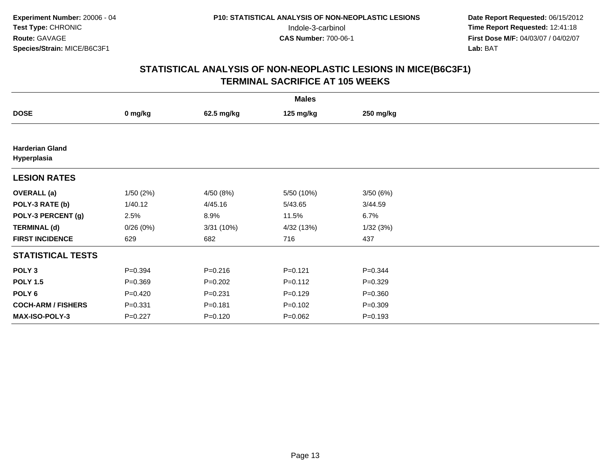|                                       |             |             | <b>Males</b> |             |  |
|---------------------------------------|-------------|-------------|--------------|-------------|--|
| <b>DOSE</b>                           | 0 mg/kg     | 62.5 mg/kg  | 125 mg/kg    | 250 mg/kg   |  |
|                                       |             |             |              |             |  |
| <b>Harderian Gland</b><br>Hyperplasia |             |             |              |             |  |
| <b>LESION RATES</b>                   |             |             |              |             |  |
| <b>OVERALL</b> (a)                    | 1/50(2%)    | 4/50 (8%)   | 5/50 (10%)   | 3/50(6%)    |  |
| POLY-3 RATE (b)                       | 1/40.12     | 4/45.16     | 5/43.65      | 3/44.59     |  |
| POLY-3 PERCENT (g)                    | 2.5%        | 8.9%        | 11.5%        | 6.7%        |  |
| <b>TERMINAL (d)</b>                   | 0/26(0%)    | 3/31 (10%)  | 4/32 (13%)   | 1/32(3%)    |  |
| <b>FIRST INCIDENCE</b>                | 629         | 682         | 716          | 437         |  |
| <b>STATISTICAL TESTS</b>              |             |             |              |             |  |
| POLY <sub>3</sub>                     | $P = 0.394$ | $P = 0.216$ | $P = 0.121$  | $P=0.344$   |  |
| <b>POLY 1.5</b>                       | $P = 0.369$ | $P=0.202$   | $P=0.112$    | $P=0.329$   |  |
| POLY <sub>6</sub>                     | $P=0.420$   | $P = 0.231$ | $P=0.129$    | $P = 0.360$ |  |
| <b>COCH-ARM / FISHERS</b>             | $P = 0.331$ | $P = 0.181$ | $P = 0.102$  | $P = 0.309$ |  |
| MAX-ISO-POLY-3                        | $P=0.227$   | $P = 0.120$ | $P = 0.062$  | $P = 0.193$ |  |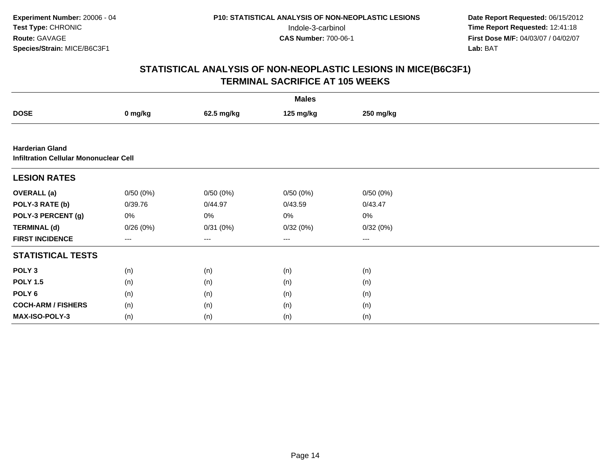| <b>Males</b>                                                            |          |            |                   |           |  |  |  |
|-------------------------------------------------------------------------|----------|------------|-------------------|-----------|--|--|--|
| <b>DOSE</b>                                                             | 0 mg/kg  | 62.5 mg/kg | 125 mg/kg         | 250 mg/kg |  |  |  |
|                                                                         |          |            |                   |           |  |  |  |
| <b>Harderian Gland</b><br><b>Infiltration Cellular Mononuclear Cell</b> |          |            |                   |           |  |  |  |
| <b>LESION RATES</b>                                                     |          |            |                   |           |  |  |  |
| <b>OVERALL</b> (a)                                                      | 0/50(0%) | 0/50(0%)   | 0/50(0%)          | 0/50(0%)  |  |  |  |
| POLY-3 RATE (b)                                                         | 0/39.76  | 0/44.97    | 0/43.59           | 0/43.47   |  |  |  |
| POLY-3 PERCENT (g)                                                      | 0%       | 0%         | 0%                | $0\%$     |  |  |  |
| <b>TERMINAL (d)</b>                                                     | 0/26(0%) | 0/31(0%)   | 0/32(0%)          | 0/32(0%)  |  |  |  |
| <b>FIRST INCIDENCE</b>                                                  | ---      | ---        | $\qquad \qquad -$ | $---$     |  |  |  |
| <b>STATISTICAL TESTS</b>                                                |          |            |                   |           |  |  |  |
| POLY <sub>3</sub>                                                       | (n)      | (n)        | (n)               | (n)       |  |  |  |
| <b>POLY 1.5</b>                                                         | (n)      | (n)        | (n)               | (n)       |  |  |  |
| POLY 6                                                                  | (n)      | (n)        | (n)               | (n)       |  |  |  |
| <b>COCH-ARM / FISHERS</b>                                               | (n)      | (n)        | (n)               | (n)       |  |  |  |
| MAX-ISO-POLY-3                                                          | (n)      | (n)        | (n)               | (n)       |  |  |  |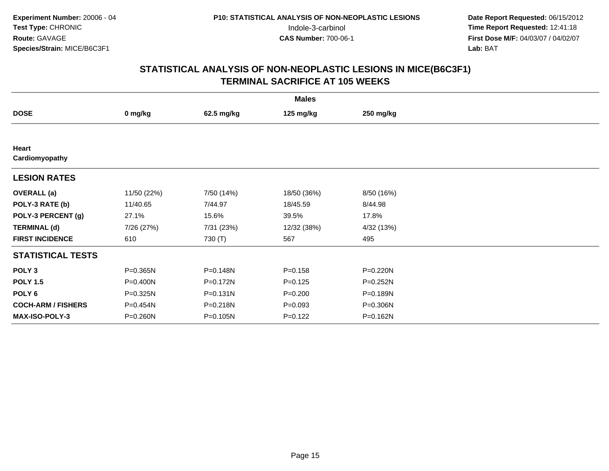|                           |             |              | <b>Males</b> |            |  |
|---------------------------|-------------|--------------|--------------|------------|--|
| <b>DOSE</b>               | 0 mg/kg     | 62.5 mg/kg   | 125 mg/kg    | 250 mg/kg  |  |
|                           |             |              |              |            |  |
| Heart<br>Cardiomyopathy   |             |              |              |            |  |
| <b>LESION RATES</b>       |             |              |              |            |  |
| <b>OVERALL</b> (a)        | 11/50 (22%) | 7/50 (14%)   | 18/50 (36%)  | 8/50 (16%) |  |
| POLY-3 RATE (b)           | 11/40.65    | 7/44.97      | 18/45.59     | 8/44.98    |  |
| POLY-3 PERCENT (g)        | 27.1%       | 15.6%        | 39.5%        | 17.8%      |  |
| <b>TERMINAL (d)</b>       | 7/26 (27%)  | 7/31 (23%)   | 12/32 (38%)  | 4/32 (13%) |  |
| <b>FIRST INCIDENCE</b>    | 610         | 730 (T)      | 567          | 495        |  |
| <b>STATISTICAL TESTS</b>  |             |              |              |            |  |
| POLY <sub>3</sub>         | P=0.365N    | P=0.148N     | $P = 0.158$  | P=0.220N   |  |
| <b>POLY 1.5</b>           | P=0.400N    | P=0.172N     | $P = 0.125$  | P=0.252N   |  |
| POLY <sub>6</sub>         | P=0.325N    | $P = 0.131N$ | $P = 0.200$  | P=0.189N   |  |
| <b>COCH-ARM / FISHERS</b> | P=0.454N    | P=0.218N     | $P = 0.093$  | P=0.306N   |  |
| <b>MAX-ISO-POLY-3</b>     | P=0.260N    | P=0.105N     | $P = 0.122$  | P=0.162N   |  |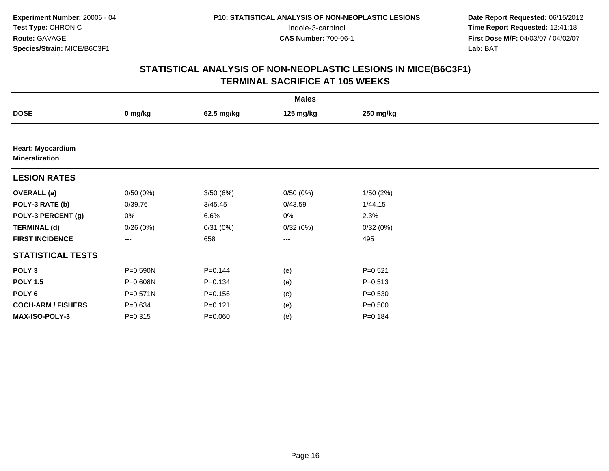| <b>Males</b>                                      |             |             |           |             |  |  |  |
|---------------------------------------------------|-------------|-------------|-----------|-------------|--|--|--|
| <b>DOSE</b>                                       | 0 mg/kg     | 62.5 mg/kg  | 125 mg/kg | 250 mg/kg   |  |  |  |
|                                                   |             |             |           |             |  |  |  |
| <b>Heart: Myocardium</b><br><b>Mineralization</b> |             |             |           |             |  |  |  |
| <b>LESION RATES</b>                               |             |             |           |             |  |  |  |
| <b>OVERALL</b> (a)                                | 0/50(0%)    | 3/50(6%)    | 0/50(0%)  | 1/50(2%)    |  |  |  |
| POLY-3 RATE (b)                                   | 0/39.76     | 3/45.45     | 0/43.59   | 1/44.15     |  |  |  |
| POLY-3 PERCENT (g)                                | 0%          | 6.6%        | 0%        | 2.3%        |  |  |  |
| <b>TERMINAL (d)</b>                               | 0/26(0%)    | 0/31(0%)    | 0/32(0%)  | 0/32(0%)    |  |  |  |
| <b>FIRST INCIDENCE</b>                            | ---         | 658         | $--$      | 495         |  |  |  |
| <b>STATISTICAL TESTS</b>                          |             |             |           |             |  |  |  |
| POLY <sub>3</sub>                                 | P=0.590N    | $P = 0.144$ | (e)       | $P = 0.521$ |  |  |  |
| <b>POLY 1.5</b>                                   | P=0.608N    | $P = 0.134$ | (e)       | $P = 0.513$ |  |  |  |
| POLY 6                                            | P=0.571N    | $P = 0.156$ | (e)       | $P = 0.530$ |  |  |  |
| <b>COCH-ARM / FISHERS</b>                         | $P = 0.634$ | $P = 0.121$ | (e)       | $P = 0.500$ |  |  |  |
| <b>MAX-ISO-POLY-3</b>                             | $P = 0.315$ | $P = 0.060$ | (e)       | $P = 0.184$ |  |  |  |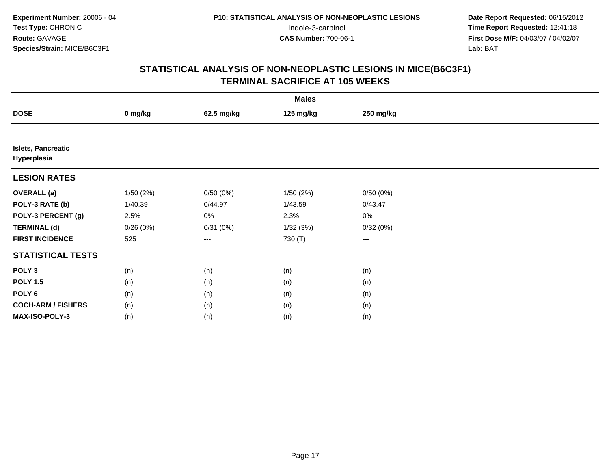|                                          | <b>Males</b> |                   |           |           |  |  |  |  |
|------------------------------------------|--------------|-------------------|-----------|-----------|--|--|--|--|
| <b>DOSE</b>                              | 0 mg/kg      | 62.5 mg/kg        | 125 mg/kg | 250 mg/kg |  |  |  |  |
|                                          |              |                   |           |           |  |  |  |  |
| <b>Islets, Pancreatic</b><br>Hyperplasia |              |                   |           |           |  |  |  |  |
| <b>LESION RATES</b>                      |              |                   |           |           |  |  |  |  |
| <b>OVERALL</b> (a)                       | 1/50(2%)     | 0/50(0%)          | 1/50(2%)  | 0/50(0%)  |  |  |  |  |
| POLY-3 RATE (b)                          | 1/40.39      | 0/44.97           | 1/43.59   | 0/43.47   |  |  |  |  |
| POLY-3 PERCENT (g)                       | 2.5%         | 0%                | 2.3%      | 0%        |  |  |  |  |
| <b>TERMINAL (d)</b>                      | 0/26(0%)     | 0/31(0%)          | 1/32(3%)  | 0/32(0%)  |  |  |  |  |
| <b>FIRST INCIDENCE</b>                   | 525          | $\qquad \qquad -$ | 730 (T)   | $\cdots$  |  |  |  |  |
| <b>STATISTICAL TESTS</b>                 |              |                   |           |           |  |  |  |  |
| POLY <sub>3</sub>                        | (n)          | (n)               | (n)       | (n)       |  |  |  |  |
| <b>POLY 1.5</b>                          | (n)          | (n)               | (n)       | (n)       |  |  |  |  |
| POLY <sub>6</sub>                        | (n)          | (n)               | (n)       | (n)       |  |  |  |  |
| <b>COCH-ARM / FISHERS</b>                | (n)          | (n)               | (n)       | (n)       |  |  |  |  |
| MAX-ISO-POLY-3                           | (n)          | (n)               | (n)       | (n)       |  |  |  |  |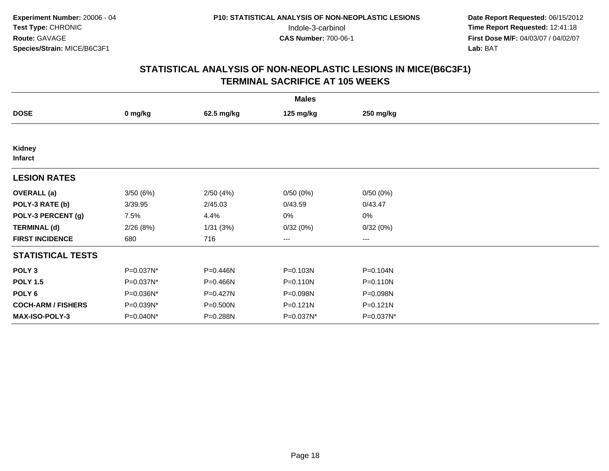| <b>Males</b>              |           |            |           |              |  |  |  |
|---------------------------|-----------|------------|-----------|--------------|--|--|--|
| <b>DOSE</b>               | 0 mg/kg   | 62.5 mg/kg | 125 mg/kg | 250 mg/kg    |  |  |  |
|                           |           |            |           |              |  |  |  |
| Kidney<br><b>Infarct</b>  |           |            |           |              |  |  |  |
| <b>LESION RATES</b>       |           |            |           |              |  |  |  |
| <b>OVERALL</b> (a)        | 3/50(6%)  | 2/50(4%)   | 0/50(0%)  | 0/50(0%)     |  |  |  |
| POLY-3 RATE (b)           | 3/39.95   | 2/45.03    | 0/43.59   | 0/43.47      |  |  |  |
| POLY-3 PERCENT (g)        | 7.5%      | 4.4%       | 0%        | 0%           |  |  |  |
| <b>TERMINAL (d)</b>       | 2/26(8%)  | 1/31(3%)   | 0/32(0%)  | 0/32(0%)     |  |  |  |
| <b>FIRST INCIDENCE</b>    | 680       | 716        | ---       | $--$         |  |  |  |
| <b>STATISTICAL TESTS</b>  |           |            |           |              |  |  |  |
| POLY <sub>3</sub>         | P=0.037N* | P=0.446N   | P=0.103N  | P=0.104N     |  |  |  |
| <b>POLY 1.5</b>           | P=0.037N* | P=0.466N   | P=0.110N  | P=0.110N     |  |  |  |
| POLY <sub>6</sub>         | P=0.036N* | P=0.427N   | P=0.098N  | P=0.098N     |  |  |  |
| <b>COCH-ARM / FISHERS</b> | P=0.039N* | P=0.500N   | P=0.121N  | $P = 0.121N$ |  |  |  |
| <b>MAX-ISO-POLY-3</b>     | P=0.040N* | P=0.288N   | P=0.037N* | P=0.037N*    |  |  |  |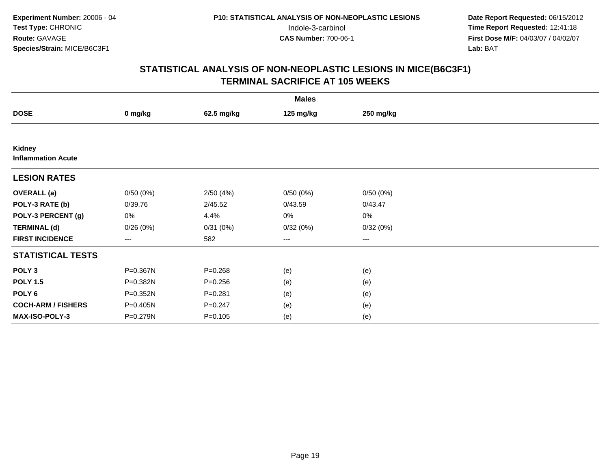## **STATISTICAL ANALYSIS OF NON-NEOPLASTIC LESIONS IN MICE(B6C3F1)TERMINAL SACRIFICE AT 105 WEEKS**

|                                     |                   |             | <b>Males</b> |           |  |
|-------------------------------------|-------------------|-------------|--------------|-----------|--|
| <b>DOSE</b>                         | 0 mg/kg           | 62.5 mg/kg  | 125 mg/kg    | 250 mg/kg |  |
|                                     |                   |             |              |           |  |
| Kidney<br><b>Inflammation Acute</b> |                   |             |              |           |  |
| <b>LESION RATES</b>                 |                   |             |              |           |  |
| <b>OVERALL</b> (a)                  | 0/50(0%)          | 2/50(4%)    | 0/50(0%)     | 0/50(0%)  |  |
| POLY-3 RATE (b)                     | 0/39.76           | 2/45.52     | 0/43.59      | 0/43.47   |  |
| POLY-3 PERCENT (g)                  | 0%                | 4.4%        | 0%           | 0%        |  |
| <b>TERMINAL (d)</b>                 | 0/26(0%)          | 0/31(0%)    | 0/32(0%)     | 0/32(0%)  |  |
| <b>FIRST INCIDENCE</b>              | $\qquad \qquad -$ | 582         | ---          | $---$     |  |
| <b>STATISTICAL TESTS</b>            |                   |             |              |           |  |
| POLY <sub>3</sub>                   | P=0.367N          | $P = 0.268$ | (e)          | (e)       |  |
| <b>POLY 1.5</b>                     | P=0.382N          | $P = 0.256$ | (e)          | (e)       |  |
| POLY <sub>6</sub>                   | P=0.352N          | $P = 0.281$ | (e)          | (e)       |  |
| <b>COCH-ARM / FISHERS</b>           | P=0.405N          | $P = 0.247$ | (e)          | (e)       |  |
| MAX-ISO-POLY-3                      | P=0.279N          | $P = 0.105$ | (e)          | (e)       |  |

Page 19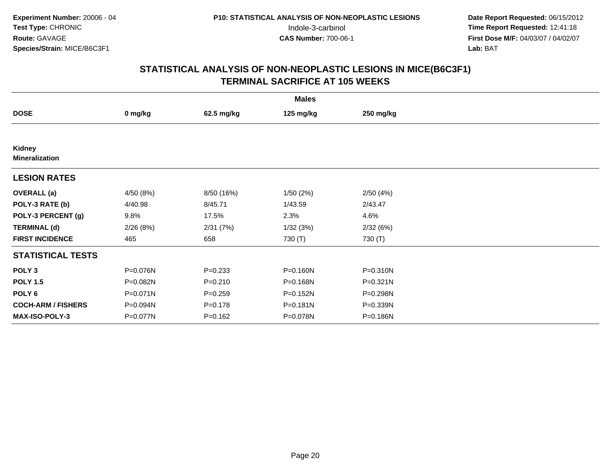|                                 |              |             | <b>Males</b> |              |  |
|---------------------------------|--------------|-------------|--------------|--------------|--|
| <b>DOSE</b>                     | 0 mg/kg      | 62.5 mg/kg  | 125 mg/kg    | 250 mg/kg    |  |
|                                 |              |             |              |              |  |
| Kidney<br><b>Mineralization</b> |              |             |              |              |  |
| <b>LESION RATES</b>             |              |             |              |              |  |
| <b>OVERALL</b> (a)              | 4/50 (8%)    | 8/50 (16%)  | 1/50(2%)     | 2/50(4%)     |  |
| POLY-3 RATE (b)                 | 4/40.98      | 8/45.71     | 1/43.59      | 2/43.47      |  |
| POLY-3 PERCENT (g)              | 9.8%         | 17.5%       | 2.3%         | 4.6%         |  |
| <b>TERMINAL (d)</b>             | 2/26(8%)     | 2/31(7%)    | 1/32(3%)     | 2/32(6%)     |  |
| <b>FIRST INCIDENCE</b>          | 465          | 658         | 730 (T)      | 730 (T)      |  |
| <b>STATISTICAL TESTS</b>        |              |             |              |              |  |
| POLY <sub>3</sub>               | P=0.076N     | $P = 0.233$ | P=0.160N     | P=0.310N     |  |
| <b>POLY 1.5</b>                 | P=0.082N     | $P = 0.210$ | P=0.168N     | $P = 0.321N$ |  |
| POLY <sub>6</sub>               | $P = 0.071N$ | $P = 0.259$ | P=0.152N     | P=0.298N     |  |
| <b>COCH-ARM / FISHERS</b>       | P=0.094N     | $P = 0.178$ | $P = 0.181N$ | P=0.339N     |  |
| MAX-ISO-POLY-3                  | P=0.077N     | $P = 0.162$ | P=0.078N     | P=0.186N     |  |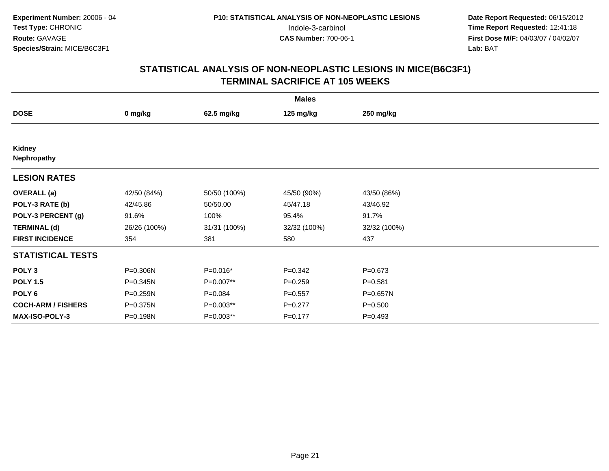| <b>Males</b>              |              |              |              |              |  |  |  |
|---------------------------|--------------|--------------|--------------|--------------|--|--|--|
| <b>DOSE</b>               | 0 mg/kg      | 62.5 mg/kg   | 125 mg/kg    | 250 mg/kg    |  |  |  |
|                           |              |              |              |              |  |  |  |
| Kidney<br>Nephropathy     |              |              |              |              |  |  |  |
| <b>LESION RATES</b>       |              |              |              |              |  |  |  |
| <b>OVERALL</b> (a)        | 42/50 (84%)  | 50/50 (100%) | 45/50 (90%)  | 43/50 (86%)  |  |  |  |
| POLY-3 RATE (b)           | 42/45.86     | 50/50.00     | 45/47.18     | 43/46.92     |  |  |  |
| POLY-3 PERCENT (g)        | 91.6%        | 100%         | 95.4%        | 91.7%        |  |  |  |
| <b>TERMINAL (d)</b>       | 26/26 (100%) | 31/31 (100%) | 32/32 (100%) | 32/32 (100%) |  |  |  |
| <b>FIRST INCIDENCE</b>    | 354          | 381          | 580          | 437          |  |  |  |
| <b>STATISTICAL TESTS</b>  |              |              |              |              |  |  |  |
| POLY <sub>3</sub>         | P=0.306N     | P=0.016*     | $P = 0.342$  | $P = 0.673$  |  |  |  |
| <b>POLY 1.5</b>           | P=0.345N     | P=0.007**    | $P = 0.259$  | $P = 0.581$  |  |  |  |
| POLY <sub>6</sub>         | P=0.259N     | $P = 0.084$  | $P = 0.557$  | P=0.657N     |  |  |  |
| <b>COCH-ARM / FISHERS</b> | P=0.375N     | $P=0.003**$  | $P=0.277$    | $P = 0.500$  |  |  |  |
| <b>MAX-ISO-POLY-3</b>     | P=0.198N     | P=0.003**    | $P = 0.177$  | $P = 0.493$  |  |  |  |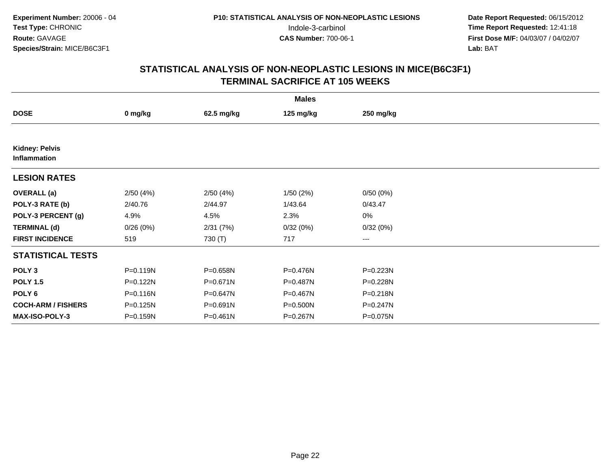|                                       |              |              | <b>Males</b> |                   |  |
|---------------------------------------|--------------|--------------|--------------|-------------------|--|
| <b>DOSE</b>                           | 0 mg/kg      | 62.5 mg/kg   | 125 mg/kg    | 250 mg/kg         |  |
|                                       |              |              |              |                   |  |
| <b>Kidney: Pelvis</b><br>Inflammation |              |              |              |                   |  |
| <b>LESION RATES</b>                   |              |              |              |                   |  |
| <b>OVERALL</b> (a)                    | 2/50(4%)     | 2/50(4%)     | 1/50(2%)     | 0/50(0%)          |  |
| POLY-3 RATE (b)                       | 2/40.76      | 2/44.97      | 1/43.64      | 0/43.47           |  |
| POLY-3 PERCENT (g)                    | 4.9%         | 4.5%         | 2.3%         | 0%                |  |
| <b>TERMINAL (d)</b>                   | 0/26(0%)     | 2/31(7%)     | 0/32(0%)     | 0/32(0%)          |  |
| <b>FIRST INCIDENCE</b>                | 519          | 730 (T)      | 717          | $\qquad \qquad -$ |  |
| <b>STATISTICAL TESTS</b>              |              |              |              |                   |  |
| POLY <sub>3</sub>                     | P=0.119N     | P=0.658N     | P=0.476N     | P=0.223N          |  |
| <b>POLY 1.5</b>                       | $P = 0.122N$ | P=0.671N     | P=0.487N     | P=0.228N          |  |
| POLY <sub>6</sub>                     | P=0.116N     | P=0.647N     | P=0.467N     | $P = 0.218N$      |  |
| <b>COCH-ARM / FISHERS</b>             | P=0.125N     | P=0.691N     | P=0.500N     | $P = 0.247N$      |  |
| <b>MAX-ISO-POLY-3</b>                 | P=0.159N     | $P = 0.461N$ | P=0.267N     | P=0.075N          |  |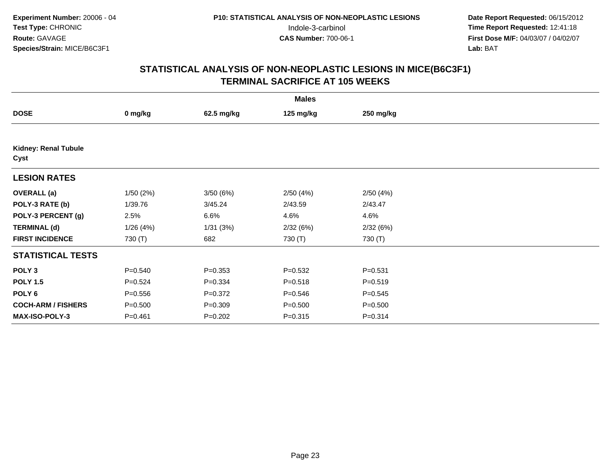| <b>Males</b>                        |             |             |             |             |  |  |  |
|-------------------------------------|-------------|-------------|-------------|-------------|--|--|--|
| <b>DOSE</b>                         | 0 mg/kg     | 62.5 mg/kg  | 125 mg/kg   | 250 mg/kg   |  |  |  |
|                                     |             |             |             |             |  |  |  |
| <b>Kidney: Renal Tubule</b><br>Cyst |             |             |             |             |  |  |  |
| <b>LESION RATES</b>                 |             |             |             |             |  |  |  |
| <b>OVERALL</b> (a)                  | 1/50(2%)    | 3/50(6%)    | 2/50(4%)    | 2/50(4%)    |  |  |  |
| POLY-3 RATE (b)                     | 1/39.76     | 3/45.24     | 2/43.59     | 2/43.47     |  |  |  |
| POLY-3 PERCENT (g)                  | 2.5%        | 6.6%        | 4.6%        | 4.6%        |  |  |  |
| <b>TERMINAL (d)</b>                 | 1/26(4%)    | 1/31(3%)    | 2/32(6%)    | 2/32(6%)    |  |  |  |
| <b>FIRST INCIDENCE</b>              | 730 (T)     | 682         | 730 (T)     | 730 (T)     |  |  |  |
| <b>STATISTICAL TESTS</b>            |             |             |             |             |  |  |  |
| POLY <sub>3</sub>                   | $P = 0.540$ | $P = 0.353$ | $P = 0.532$ | $P = 0.531$ |  |  |  |
| <b>POLY 1.5</b>                     | $P = 0.524$ | $P = 0.334$ | $P = 0.518$ | $P = 0.519$ |  |  |  |
| POLY 6                              | $P = 0.556$ | $P = 0.372$ | $P = 0.546$ | $P = 0.545$ |  |  |  |
| <b>COCH-ARM / FISHERS</b>           | $P = 0.500$ | $P = 0.309$ | $P = 0.500$ | $P = 0.500$ |  |  |  |
| MAX-ISO-POLY-3                      | $P = 0.461$ | $P = 0.202$ | $P = 0.315$ | $P = 0.314$ |  |  |  |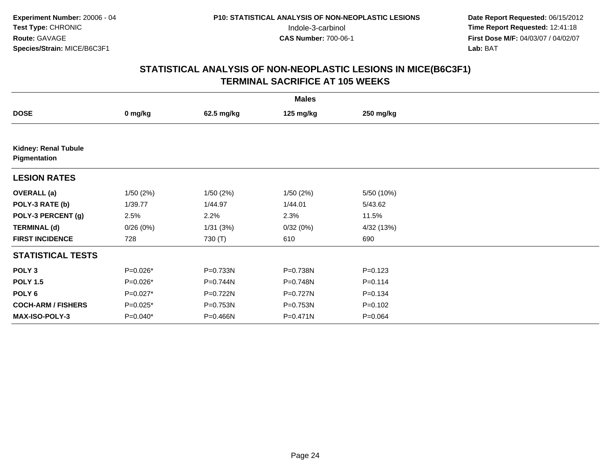| <b>Males</b>                                |            |            |              |             |  |  |  |
|---------------------------------------------|------------|------------|--------------|-------------|--|--|--|
| <b>DOSE</b>                                 | 0 mg/kg    | 62.5 mg/kg | 125 mg/kg    | 250 mg/kg   |  |  |  |
|                                             |            |            |              |             |  |  |  |
| <b>Kidney: Renal Tubule</b><br>Pigmentation |            |            |              |             |  |  |  |
| <b>LESION RATES</b>                         |            |            |              |             |  |  |  |
| <b>OVERALL</b> (a)                          | 1/50(2%)   | 1/50(2%)   | 1/50(2%)     | 5/50 (10%)  |  |  |  |
| POLY-3 RATE (b)                             | 1/39.77    | 1/44.97    | 1/44.01      | 5/43.62     |  |  |  |
| POLY-3 PERCENT (g)                          | 2.5%       | 2.2%       | 2.3%         | 11.5%       |  |  |  |
| <b>TERMINAL (d)</b>                         | 0/26(0%)   | 1/31(3%)   | 0/32(0%)     | 4/32 (13%)  |  |  |  |
| <b>FIRST INCIDENCE</b>                      | 728        | 730 (T)    | 610          | 690         |  |  |  |
| <b>STATISTICAL TESTS</b>                    |            |            |              |             |  |  |  |
| POLY <sub>3</sub>                           | P=0.026*   | P=0.733N   | P=0.738N     | $P = 0.123$ |  |  |  |
| <b>POLY 1.5</b>                             | $P=0.026*$ | P=0.744N   | P=0.748N     | $P = 0.114$ |  |  |  |
| POLY 6                                      | $P=0.027*$ | P=0.722N   | P=0.727N     | $P = 0.134$ |  |  |  |
| <b>COCH-ARM / FISHERS</b>                   | $P=0.025*$ | P=0.753N   | P=0.753N     | $P=0.102$   |  |  |  |
| MAX-ISO-POLY-3                              | $P=0.040*$ | P=0.466N   | $P = 0.471N$ | $P = 0.064$ |  |  |  |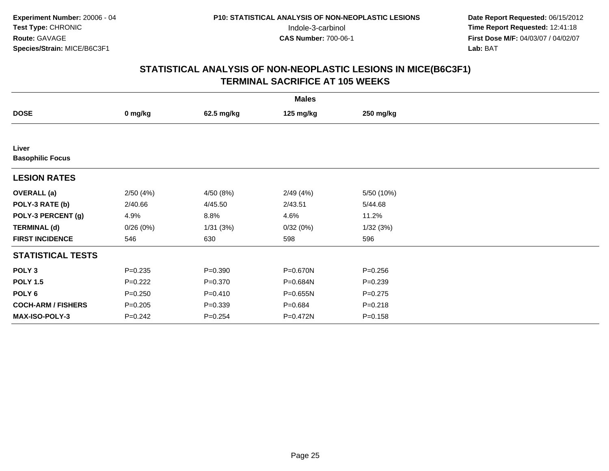|                           |             |             | <b>Males</b> |             |  |
|---------------------------|-------------|-------------|--------------|-------------|--|
| <b>DOSE</b>               | 0 mg/kg     | 62.5 mg/kg  | 125 mg/kg    | 250 mg/kg   |  |
|                           |             |             |              |             |  |
| Liver                     |             |             |              |             |  |
| <b>Basophilic Focus</b>   |             |             |              |             |  |
| <b>LESION RATES</b>       |             |             |              |             |  |
| <b>OVERALL</b> (a)        | 2/50(4%)    | 4/50 (8%)   | 2/49(4%)     | 5/50 (10%)  |  |
| POLY-3 RATE (b)           | 2/40.66     | 4/45.50     | 2/43.51      | 5/44.68     |  |
| POLY-3 PERCENT (g)        | 4.9%        | 8.8%        | 4.6%         | 11.2%       |  |
| <b>TERMINAL (d)</b>       | 0/26(0%)    | 1/31(3%)    | 0/32(0%)     | 1/32(3%)    |  |
| <b>FIRST INCIDENCE</b>    | 546         | 630         | 598          | 596         |  |
| <b>STATISTICAL TESTS</b>  |             |             |              |             |  |
| POLY <sub>3</sub>         | $P = 0.235$ | $P = 0.390$ | P=0.670N     | $P = 0.256$ |  |
| <b>POLY 1.5</b>           | $P=0.222$   | $P = 0.370$ | P=0.684N     | $P = 0.239$ |  |
| POLY <sub>6</sub>         | $P = 0.250$ | $P = 0.410$ | P=0.655N     | $P=0.275$   |  |
| <b>COCH-ARM / FISHERS</b> | $P = 0.205$ | $P = 0.339$ | $P = 0.684$  | $P = 0.218$ |  |
| <b>MAX-ISO-POLY-3</b>     | $P = 0.242$ | $P = 0.254$ | P=0.472N     | $P = 0.158$ |  |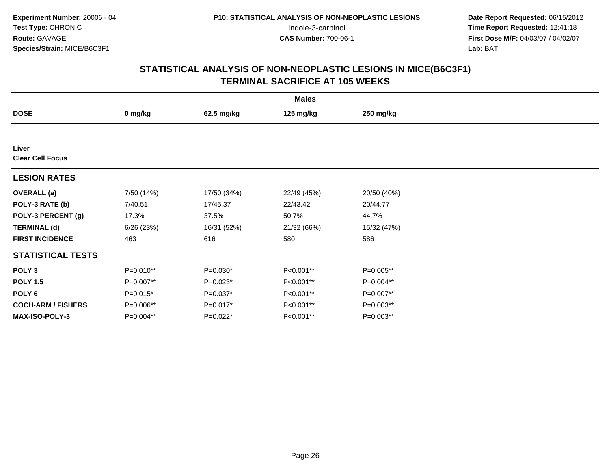| <b>Males</b>                     |            |             |             |             |  |  |
|----------------------------------|------------|-------------|-------------|-------------|--|--|
| <b>DOSE</b>                      | 0 mg/kg    | 62.5 mg/kg  | 125 mg/kg   | 250 mg/kg   |  |  |
|                                  |            |             |             |             |  |  |
| Liver<br><b>Clear Cell Focus</b> |            |             |             |             |  |  |
| <b>LESION RATES</b>              |            |             |             |             |  |  |
| <b>OVERALL</b> (a)               | 7/50 (14%) | 17/50 (34%) | 22/49 (45%) | 20/50 (40%) |  |  |
| POLY-3 RATE (b)                  | 7/40.51    | 17/45.37    | 22/43.42    | 20/44.77    |  |  |
| POLY-3 PERCENT (g)               | 17.3%      | 37.5%       | 50.7%       | 44.7%       |  |  |
| <b>TERMINAL (d)</b>              | 6/26(23%)  | 16/31 (52%) | 21/32 (66%) | 15/32 (47%) |  |  |
| <b>FIRST INCIDENCE</b>           | 463        | 616         | 580         | 586         |  |  |
| <b>STATISTICAL TESTS</b>         |            |             |             |             |  |  |
| POLY <sub>3</sub>                | P=0.010**  | $P=0.030*$  | P<0.001**   | $P=0.005**$ |  |  |
| <b>POLY 1.5</b>                  | P=0.007**  | $P=0.023*$  | P<0.001**   | P=0.004**   |  |  |
| POLY 6                           | $P=0.015*$ | P=0.037*    | P<0.001**   | P=0.007**   |  |  |
| <b>COCH-ARM / FISHERS</b>        | P=0.006**  | P=0.017*    | P<0.001**   | $P=0.003**$ |  |  |
| MAX-ISO-POLY-3                   | P=0.004**  | $P=0.022*$  | P<0.001**   | $P=0.003**$ |  |  |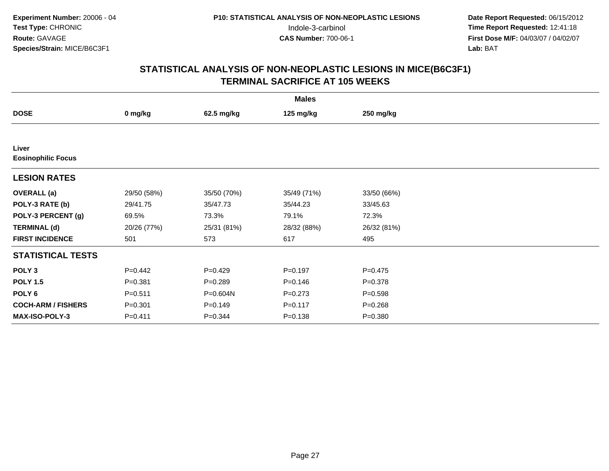| <b>Males</b>                       |             |             |             |             |  |  |
|------------------------------------|-------------|-------------|-------------|-------------|--|--|
| <b>DOSE</b>                        | 0 mg/kg     | 62.5 mg/kg  | 125 mg/kg   | 250 mg/kg   |  |  |
|                                    |             |             |             |             |  |  |
| Liver<br><b>Eosinophilic Focus</b> |             |             |             |             |  |  |
| <b>LESION RATES</b>                |             |             |             |             |  |  |
| <b>OVERALL</b> (a)                 | 29/50 (58%) | 35/50 (70%) | 35/49 (71%) | 33/50 (66%) |  |  |
| POLY-3 RATE (b)                    | 29/41.75    | 35/47.73    | 35/44.23    | 33/45.63    |  |  |
| POLY-3 PERCENT (g)                 | 69.5%       | 73.3%       | 79.1%       | 72.3%       |  |  |
| <b>TERMINAL (d)</b>                | 20/26 (77%) | 25/31 (81%) | 28/32 (88%) | 26/32 (81%) |  |  |
| <b>FIRST INCIDENCE</b>             | 501         | 573         | 617         | 495         |  |  |
| <b>STATISTICAL TESTS</b>           |             |             |             |             |  |  |
| POLY <sub>3</sub>                  | $P=0.442$   | $P=0.429$   | $P = 0.197$ | $P=0.475$   |  |  |
| <b>POLY 1.5</b>                    | $P = 0.381$ | $P = 0.289$ | $P = 0.146$ | $P = 0.378$ |  |  |
| POLY <sub>6</sub>                  | $P = 0.511$ | P=0.604N    | $P = 0.273$ | $P = 0.598$ |  |  |
| <b>COCH-ARM / FISHERS</b>          | $P = 0.301$ | $P = 0.149$ | $P = 0.117$ | $P = 0.268$ |  |  |
| MAX-ISO-POLY-3                     | $P = 0.411$ | $P = 0.344$ | $P = 0.138$ | $P = 0.380$ |  |  |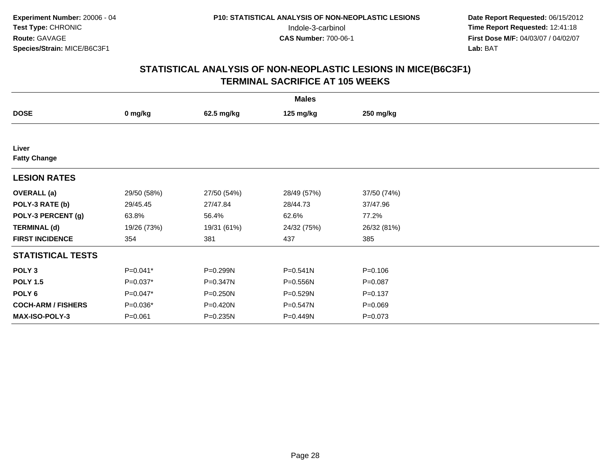| <b>Males</b>              |             |              |              |             |  |  |
|---------------------------|-------------|--------------|--------------|-------------|--|--|
| <b>DOSE</b>               | 0 mg/kg     | 62.5 mg/kg   | 125 mg/kg    | 250 mg/kg   |  |  |
|                           |             |              |              |             |  |  |
| Liver                     |             |              |              |             |  |  |
| <b>Fatty Change</b>       |             |              |              |             |  |  |
| <b>LESION RATES</b>       |             |              |              |             |  |  |
| <b>OVERALL</b> (a)        | 29/50 (58%) | 27/50 (54%)  | 28/49 (57%)  | 37/50 (74%) |  |  |
| POLY-3 RATE (b)           | 29/45.45    | 27/47.84     | 28/44.73     | 37/47.96    |  |  |
| POLY-3 PERCENT (g)        | 63.8%       | 56.4%        | 62.6%        | 77.2%       |  |  |
| <b>TERMINAL (d)</b>       | 19/26 (73%) | 19/31 (61%)  | 24/32 (75%)  | 26/32 (81%) |  |  |
| <b>FIRST INCIDENCE</b>    | 354         | 381          | 437          | 385         |  |  |
| <b>STATISTICAL TESTS</b>  |             |              |              |             |  |  |
| POLY <sub>3</sub>         | P=0.041*    | P=0.299N     | $P = 0.541N$ | $P = 0.106$ |  |  |
| <b>POLY 1.5</b>           | P=0.037*    | P=0.347N     | P=0.556N     | $P = 0.087$ |  |  |
| POLY <sub>6</sub>         | P=0.047*    | $P = 0.250N$ | P=0.529N     | $P = 0.137$ |  |  |
| <b>COCH-ARM / FISHERS</b> | P=0.036*    | P=0.420N     | P=0.547N     | $P = 0.069$ |  |  |
| <b>MAX-ISO-POLY-3</b>     | $P = 0.061$ | P=0.235N     | P=0.449N     | $P = 0.073$ |  |  |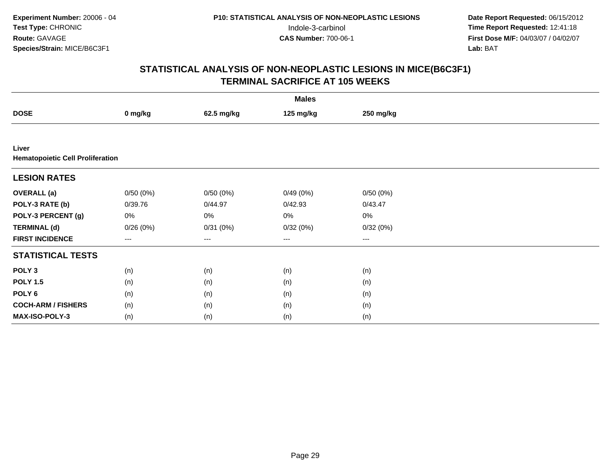| <b>Males</b>                                     |                        |            |           |           |  |  |
|--------------------------------------------------|------------------------|------------|-----------|-----------|--|--|
| <b>DOSE</b>                                      | 0 mg/kg                | 62.5 mg/kg | 125 mg/kg | 250 mg/kg |  |  |
|                                                  |                        |            |           |           |  |  |
| Liver<br><b>Hematopoietic Cell Proliferation</b> |                        |            |           |           |  |  |
| <b>LESION RATES</b>                              |                        |            |           |           |  |  |
| <b>OVERALL</b> (a)                               | 0/50(0%)               | 0/50(0%)   | 0/49(0%)  | 0/50(0%)  |  |  |
| POLY-3 RATE (b)                                  | 0/39.76                | 0/44.97    | 0/42.93   | 0/43.47   |  |  |
| POLY-3 PERCENT (g)                               | $0\%$                  | $0\%$      | 0%        | 0%        |  |  |
| <b>TERMINAL (d)</b>                              | 0/26(0%)               | 0/31(0%)   | 0/32(0%)  | 0/32(0%)  |  |  |
| <b>FIRST INCIDENCE</b>                           | $\qquad \qquad \cdots$ | $---$      | ---       | $--$      |  |  |
| <b>STATISTICAL TESTS</b>                         |                        |            |           |           |  |  |
| POLY <sub>3</sub>                                | (n)                    | (n)        | (n)       | (n)       |  |  |
| <b>POLY 1.5</b>                                  | (n)                    | (n)        | (n)       | (n)       |  |  |
| POLY 6                                           | (n)                    | (n)        | (n)       | (n)       |  |  |
| <b>COCH-ARM / FISHERS</b>                        | (n)                    | (n)        | (n)       | (n)       |  |  |
| MAX-ISO-POLY-3                                   | (n)                    | (n)        | (n)       | (n)       |  |  |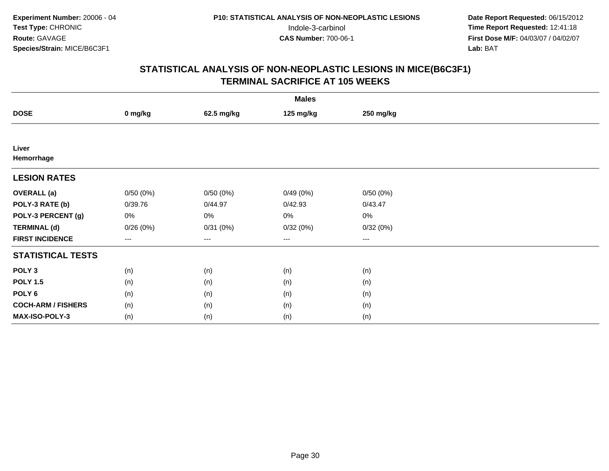| <b>Males</b>              |          |                        |           |           |  |  |
|---------------------------|----------|------------------------|-----------|-----------|--|--|
| <b>DOSE</b>               | 0 mg/kg  | 62.5 mg/kg             | 125 mg/kg | 250 mg/kg |  |  |
|                           |          |                        |           |           |  |  |
| Liver                     |          |                        |           |           |  |  |
| Hemorrhage                |          |                        |           |           |  |  |
| <b>LESION RATES</b>       |          |                        |           |           |  |  |
| <b>OVERALL</b> (a)        | 0/50(0%) | 0/50(0%)               | 0/49(0%)  | 0/50(0%)  |  |  |
| POLY-3 RATE (b)           | 0/39.76  | 0/44.97                | 0/42.93   | 0/43.47   |  |  |
| POLY-3 PERCENT (g)        | 0%       | $0\%$                  | 0%        | 0%        |  |  |
| <b>TERMINAL (d)</b>       | 0/26(0%) | 0/31(0%)               | 0/32(0%)  | 0/32(0%)  |  |  |
| <b>FIRST INCIDENCE</b>    | $--$     | $\qquad \qquad \cdots$ | $\cdots$  | $\cdots$  |  |  |
| <b>STATISTICAL TESTS</b>  |          |                        |           |           |  |  |
| POLY <sub>3</sub>         | (n)      | (n)                    | (n)       | (n)       |  |  |
| <b>POLY 1.5</b>           | (n)      | (n)                    | (n)       | (n)       |  |  |
| POLY <sub>6</sub>         | (n)      | (n)                    | (n)       | (n)       |  |  |
| <b>COCH-ARM / FISHERS</b> | (n)      | (n)                    | (n)       | (n)       |  |  |
| MAX-ISO-POLY-3            | (n)      | (n)                    | (n)       | (n)       |  |  |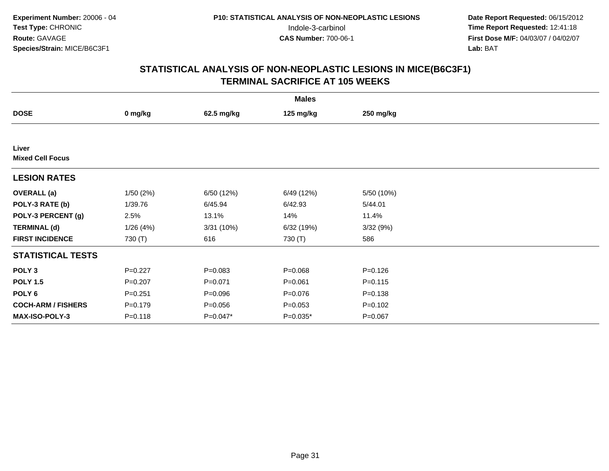|                                  |             |             | <b>Males</b> |             |  |
|----------------------------------|-------------|-------------|--------------|-------------|--|
| <b>DOSE</b>                      | 0 mg/kg     | 62.5 mg/kg  | 125 mg/kg    | 250 mg/kg   |  |
|                                  |             |             |              |             |  |
| Liver<br><b>Mixed Cell Focus</b> |             |             |              |             |  |
| <b>LESION RATES</b>              |             |             |              |             |  |
| <b>OVERALL</b> (a)               | 1/50(2%)    | 6/50 (12%)  | 6/49 (12%)   | 5/50 (10%)  |  |
| POLY-3 RATE (b)                  | 1/39.76     | 6/45.94     | 6/42.93      | 5/44.01     |  |
| POLY-3 PERCENT (g)               | 2.5%        | 13.1%       | 14%          | 11.4%       |  |
| <b>TERMINAL (d)</b>              | 1/26(4%)    | 3/31(10%)   | 6/32(19%)    | 3/32(9%)    |  |
| <b>FIRST INCIDENCE</b>           | 730 (T)     | 616         | 730 (T)      | 586         |  |
| <b>STATISTICAL TESTS</b>         |             |             |              |             |  |
| POLY <sub>3</sub>                | $P=0.227$   | $P=0.083$   | $P = 0.068$  | $P = 0.126$ |  |
| <b>POLY 1.5</b>                  | $P = 0.207$ | $P = 0.071$ | $P = 0.061$  | $P = 0.115$ |  |
| POLY <sub>6</sub>                | $P = 0.251$ | $P = 0.096$ | $P = 0.076$  | $P = 0.138$ |  |
| <b>COCH-ARM / FISHERS</b>        | $P = 0.179$ | $P = 0.056$ | $P = 0.053$  | $P = 0.102$ |  |
| MAX-ISO-POLY-3                   | $P = 0.118$ | P=0.047*    | $P=0.035*$   | $P = 0.067$ |  |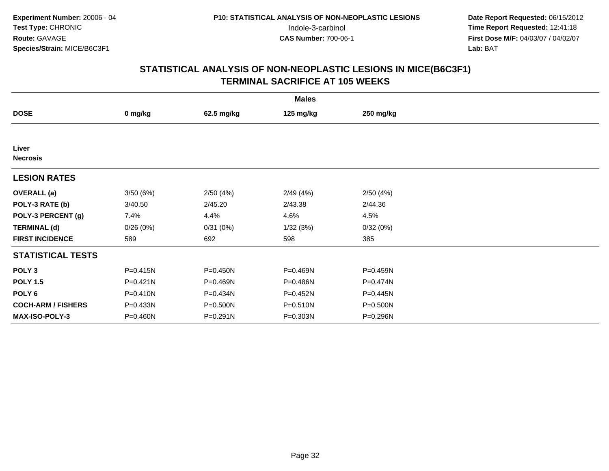| <b>Males</b>              |              |              |              |           |  |  |
|---------------------------|--------------|--------------|--------------|-----------|--|--|
| <b>DOSE</b>               | 0 mg/kg      | 62.5 mg/kg   | 125 mg/kg    | 250 mg/kg |  |  |
|                           |              |              |              |           |  |  |
| Liver<br><b>Necrosis</b>  |              |              |              |           |  |  |
| <b>LESION RATES</b>       |              |              |              |           |  |  |
| <b>OVERALL</b> (a)        | 3/50(6%)     | 2/50(4%)     | 2/49(4%)     | 2/50(4%)  |  |  |
| POLY-3 RATE (b)           | 3/40.50      | 2/45.20      | 2/43.38      | 2/44.36   |  |  |
| POLY-3 PERCENT (g)        | 7.4%         | 4.4%         | 4.6%         | 4.5%      |  |  |
| <b>TERMINAL (d)</b>       | 0/26(0%)     | 0/31(0%)     | 1/32(3%)     | 0/32(0%)  |  |  |
| <b>FIRST INCIDENCE</b>    | 589          | 692          | 598          | 385       |  |  |
| <b>STATISTICAL TESTS</b>  |              |              |              |           |  |  |
| POLY <sub>3</sub>         | $P = 0.415N$ | $P = 0.450N$ | P=0.469N     | P=0.459N  |  |  |
| <b>POLY 1.5</b>           | $P = 0.421N$ | P=0.469N     | P=0.486N     | P=0.474N  |  |  |
| POLY <sub>6</sub>         | $P = 0.410N$ | P=0.434N     | $P = 0.452N$ | P=0.445N  |  |  |
| <b>COCH-ARM / FISHERS</b> | P=0.433N     | P=0.500N     | P=0.510N     | P=0.500N  |  |  |
| MAX-ISO-POLY-3            | P=0.460N     | P=0.291N     | P=0.303N     | P=0.296N  |  |  |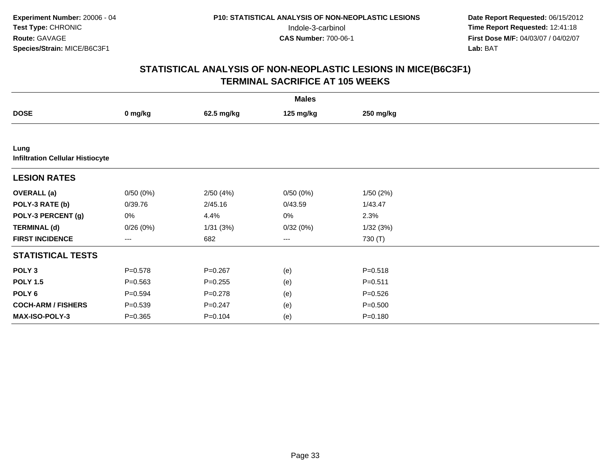| <b>Males</b>                                    |                        |             |           |             |  |  |
|-------------------------------------------------|------------------------|-------------|-----------|-------------|--|--|
| <b>DOSE</b>                                     | 0 mg/kg                | 62.5 mg/kg  | 125 mg/kg | 250 mg/kg   |  |  |
|                                                 |                        |             |           |             |  |  |
| Lung<br><b>Infiltration Cellular Histiocyte</b> |                        |             |           |             |  |  |
| <b>LESION RATES</b>                             |                        |             |           |             |  |  |
| <b>OVERALL</b> (a)                              | 0/50(0%)               | 2/50(4%)    | 0/50(0%)  | 1/50(2%)    |  |  |
| POLY-3 RATE (b)                                 | 0/39.76                | 2/45.16     | 0/43.59   | 1/43.47     |  |  |
| POLY-3 PERCENT (g)                              | 0%                     | 4.4%        | 0%        | 2.3%        |  |  |
| <b>TERMINAL (d)</b>                             | 0/26(0%)               | 1/31(3%)    | 0/32(0%)  | 1/32(3%)    |  |  |
| <b>FIRST INCIDENCE</b>                          | $\qquad \qquad \cdots$ | 682         | ---       | 730 (T)     |  |  |
| <b>STATISTICAL TESTS</b>                        |                        |             |           |             |  |  |
| POLY <sub>3</sub>                               | $P = 0.578$            | $P = 0.267$ | (e)       | $P = 0.518$ |  |  |
| <b>POLY 1.5</b>                                 | $P = 0.563$            | $P = 0.255$ | (e)       | $P = 0.511$ |  |  |
| POLY <sub>6</sub>                               | $P = 0.594$            | $P = 0.278$ | (e)       | $P = 0.526$ |  |  |
| <b>COCH-ARM / FISHERS</b>                       | $P = 0.539$            | $P = 0.247$ | (e)       | $P = 0.500$ |  |  |
| <b>MAX-ISO-POLY-3</b>                           | $P = 0.365$            | $P = 0.104$ | (e)       | $P = 0.180$ |  |  |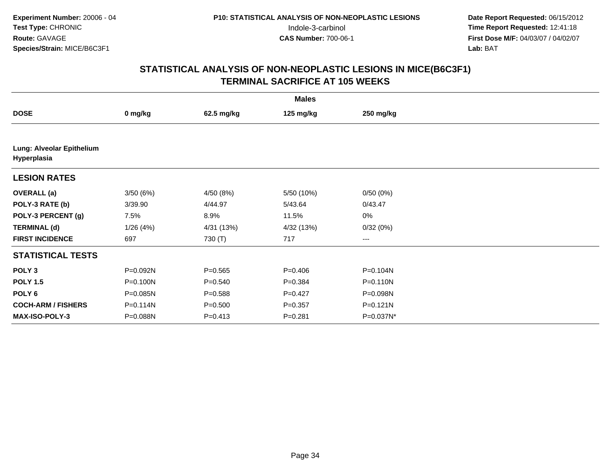| <b>Males</b>                             |              |             |             |              |  |  |
|------------------------------------------|--------------|-------------|-------------|--------------|--|--|
| <b>DOSE</b>                              | 0 mg/kg      | 62.5 mg/kg  | 125 mg/kg   | 250 mg/kg    |  |  |
|                                          |              |             |             |              |  |  |
| Lung: Alveolar Epithelium<br>Hyperplasia |              |             |             |              |  |  |
| <b>LESION RATES</b>                      |              |             |             |              |  |  |
| <b>OVERALL</b> (a)                       | 3/50(6%)     | 4/50 (8%)   | 5/50 (10%)  | 0/50(0%)     |  |  |
| POLY-3 RATE (b)                          | 3/39.90      | 4/44.97     | 5/43.64     | 0/43.47      |  |  |
| POLY-3 PERCENT (g)                       | 7.5%         | 8.9%        | 11.5%       | $0\%$        |  |  |
| <b>TERMINAL (d)</b>                      | 1/26(4%)     | 4/31 (13%)  | 4/32 (13%)  | 0/32(0%)     |  |  |
| <b>FIRST INCIDENCE</b>                   | 697          | 730 (T)     | 717         | $\cdots$     |  |  |
| <b>STATISTICAL TESTS</b>                 |              |             |             |              |  |  |
| POLY <sub>3</sub>                        | P=0.092N     | $P = 0.565$ | $P = 0.406$ | P=0.104N     |  |  |
| <b>POLY 1.5</b>                          | P=0.100N     | $P = 0.540$ | $P = 0.384$ | P=0.110N     |  |  |
| POLY <sub>6</sub>                        | P=0.085N     | $P = 0.588$ | $P=0.427$   | P=0.098N     |  |  |
| <b>COCH-ARM / FISHERS</b>                | $P = 0.114N$ | $P = 0.500$ | $P = 0.357$ | $P = 0.121N$ |  |  |
| <b>MAX-ISO-POLY-3</b>                    | P=0.088N     | $P = 0.413$ | $P = 0.281$ | P=0.037N*    |  |  |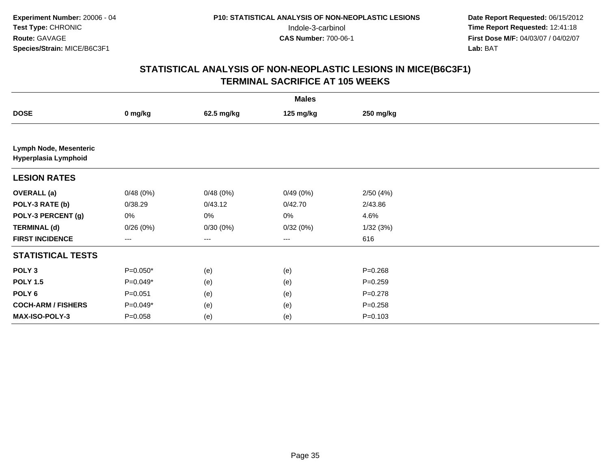| <b>Males</b>                                   |                   |            |                   |             |  |  |
|------------------------------------------------|-------------------|------------|-------------------|-------------|--|--|
| <b>DOSE</b>                                    | 0 mg/kg           | 62.5 mg/kg | 125 mg/kg         | 250 mg/kg   |  |  |
|                                                |                   |            |                   |             |  |  |
| Lymph Node, Mesenteric<br>Hyperplasia Lymphoid |                   |            |                   |             |  |  |
| <b>LESION RATES</b>                            |                   |            |                   |             |  |  |
| <b>OVERALL</b> (a)                             | 0/48(0%)          | 0/48(0%)   | 0/49(0%)          | 2/50(4%)    |  |  |
| POLY-3 RATE (b)                                | 0/38.29           | 0/43.12    | 0/42.70           | 2/43.86     |  |  |
| POLY-3 PERCENT (g)                             | 0%                | 0%         | 0%                | 4.6%        |  |  |
| <b>TERMINAL (d)</b>                            | 0/26(0%)          | 0/30(0%)   | 0/32(0%)          | 1/32(3%)    |  |  |
| <b>FIRST INCIDENCE</b>                         | $\qquad \qquad -$ | ---        | $\qquad \qquad -$ | 616         |  |  |
| <b>STATISTICAL TESTS</b>                       |                   |            |                   |             |  |  |
| POLY <sub>3</sub>                              | $P=0.050*$        | (e)        | (e)               | $P = 0.268$ |  |  |
| <b>POLY 1.5</b>                                | $P=0.049*$        | (e)        | (e)               | $P=0.259$   |  |  |
| POLY <sub>6</sub>                              | $P = 0.051$       | (e)        | (e)               | $P = 0.278$ |  |  |
| <b>COCH-ARM / FISHERS</b>                      | $P=0.049*$        | (e)        | (e)               | $P = 0.258$ |  |  |
| MAX-ISO-POLY-3                                 | $P = 0.058$       | (e)        | (e)               | $P = 0.103$ |  |  |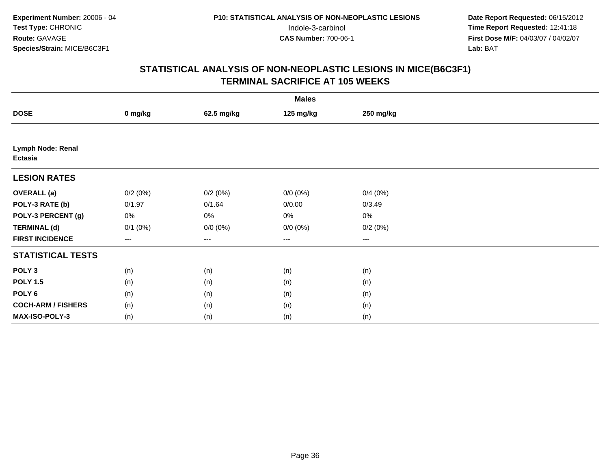| <b>Males</b>                 |              |                   |             |           |  |  |
|------------------------------|--------------|-------------------|-------------|-----------|--|--|
| <b>DOSE</b>                  | 0 mg/kg      | 62.5 mg/kg        | 125 mg/kg   | 250 mg/kg |  |  |
|                              |              |                   |             |           |  |  |
| Lymph Node: Renal<br>Ectasia |              |                   |             |           |  |  |
| <b>LESION RATES</b>          |              |                   |             |           |  |  |
| <b>OVERALL</b> (a)           | 0/2(0%)      | 0/2(0%)           | $0/0 (0\%)$ | 0/4(0%)   |  |  |
| POLY-3 RATE (b)              | 0/1.97       | 0/1.64            | 0/0.00      | 0/3.49    |  |  |
| POLY-3 PERCENT (g)           | 0%           | $0\%$             | 0%          | 0%        |  |  |
| <b>TERMINAL (d)</b>          | $0/1$ $(0%)$ | $0/0 (0\%)$       | $0/0 (0\%)$ | 0/2(0%)   |  |  |
| <b>FIRST INCIDENCE</b>       | $--$         | $\qquad \qquad -$ | ---         | $--$      |  |  |
| <b>STATISTICAL TESTS</b>     |              |                   |             |           |  |  |
| POLY <sub>3</sub>            | (n)          | (n)               | (n)         | (n)       |  |  |
| <b>POLY 1.5</b>              | (n)          | (n)               | (n)         | (n)       |  |  |
| POLY <sub>6</sub>            | (n)          | (n)               | (n)         | (n)       |  |  |
| <b>COCH-ARM / FISHERS</b>    | (n)          | (n)               | (n)         | (n)       |  |  |
| MAX-ISO-POLY-3               | (n)          | (n)               | (n)         | (n)       |  |  |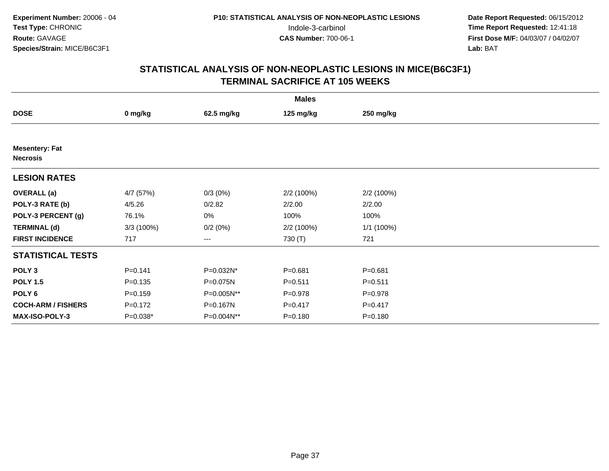| <b>Males</b>                             |             |            |             |             |  |  |  |
|------------------------------------------|-------------|------------|-------------|-------------|--|--|--|
| <b>DOSE</b>                              | 0 mg/kg     | 62.5 mg/kg | 125 mg/kg   | 250 mg/kg   |  |  |  |
|                                          |             |            |             |             |  |  |  |
| <b>Mesentery: Fat</b><br><b>Necrosis</b> |             |            |             |             |  |  |  |
| <b>LESION RATES</b>                      |             |            |             |             |  |  |  |
| <b>OVERALL</b> (a)                       | 4/7 (57%)   | $0/3(0\%)$ | 2/2 (100%)  | 2/2 (100%)  |  |  |  |
| POLY-3 RATE (b)                          | 4/5.26      | 0/2.82     | 2/2.00      | 2/2.00      |  |  |  |
| POLY-3 PERCENT (g)                       | 76.1%       | 0%         | 100%        | 100%        |  |  |  |
| <b>TERMINAL (d)</b>                      | 3/3(100%)   | 0/2(0%)    | 2/2 (100%)  | 1/1 (100%)  |  |  |  |
| <b>FIRST INCIDENCE</b>                   | 717         | ---        | 730 (T)     | 721         |  |  |  |
| <b>STATISTICAL TESTS</b>                 |             |            |             |             |  |  |  |
| POLY <sub>3</sub>                        | $P = 0.141$ | P=0.032N*  | $P = 0.681$ | $P = 0.681$ |  |  |  |
| <b>POLY 1.5</b>                          | $P = 0.135$ | P=0.075N   | $P = 0.511$ | $P = 0.511$ |  |  |  |
| POLY <sub>6</sub>                        | $P = 0.159$ | P=0.005N** | $P = 0.978$ | $P = 0.978$ |  |  |  |
| <b>COCH-ARM / FISHERS</b>                | $P = 0.172$ | P=0.167N   | $P = 0.417$ | $P = 0.417$ |  |  |  |
| MAX-ISO-POLY-3                           | $P=0.038*$  | P=0.004N** | $P = 0.180$ | $P = 0.180$ |  |  |  |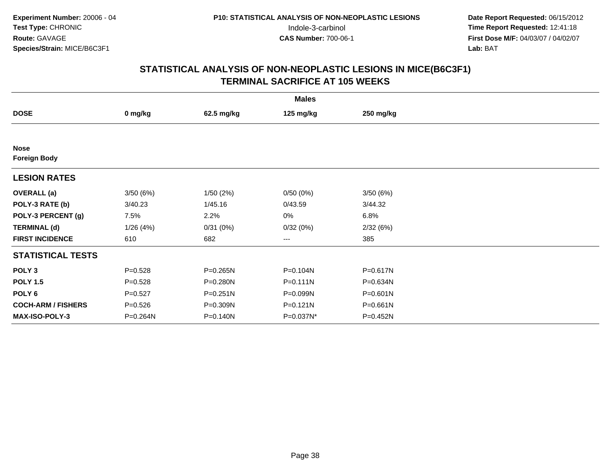|                                    |             |              | <b>Males</b> |              |  |
|------------------------------------|-------------|--------------|--------------|--------------|--|
| <b>DOSE</b>                        | 0 mg/kg     | 62.5 mg/kg   | 125 mg/kg    | 250 mg/kg    |  |
|                                    |             |              |              |              |  |
| <b>Nose</b><br><b>Foreign Body</b> |             |              |              |              |  |
| <b>LESION RATES</b>                |             |              |              |              |  |
| <b>OVERALL</b> (a)                 | 3/50(6%)    | 1/50(2%)     | 0/50(0%)     | 3/50(6%)     |  |
| POLY-3 RATE (b)                    | 3/40.23     | 1/45.16      | 0/43.59      | 3/44.32      |  |
| POLY-3 PERCENT (g)                 | 7.5%        | 2.2%         | 0%           | 6.8%         |  |
| <b>TERMINAL (d)</b>                | 1/26(4%)    | 0/31(0%)     | 0/32(0%)     | 2/32(6%)     |  |
| <b>FIRST INCIDENCE</b>             | 610         | 682          | ---          | 385          |  |
| <b>STATISTICAL TESTS</b>           |             |              |              |              |  |
| POLY <sub>3</sub>                  | $P = 0.528$ | P=0.265N     | P=0.104N     | P=0.617N     |  |
| <b>POLY 1.5</b>                    | $P = 0.528$ | P=0.280N     | $P = 0.111N$ | P=0.634N     |  |
| POLY <sub>6</sub>                  | $P = 0.527$ | $P = 0.251N$ | P=0.099N     | $P = 0.601N$ |  |
| <b>COCH-ARM / FISHERS</b>          | $P = 0.526$ | P=0.309N     | $P = 0.121N$ | P=0.661N     |  |
| <b>MAX-ISO-POLY-3</b>              | P=0.264N    | P=0.140N     | P=0.037N*    | P=0.452N     |  |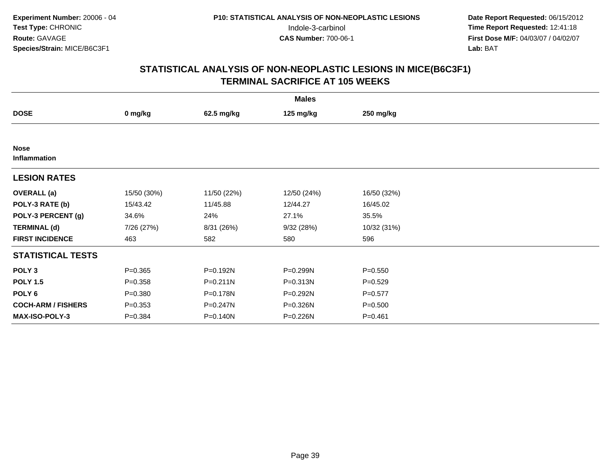| <b>Males</b>                |             |              |             |             |  |  |
|-----------------------------|-------------|--------------|-------------|-------------|--|--|
| <b>DOSE</b>                 | 0 mg/kg     | 62.5 mg/kg   | 125 mg/kg   | 250 mg/kg   |  |  |
|                             |             |              |             |             |  |  |
| <b>Nose</b><br>Inflammation |             |              |             |             |  |  |
| <b>LESION RATES</b>         |             |              |             |             |  |  |
| <b>OVERALL</b> (a)          | 15/50 (30%) | 11/50 (22%)  | 12/50 (24%) | 16/50 (32%) |  |  |
| POLY-3 RATE (b)             | 15/43.42    | 11/45.88     | 12/44.27    | 16/45.02    |  |  |
| POLY-3 PERCENT (g)          | 34.6%       | 24%          | 27.1%       | 35.5%       |  |  |
| <b>TERMINAL (d)</b>         | 7/26 (27%)  | 8/31 (26%)   | 9/32(28%)   | 10/32 (31%) |  |  |
| <b>FIRST INCIDENCE</b>      | 463         | 582          | 580         | 596         |  |  |
| <b>STATISTICAL TESTS</b>    |             |              |             |             |  |  |
| POLY <sub>3</sub>           | $P = 0.365$ | P=0.192N     | P=0.299N    | $P = 0.550$ |  |  |
| <b>POLY 1.5</b>             | $P = 0.358$ | $P = 0.211N$ | P=0.313N    | $P = 0.529$ |  |  |
| POLY <sub>6</sub>           | $P = 0.380$ | P=0.178N     | P=0.292N    | $P = 0.577$ |  |  |
| <b>COCH-ARM / FISHERS</b>   | $P = 0.353$ | P=0.247N     | P=0.326N    | $P = 0.500$ |  |  |
| <b>MAX-ISO-POLY-3</b>       | $P = 0.384$ | P=0.140N     | P=0.226N    | $P = 0.461$ |  |  |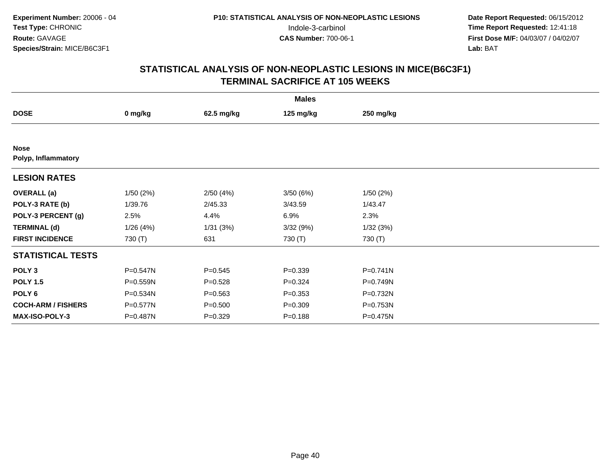| <b>Males</b>                       |          |             |             |              |  |  |  |
|------------------------------------|----------|-------------|-------------|--------------|--|--|--|
| <b>DOSE</b>                        | 0 mg/kg  | 62.5 mg/kg  | 125 mg/kg   | 250 mg/kg    |  |  |  |
|                                    |          |             |             |              |  |  |  |
| <b>Nose</b><br>Polyp, Inflammatory |          |             |             |              |  |  |  |
| <b>LESION RATES</b>                |          |             |             |              |  |  |  |
| <b>OVERALL</b> (a)                 | 1/50(2%) | 2/50(4%)    | 3/50(6%)    | 1/50(2%)     |  |  |  |
| POLY-3 RATE (b)                    | 1/39.76  | 2/45.33     | 3/43.59     | 1/43.47      |  |  |  |
| POLY-3 PERCENT (g)                 | 2.5%     | 4.4%        | 6.9%        | 2.3%         |  |  |  |
| <b>TERMINAL (d)</b>                | 1/26(4%) | 1/31(3%)    | 3/32(9%)    | 1/32(3%)     |  |  |  |
| <b>FIRST INCIDENCE</b>             | 730 (T)  | 631         | 730 (T)     | 730 (T)      |  |  |  |
| <b>STATISTICAL TESTS</b>           |          |             |             |              |  |  |  |
| POLY <sub>3</sub>                  | P=0.547N | $P = 0.545$ | $P = 0.339$ | $P = 0.741N$ |  |  |  |
| <b>POLY 1.5</b>                    | P=0.559N | $P = 0.528$ | $P = 0.324$ | P=0.749N     |  |  |  |
| POLY <sub>6</sub>                  | P=0.534N | $P = 0.563$ | $P = 0.353$ | P=0.732N     |  |  |  |
| <b>COCH-ARM / FISHERS</b>          | P=0.577N | $P = 0.500$ | $P = 0.309$ | P=0.753N     |  |  |  |
| MAX-ISO-POLY-3                     | P=0.487N | $P = 0.329$ | $P = 0.188$ | P=0.475N     |  |  |  |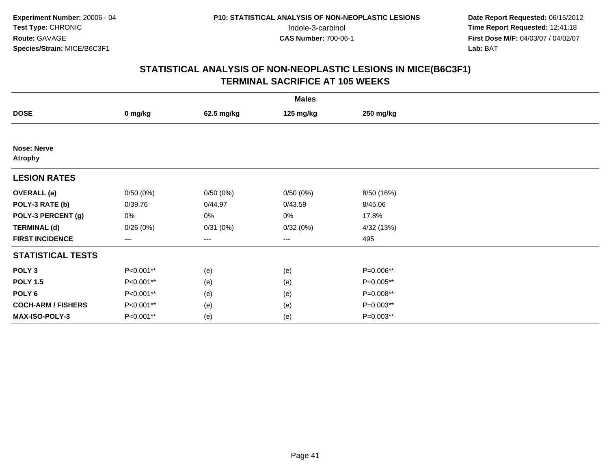| <b>Males</b>                         |                   |                   |           |             |  |  |
|--------------------------------------|-------------------|-------------------|-----------|-------------|--|--|
| <b>DOSE</b>                          | 0 mg/kg           | 62.5 mg/kg        | 125 mg/kg | 250 mg/kg   |  |  |
|                                      |                   |                   |           |             |  |  |
| <b>Nose: Nerve</b><br><b>Atrophy</b> |                   |                   |           |             |  |  |
| <b>LESION RATES</b>                  |                   |                   |           |             |  |  |
| <b>OVERALL</b> (a)                   | 0/50(0%)          | 0/50(0%)          | 0/50(0%)  | 8/50 (16%)  |  |  |
| POLY-3 RATE (b)                      | 0/39.76           | 0/44.97           | 0/43.59   | 8/45.06     |  |  |
| POLY-3 PERCENT (g)                   | 0%                | 0%                | 0%        | 17.8%       |  |  |
| <b>TERMINAL (d)</b>                  | 0/26(0%)          | 0/31(0%)          | 0/32(0%)  | 4/32 (13%)  |  |  |
| <b>FIRST INCIDENCE</b>               | $\qquad \qquad -$ | $\qquad \qquad -$ | ---       | 495         |  |  |
| <b>STATISTICAL TESTS</b>             |                   |                   |           |             |  |  |
| POLY <sub>3</sub>                    | P<0.001**         | (e)               | (e)       | P=0.006**   |  |  |
| <b>POLY 1.5</b>                      | P<0.001**         | (e)               | (e)       | P=0.005**   |  |  |
| POLY <sub>6</sub>                    | P<0.001**         | (e)               | (e)       | P=0.008**   |  |  |
| <b>COCH-ARM / FISHERS</b>            | P<0.001**         | (e)               | (e)       | $P=0.003**$ |  |  |
| MAX-ISO-POLY-3                       | P<0.001**         | (e)               | (e)       | P=0.003**   |  |  |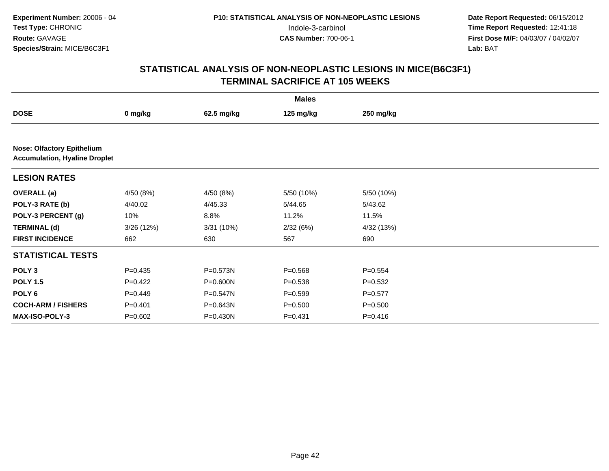| <b>Males</b>                      |                                      |              |             |             |  |  |  |  |
|-----------------------------------|--------------------------------------|--------------|-------------|-------------|--|--|--|--|
| <b>DOSE</b>                       | 0 mg/kg                              | 62.5 mg/kg   | 125 mg/kg   | 250 mg/kg   |  |  |  |  |
|                                   |                                      |              |             |             |  |  |  |  |
| <b>Nose: Olfactory Epithelium</b> | <b>Accumulation, Hyaline Droplet</b> |              |             |             |  |  |  |  |
| <b>LESION RATES</b>               |                                      |              |             |             |  |  |  |  |
| <b>OVERALL</b> (a)                | 4/50 (8%)                            | 4/50 (8%)    | 5/50 (10%)  | 5/50 (10%)  |  |  |  |  |
| POLY-3 RATE (b)                   | 4/40.02                              | 4/45.33      | 5/44.65     | 5/43.62     |  |  |  |  |
| POLY-3 PERCENT (g)                | 10%                                  | 8.8%         | 11.2%       | 11.5%       |  |  |  |  |
| <b>TERMINAL (d)</b>               | 3/26(12%)                            | 3/31(10%)    | 2/32(6%)    | 4/32 (13%)  |  |  |  |  |
| <b>FIRST INCIDENCE</b>            | 662                                  | 630          | 567         | 690         |  |  |  |  |
| <b>STATISTICAL TESTS</b>          |                                      |              |             |             |  |  |  |  |
| POLY <sub>3</sub>                 | $P = 0.435$                          | $P = 0.573N$ | $P = 0.568$ | $P=0.554$   |  |  |  |  |
| <b>POLY 1.5</b>                   | $P=0.422$                            | P=0.600N     | $P = 0.538$ | $P=0.532$   |  |  |  |  |
| POLY <sub>6</sub>                 | $P=0.449$                            | P=0.547N     | $P = 0.599$ | $P=0.577$   |  |  |  |  |
| <b>COCH-ARM / FISHERS</b>         | $P = 0.401$                          | $P = 0.643N$ | $P = 0.500$ | $P = 0.500$ |  |  |  |  |
| MAX-ISO-POLY-3                    | $P = 0.602$                          | P=0.430N     | $P = 0.431$ | $P = 0.416$ |  |  |  |  |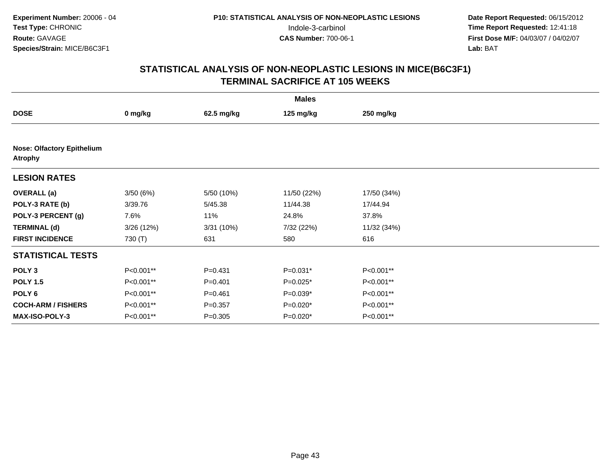| <b>Males</b>                                        |           |             |             |             |  |  |  |
|-----------------------------------------------------|-----------|-------------|-------------|-------------|--|--|--|
| <b>DOSE</b>                                         | 0 mg/kg   | 62.5 mg/kg  | 125 mg/kg   | 250 mg/kg   |  |  |  |
|                                                     |           |             |             |             |  |  |  |
| <b>Nose: Olfactory Epithelium</b><br><b>Atrophy</b> |           |             |             |             |  |  |  |
| <b>LESION RATES</b>                                 |           |             |             |             |  |  |  |
| <b>OVERALL (a)</b>                                  | 3/50(6%)  | 5/50 (10%)  | 11/50 (22%) | 17/50 (34%) |  |  |  |
| POLY-3 RATE (b)                                     | 3/39.76   | 5/45.38     | 11/44.38    | 17/44.94    |  |  |  |
| POLY-3 PERCENT (g)                                  | 7.6%      | 11%         | 24.8%       | 37.8%       |  |  |  |
| <b>TERMINAL (d)</b>                                 | 3/26(12%) | 3/31 (10%)  | 7/32 (22%)  | 11/32 (34%) |  |  |  |
| <b>FIRST INCIDENCE</b>                              | 730 (T)   | 631         | 580         | 616         |  |  |  |
| <b>STATISTICAL TESTS</b>                            |           |             |             |             |  |  |  |
| POLY <sub>3</sub>                                   | P<0.001** | $P = 0.431$ | $P=0.031*$  | P<0.001**   |  |  |  |
| <b>POLY 1.5</b>                                     | P<0.001** | $P = 0.401$ | $P=0.025*$  | P<0.001**   |  |  |  |
| POLY 6                                              | P<0.001** | $P = 0.461$ | $P=0.039*$  | P<0.001**   |  |  |  |
| <b>COCH-ARM / FISHERS</b>                           | P<0.001** | $P = 0.357$ | $P=0.020*$  | P<0.001**   |  |  |  |
| MAX-ISO-POLY-3                                      | P<0.001** | $P = 0.305$ | $P=0.020*$  | P<0.001**   |  |  |  |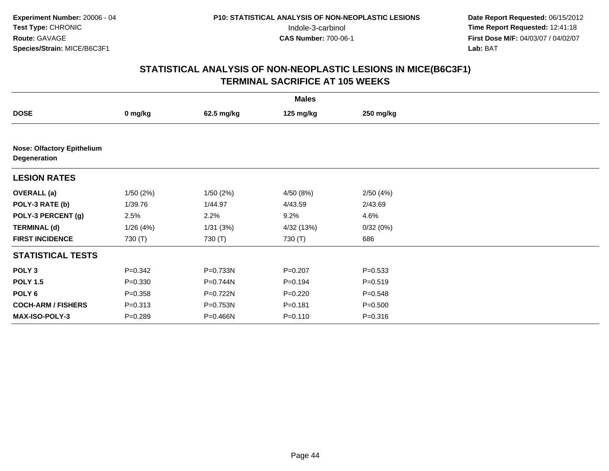| <b>Males</b>                                      |             |            |             |             |  |  |  |
|---------------------------------------------------|-------------|------------|-------------|-------------|--|--|--|
| <b>DOSE</b>                                       | 0 mg/kg     | 62.5 mg/kg | 125 mg/kg   | 250 mg/kg   |  |  |  |
|                                                   |             |            |             |             |  |  |  |
| <b>Nose: Olfactory Epithelium</b><br>Degeneration |             |            |             |             |  |  |  |
| <b>LESION RATES</b>                               |             |            |             |             |  |  |  |
| <b>OVERALL</b> (a)                                | 1/50(2%)    | 1/50(2%)   | 4/50(8%)    | 2/50(4%)    |  |  |  |
| POLY-3 RATE (b)                                   | 1/39.76     | 1/44.97    | 4/43.59     | 2/43.69     |  |  |  |
| POLY-3 PERCENT (g)                                | 2.5%        | 2.2%       | 9.2%        | 4.6%        |  |  |  |
| <b>TERMINAL (d)</b>                               | 1/26(4%)    | 1/31(3%)   | 4/32 (13%)  | 0/32(0%)    |  |  |  |
| <b>FIRST INCIDENCE</b>                            | 730 (T)     | 730 (T)    | 730 (T)     | 686         |  |  |  |
| <b>STATISTICAL TESTS</b>                          |             |            |             |             |  |  |  |
| POLY <sub>3</sub>                                 | $P = 0.342$ | P=0.733N   | $P = 0.207$ | $P = 0.533$ |  |  |  |
| <b>POLY 1.5</b>                                   | $P = 0.330$ | P=0.744N   | $P = 0.194$ | $P = 0.519$ |  |  |  |
| POLY 6                                            | $P = 0.358$ | P=0.722N   | $P=0.220$   | $P = 0.548$ |  |  |  |
| <b>COCH-ARM / FISHERS</b>                         | $P = 0.313$ | P=0.753N   | $P = 0.181$ | $P = 0.500$ |  |  |  |
| <b>MAX-ISO-POLY-3</b>                             | $P = 0.289$ | P=0.466N   | $P = 0.110$ | $P = 0.316$ |  |  |  |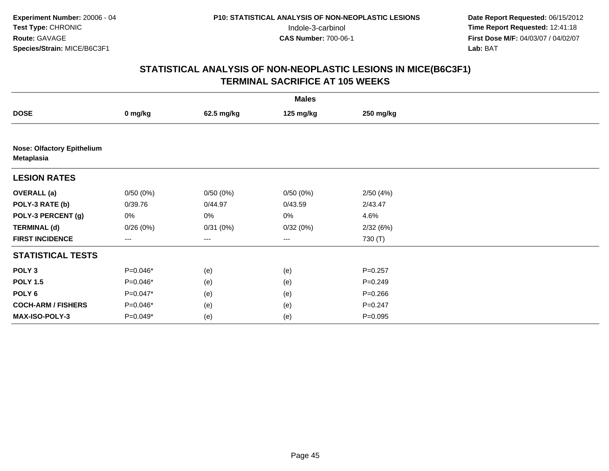| <b>Males</b>                                    |                   |            |                   |             |  |  |
|-------------------------------------------------|-------------------|------------|-------------------|-------------|--|--|
| <b>DOSE</b>                                     | 0 mg/kg           | 62.5 mg/kg | 125 mg/kg         | 250 mg/kg   |  |  |
|                                                 |                   |            |                   |             |  |  |
| <b>Nose: Olfactory Epithelium</b><br>Metaplasia |                   |            |                   |             |  |  |
| <b>LESION RATES</b>                             |                   |            |                   |             |  |  |
| <b>OVERALL</b> (a)                              | 0/50(0%)          | 0/50(0%)   | 0/50(0%)          | 2/50(4%)    |  |  |
| POLY-3 RATE (b)                                 | 0/39.76           | 0/44.97    | 0/43.59           | 2/43.47     |  |  |
| POLY-3 PERCENT (g)                              | 0%                | 0%         | 0%                | 4.6%        |  |  |
| <b>TERMINAL (d)</b>                             | 0/26(0%)          | 0/31(0%)   | 0/32(0%)          | 2/32(6%)    |  |  |
| <b>FIRST INCIDENCE</b>                          | $\qquad \qquad -$ | ---        | $\qquad \qquad -$ | 730 (T)     |  |  |
| <b>STATISTICAL TESTS</b>                        |                   |            |                   |             |  |  |
| POLY <sub>3</sub>                               | $P=0.046*$        | (e)        | (e)               | $P = 0.257$ |  |  |
| <b>POLY 1.5</b>                                 | $P=0.046*$        | (e)        | (e)               | $P = 0.249$ |  |  |
| POLY <sub>6</sub>                               | P=0.047*          | (e)        | (e)               | $P = 0.266$ |  |  |
| <b>COCH-ARM / FISHERS</b>                       | P=0.046*          | (e)        | (e)               | $P=0.247$   |  |  |
| MAX-ISO-POLY-3                                  | P=0.049*          | (e)        | (e)               | $P = 0.095$ |  |  |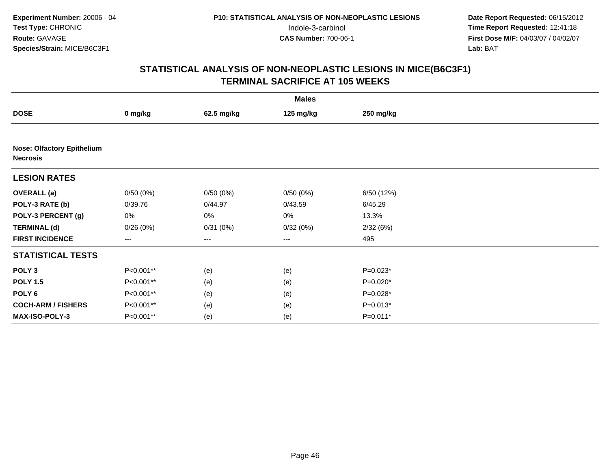| <b>Males</b>                                         |                   |            |                   |            |  |  |  |
|------------------------------------------------------|-------------------|------------|-------------------|------------|--|--|--|
| <b>DOSE</b>                                          | 0 mg/kg           | 62.5 mg/kg | 125 mg/kg         | 250 mg/kg  |  |  |  |
|                                                      |                   |            |                   |            |  |  |  |
| <b>Nose: Olfactory Epithelium</b><br><b>Necrosis</b> |                   |            |                   |            |  |  |  |
| <b>LESION RATES</b>                                  |                   |            |                   |            |  |  |  |
| <b>OVERALL</b> (a)                                   | 0/50(0%)          | 0/50(0%)   | 0/50(0%)          | 6/50 (12%) |  |  |  |
| POLY-3 RATE (b)                                      | 0/39.76           | 0/44.97    | 0/43.59           | 6/45.29    |  |  |  |
| POLY-3 PERCENT (g)                                   | 0%                | 0%         | 0%                | 13.3%      |  |  |  |
| <b>TERMINAL (d)</b>                                  | 0/26(0%)          | 0/31(0%)   | 0/32(0%)          | 2/32(6%)   |  |  |  |
| <b>FIRST INCIDENCE</b>                               | $\qquad \qquad -$ | ---        | $\qquad \qquad -$ | 495        |  |  |  |
| <b>STATISTICAL TESTS</b>                             |                   |            |                   |            |  |  |  |
| POLY <sub>3</sub>                                    | P<0.001**         | (e)        | (e)               | $P=0.023*$ |  |  |  |
| <b>POLY 1.5</b>                                      | P<0.001**         | (e)        | (e)               | $P=0.020*$ |  |  |  |
| POLY <sub>6</sub>                                    | P<0.001**         | (e)        | (e)               | P=0.028*   |  |  |  |
| <b>COCH-ARM / FISHERS</b>                            | P<0.001**         | (e)        | (e)               | $P=0.013*$ |  |  |  |
| MAX-ISO-POLY-3                                       | P<0.001**         | (e)        | (e)               | P=0.011*   |  |  |  |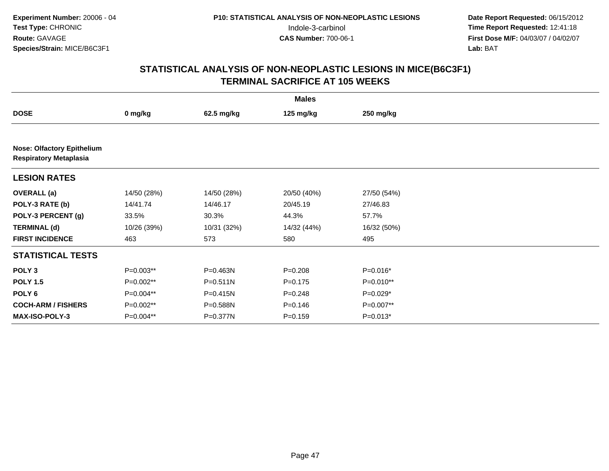| <b>Males</b>                                                       |             |              |             |             |  |  |  |
|--------------------------------------------------------------------|-------------|--------------|-------------|-------------|--|--|--|
| <b>DOSE</b>                                                        | 0 mg/kg     | 62.5 mg/kg   | 125 mg/kg   | 250 mg/kg   |  |  |  |
|                                                                    |             |              |             |             |  |  |  |
| <b>Nose: Olfactory Epithelium</b><br><b>Respiratory Metaplasia</b> |             |              |             |             |  |  |  |
| <b>LESION RATES</b>                                                |             |              |             |             |  |  |  |
| <b>OVERALL</b> (a)                                                 | 14/50 (28%) | 14/50 (28%)  | 20/50 (40%) | 27/50 (54%) |  |  |  |
| POLY-3 RATE (b)                                                    | 14/41.74    | 14/46.17     | 20/45.19    | 27/46.83    |  |  |  |
| POLY-3 PERCENT (g)                                                 | 33.5%       | 30.3%        | 44.3%       | 57.7%       |  |  |  |
| <b>TERMINAL (d)</b>                                                | 10/26 (39%) | 10/31 (32%)  | 14/32 (44%) | 16/32 (50%) |  |  |  |
| <b>FIRST INCIDENCE</b>                                             | 463         | 573          | 580         | 495         |  |  |  |
| <b>STATISTICAL TESTS</b>                                           |             |              |             |             |  |  |  |
| POLY <sub>3</sub>                                                  | $P=0.003**$ | P=0.463N     | $P = 0.208$ | P=0.016*    |  |  |  |
| <b>POLY 1.5</b>                                                    | $P=0.002**$ | $P = 0.511N$ | $P = 0.175$ | P=0.010**   |  |  |  |
| POLY 6                                                             | P=0.004**   | $P = 0.415N$ | $P=0.248$   | $P=0.029*$  |  |  |  |
| <b>COCH-ARM / FISHERS</b>                                          | $P=0.002**$ | $P = 0.588N$ | $P = 0.146$ | P=0.007**   |  |  |  |
| <b>MAX-ISO-POLY-3</b>                                              | $P=0.004**$ | P=0.377N     | $P = 0.159$ | $P=0.013*$  |  |  |  |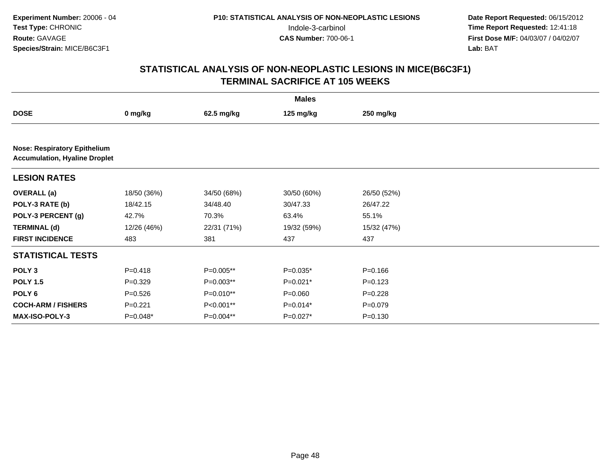|                                                                             | <b>Males</b> |             |             |             |  |  |  |
|-----------------------------------------------------------------------------|--------------|-------------|-------------|-------------|--|--|--|
| <b>DOSE</b>                                                                 | 0 mg/kg      | 62.5 mg/kg  | 125 mg/kg   | 250 mg/kg   |  |  |  |
|                                                                             |              |             |             |             |  |  |  |
| <b>Nose: Respiratory Epithelium</b><br><b>Accumulation, Hyaline Droplet</b> |              |             |             |             |  |  |  |
| <b>LESION RATES</b>                                                         |              |             |             |             |  |  |  |
| <b>OVERALL</b> (a)                                                          | 18/50 (36%)  | 34/50 (68%) | 30/50 (60%) | 26/50 (52%) |  |  |  |
| POLY-3 RATE (b)                                                             | 18/42.15     | 34/48.40    | 30/47.33    | 26/47.22    |  |  |  |
| POLY-3 PERCENT (g)                                                          | 42.7%        | 70.3%       | 63.4%       | 55.1%       |  |  |  |
| <b>TERMINAL (d)</b>                                                         | 12/26 (46%)  | 22/31 (71%) | 19/32 (59%) | 15/32 (47%) |  |  |  |
| <b>FIRST INCIDENCE</b>                                                      | 483          | 381         | 437         | 437         |  |  |  |
| <b>STATISTICAL TESTS</b>                                                    |              |             |             |             |  |  |  |
| POLY <sub>3</sub>                                                           | $P=0.418$    | $P=0.005**$ | $P=0.035*$  | $P = 0.166$ |  |  |  |
| <b>POLY 1.5</b>                                                             | $P=0.329$    | $P=0.003**$ | $P=0.021*$  | $P=0.123$   |  |  |  |
| POLY <sub>6</sub>                                                           | $P=0.526$    | P=0.010**   | $P = 0.060$ | $P=0.228$   |  |  |  |
| <b>COCH-ARM / FISHERS</b>                                                   | $P=0.221$    | P<0.001**   | $P=0.014*$  | $P=0.079$   |  |  |  |
| MAX-ISO-POLY-3                                                              | P=0.048*     | P=0.004**   | P=0.027*    | $P = 0.130$ |  |  |  |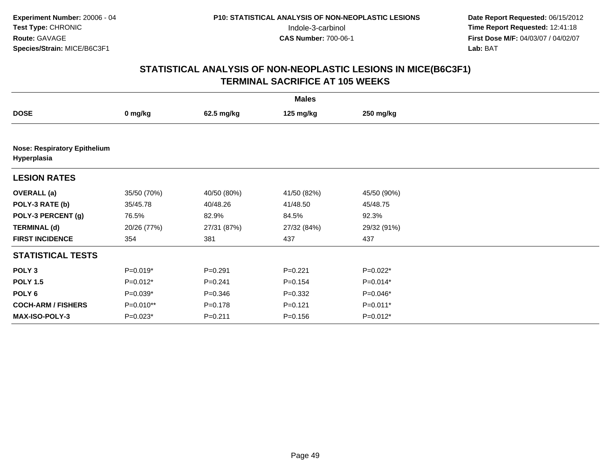| <b>Males</b>              |                                     |             |             |             |  |  |  |  |
|---------------------------|-------------------------------------|-------------|-------------|-------------|--|--|--|--|
| <b>DOSE</b>               | 0 mg/kg                             | 62.5 mg/kg  | 125 mg/kg   | 250 mg/kg   |  |  |  |  |
|                           |                                     |             |             |             |  |  |  |  |
| Hyperplasia               | <b>Nose: Respiratory Epithelium</b> |             |             |             |  |  |  |  |
| <b>LESION RATES</b>       |                                     |             |             |             |  |  |  |  |
| <b>OVERALL</b> (a)        | 35/50 (70%)                         | 40/50 (80%) | 41/50 (82%) | 45/50 (90%) |  |  |  |  |
| POLY-3 RATE (b)           | 35/45.78                            | 40/48.26    | 41/48.50    | 45/48.75    |  |  |  |  |
| POLY-3 PERCENT (g)        | 76.5%                               | 82.9%       | 84.5%       | 92.3%       |  |  |  |  |
| <b>TERMINAL (d)</b>       | 20/26 (77%)                         | 27/31 (87%) | 27/32 (84%) | 29/32 (91%) |  |  |  |  |
| <b>FIRST INCIDENCE</b>    | 354                                 | 381         | 437         | 437         |  |  |  |  |
| <b>STATISTICAL TESTS</b>  |                                     |             |             |             |  |  |  |  |
| POLY <sub>3</sub>         | $P=0.019*$                          | $P = 0.291$ | $P=0.221$   | $P=0.022*$  |  |  |  |  |
| <b>POLY 1.5</b>           | $P=0.012*$                          | $P = 0.241$ | $P=0.154$   | $P=0.014*$  |  |  |  |  |
| POLY <sub>6</sub>         | $P=0.039*$                          | $P = 0.346$ | $P=0.332$   | $P=0.046*$  |  |  |  |  |
| <b>COCH-ARM / FISHERS</b> | P=0.010**                           | $P = 0.178$ | $P = 0.121$ | $P=0.011*$  |  |  |  |  |
| MAX-ISO-POLY-3            | $P=0.023*$                          | $P = 0.211$ | $P = 0.156$ | $P=0.012*$  |  |  |  |  |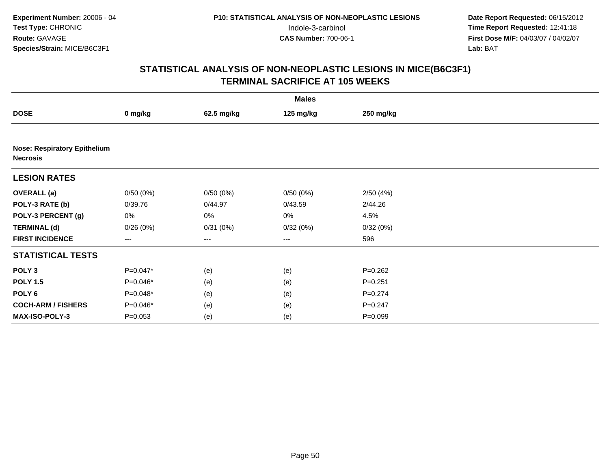|                                                        | <b>Males</b> |            |           |             |  |  |  |  |
|--------------------------------------------------------|--------------|------------|-----------|-------------|--|--|--|--|
| <b>DOSE</b>                                            | 0 mg/kg      | 62.5 mg/kg | 125 mg/kg | 250 mg/kg   |  |  |  |  |
|                                                        |              |            |           |             |  |  |  |  |
| <b>Nose: Respiratory Epithelium</b><br><b>Necrosis</b> |              |            |           |             |  |  |  |  |
| <b>LESION RATES</b>                                    |              |            |           |             |  |  |  |  |
| <b>OVERALL</b> (a)                                     | 0/50(0%)     | 0/50(0%)   | 0/50(0%)  | 2/50(4%)    |  |  |  |  |
| POLY-3 RATE (b)                                        | 0/39.76      | 0/44.97    | 0/43.59   | 2/44.26     |  |  |  |  |
| POLY-3 PERCENT (g)                                     | 0%           | 0%         | 0%        | 4.5%        |  |  |  |  |
| <b>TERMINAL (d)</b>                                    | 0/26(0%)     | 0/31(0%)   | 0/32(0%)  | 0/32(0%)    |  |  |  |  |
| <b>FIRST INCIDENCE</b>                                 | ---          | ---        | $--$      | 596         |  |  |  |  |
| <b>STATISTICAL TESTS</b>                               |              |            |           |             |  |  |  |  |
| POLY <sub>3</sub>                                      | $P=0.047*$   | (e)        | (e)       | $P = 0.262$ |  |  |  |  |
| <b>POLY 1.5</b>                                        | P=0.046*     | (e)        | (e)       | $P = 0.251$ |  |  |  |  |
| POLY 6                                                 | P=0.048*     | (e)        | (e)       | $P = 0.274$ |  |  |  |  |
| <b>COCH-ARM / FISHERS</b>                              | P=0.046*     | (e)        | (e)       | $P = 0.247$ |  |  |  |  |
| MAX-ISO-POLY-3                                         | $P = 0.053$  | (e)        | (e)       | $P = 0.099$ |  |  |  |  |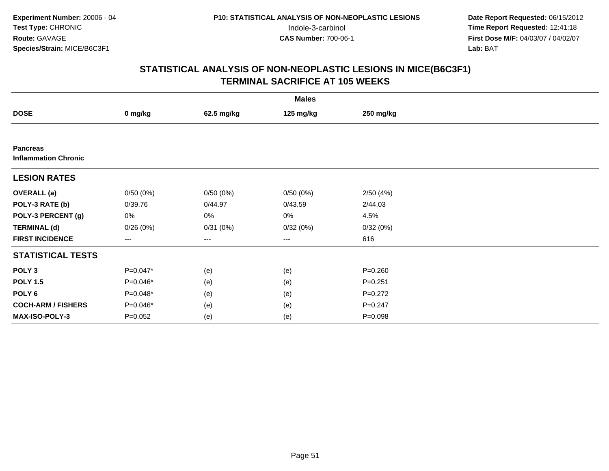| <b>Males</b>                                   |                   |            |           |             |  |  |  |
|------------------------------------------------|-------------------|------------|-----------|-------------|--|--|--|
| <b>DOSE</b>                                    | 0 mg/kg           | 62.5 mg/kg | 125 mg/kg | 250 mg/kg   |  |  |  |
|                                                |                   |            |           |             |  |  |  |
| <b>Pancreas</b><br><b>Inflammation Chronic</b> |                   |            |           |             |  |  |  |
| <b>LESION RATES</b>                            |                   |            |           |             |  |  |  |
| <b>OVERALL</b> (a)                             | 0/50(0%)          | 0/50(0%)   | 0/50(0%)  | 2/50(4%)    |  |  |  |
| POLY-3 RATE (b)                                | 0/39.76           | 0/44.97    | 0/43.59   | 2/44.03     |  |  |  |
| POLY-3 PERCENT (g)                             | 0%                | $0\%$      | 0%        | 4.5%        |  |  |  |
| <b>TERMINAL (d)</b>                            | 0/26(0%)          | 0/31(0%)   | 0/32(0%)  | 0/32(0%)    |  |  |  |
| <b>FIRST INCIDENCE</b>                         | $\qquad \qquad -$ | ---        | ---       | 616         |  |  |  |
| <b>STATISTICAL TESTS</b>                       |                   |            |           |             |  |  |  |
| POLY <sub>3</sub>                              | P=0.047*          | (e)        | (e)       | $P = 0.260$ |  |  |  |
| <b>POLY 1.5</b>                                | $P=0.046*$        | (e)        | (e)       | $P = 0.251$ |  |  |  |
| POLY <sub>6</sub>                              | $P=0.048*$        | (e)        | (e)       | $P=0.272$   |  |  |  |
| <b>COCH-ARM / FISHERS</b>                      | $P=0.046*$        | (e)        | (e)       | $P = 0.247$ |  |  |  |
| MAX-ISO-POLY-3                                 | $P = 0.052$       | (e)        | (e)       | $P = 0.098$ |  |  |  |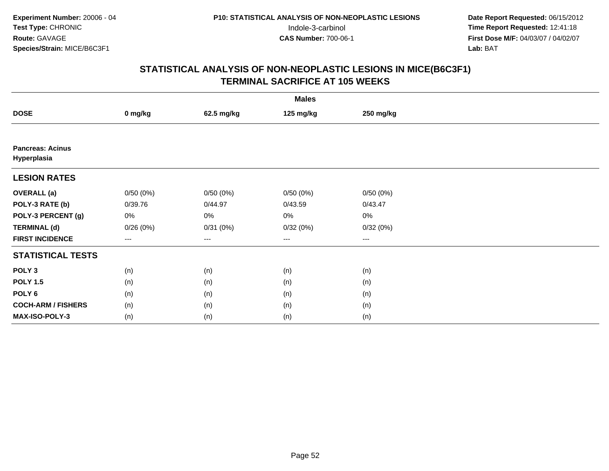|                                        | <b>Males</b>           |            |           |           |  |  |  |  |
|----------------------------------------|------------------------|------------|-----------|-----------|--|--|--|--|
| <b>DOSE</b>                            | 0 mg/kg                | 62.5 mg/kg | 125 mg/kg | 250 mg/kg |  |  |  |  |
|                                        |                        |            |           |           |  |  |  |  |
| <b>Pancreas: Acinus</b><br>Hyperplasia |                        |            |           |           |  |  |  |  |
| <b>LESION RATES</b>                    |                        |            |           |           |  |  |  |  |
| <b>OVERALL</b> (a)                     | 0/50(0%)               | 0/50(0%)   | 0/50(0%)  | 0/50(0%)  |  |  |  |  |
| POLY-3 RATE (b)                        | 0/39.76                | 0/44.97    | 0/43.59   | 0/43.47   |  |  |  |  |
| POLY-3 PERCENT (g)                     | 0%                     | 0%         | 0%        | 0%        |  |  |  |  |
| <b>TERMINAL (d)</b>                    | 0/26(0%)               | 0/31(0%)   | 0/32(0%)  | 0/32(0%)  |  |  |  |  |
| <b>FIRST INCIDENCE</b>                 | $\qquad \qquad \cdots$ | ---        | $---$     | $\cdots$  |  |  |  |  |
| <b>STATISTICAL TESTS</b>               |                        |            |           |           |  |  |  |  |
| POLY <sub>3</sub>                      | (n)                    | (n)        | (n)       | (n)       |  |  |  |  |
| <b>POLY 1.5</b>                        | (n)                    | (n)        | (n)       | (n)       |  |  |  |  |
| POLY <sub>6</sub>                      | (n)                    | (n)        | (n)       | (n)       |  |  |  |  |
| <b>COCH-ARM / FISHERS</b>              | (n)                    | (n)        | (n)       | (n)       |  |  |  |  |
| MAX-ISO-POLY-3                         | (n)                    | (n)        | (n)       | (n)       |  |  |  |  |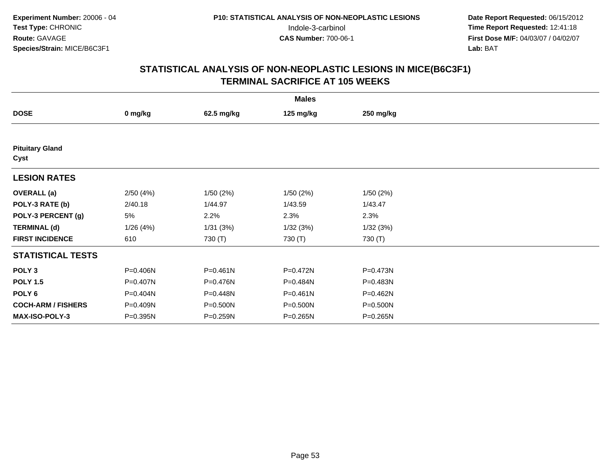| <b>DOSE</b>                    | 0 mg/kg  | 62.5 mg/kg   | 125 mg/kg    | 250 mg/kg |  |
|--------------------------------|----------|--------------|--------------|-----------|--|
|                                |          |              |              |           |  |
| <b>Pituitary Gland</b><br>Cyst |          |              |              |           |  |
| <b>LESION RATES</b>            |          |              |              |           |  |
| <b>OVERALL</b> (a)             | 2/50(4%) | 1/50(2%)     | 1/50(2%)     | 1/50(2%)  |  |
| POLY-3 RATE (b)                | 2/40.18  | 1/44.97      | 1/43.59      | 1/43.47   |  |
| POLY-3 PERCENT (g)             | 5%       | 2.2%         | 2.3%         | 2.3%      |  |
| <b>TERMINAL (d)</b>            | 1/26(4%) | 1/31(3%)     | 1/32(3%)     | 1/32(3%)  |  |
| <b>FIRST INCIDENCE</b>         | 610      | 730 (T)      | 730 (T)      | 730 (T)   |  |
| <b>STATISTICAL TESTS</b>       |          |              |              |           |  |
| POLY <sub>3</sub>              | P=0.406N | $P = 0.461N$ | P=0.472N     | P=0.473N  |  |
| <b>POLY 1.5</b>                | P=0.407N | P=0.476N     | P=0.484N     | P=0.483N  |  |
| POLY <sub>6</sub>              | P=0.404N | P=0.448N     | $P = 0.461N$ | P=0.462N  |  |
| <b>COCH-ARM / FISHERS</b>      | P=0.409N | P=0.500N     | P=0.500N     | P=0.500N  |  |
| <b>MAX-ISO-POLY-3</b>          | P=0.395N | P=0.259N     | P=0.265N     | P=0.265N  |  |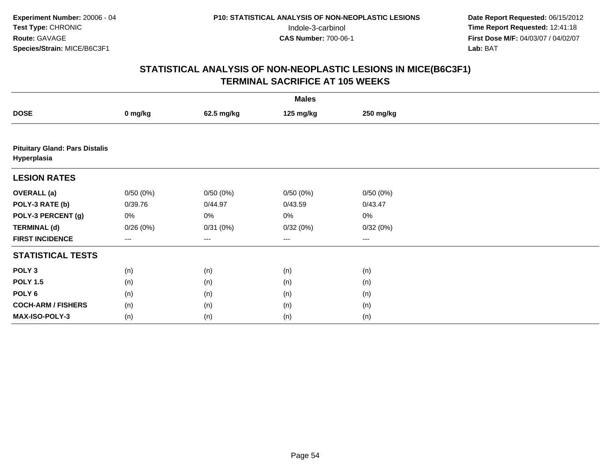|                                                      | <b>Males</b> |            |           |           |  |  |  |  |
|------------------------------------------------------|--------------|------------|-----------|-----------|--|--|--|--|
| <b>DOSE</b>                                          | 0 mg/kg      | 62.5 mg/kg | 125 mg/kg | 250 mg/kg |  |  |  |  |
|                                                      |              |            |           |           |  |  |  |  |
| <b>Pituitary Gland: Pars Distalis</b><br>Hyperplasia |              |            |           |           |  |  |  |  |
| <b>LESION RATES</b>                                  |              |            |           |           |  |  |  |  |
| <b>OVERALL</b> (a)                                   | 0/50(0%)     | 0/50(0%)   | 0/50(0%)  | 0/50(0%)  |  |  |  |  |
| POLY-3 RATE (b)                                      | 0/39.76      | 0/44.97    | 0/43.59   | 0/43.47   |  |  |  |  |
| POLY-3 PERCENT (g)                                   | 0%           | 0%         | 0%        | 0%        |  |  |  |  |
| <b>TERMINAL (d)</b>                                  | 0/26(0%)     | 0/31(0%)   | 0/32(0%)  | 0/32(0%)  |  |  |  |  |
| <b>FIRST INCIDENCE</b>                               | $---$        | $---$      | ---       | $---$     |  |  |  |  |
| <b>STATISTICAL TESTS</b>                             |              |            |           |           |  |  |  |  |
| POLY <sub>3</sub>                                    | (n)          | (n)        | (n)       | (n)       |  |  |  |  |
| <b>POLY 1.5</b>                                      | (n)          | (n)        | (n)       | (n)       |  |  |  |  |
| POLY <sub>6</sub>                                    | (n)          | (n)        | (n)       | (n)       |  |  |  |  |
| <b>COCH-ARM / FISHERS</b>                            | (n)          | (n)        | (n)       | (n)       |  |  |  |  |
| MAX-ISO-POLY-3                                       | (n)          | (n)        | (n)       | (n)       |  |  |  |  |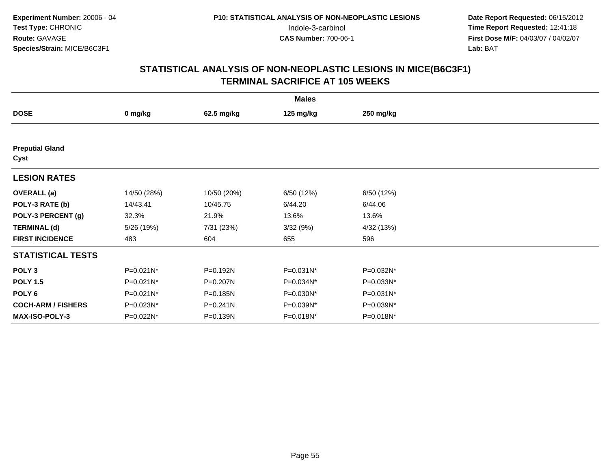| <b>Males</b>                   |              |              |            |            |  |  |  |
|--------------------------------|--------------|--------------|------------|------------|--|--|--|
| <b>DOSE</b>                    | 0 mg/kg      | 62.5 mg/kg   | 125 mg/kg  | 250 mg/kg  |  |  |  |
|                                |              |              |            |            |  |  |  |
| <b>Preputial Gland</b><br>Cyst |              |              |            |            |  |  |  |
| <b>LESION RATES</b>            |              |              |            |            |  |  |  |
| <b>OVERALL</b> (a)             | 14/50 (28%)  | 10/50 (20%)  | 6/50 (12%) | 6/50 (12%) |  |  |  |
| POLY-3 RATE (b)                | 14/43.41     | 10/45.75     | 6/44.20    | 6/44.06    |  |  |  |
| POLY-3 PERCENT (g)             | 32.3%        | 21.9%        | 13.6%      | 13.6%      |  |  |  |
| <b>TERMINAL (d)</b>            | 5/26 (19%)   | 7/31 (23%)   | 3/32(9%)   | 4/32 (13%) |  |  |  |
| <b>FIRST INCIDENCE</b>         | 483          | 604          | 655        | 596        |  |  |  |
| <b>STATISTICAL TESTS</b>       |              |              |            |            |  |  |  |
| POLY <sub>3</sub>              | P=0.021N*    | P=0.192N     | P=0.031N*  | P=0.032N*  |  |  |  |
| <b>POLY 1.5</b>                | P=0.021N*    | P=0.207N     | P=0.034N*  | P=0.033N*  |  |  |  |
| POLY <sub>6</sub>              | $P=0.021N^*$ | $P = 0.185N$ | P=0.030N*  | P=0.031N*  |  |  |  |
| <b>COCH-ARM / FISHERS</b>      | P=0.023N*    | $P = 0.241N$ | P=0.039N*  | P=0.039N*  |  |  |  |
| MAX-ISO-POLY-3                 | P=0.022N*    | P=0.139N     | P=0.018N*  | P=0.018N*  |  |  |  |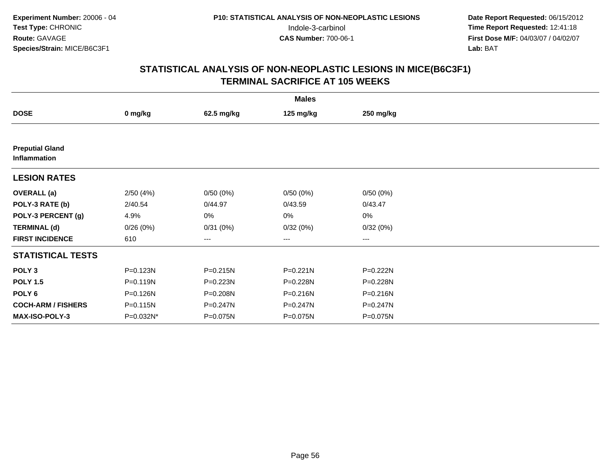|                                        | <b>Males</b> |              |           |              |  |  |  |  |
|----------------------------------------|--------------|--------------|-----------|--------------|--|--|--|--|
| <b>DOSE</b>                            | 0 mg/kg      | 62.5 mg/kg   | 125 mg/kg | 250 mg/kg    |  |  |  |  |
|                                        |              |              |           |              |  |  |  |  |
| <b>Preputial Gland</b><br>Inflammation |              |              |           |              |  |  |  |  |
| <b>LESION RATES</b>                    |              |              |           |              |  |  |  |  |
| <b>OVERALL</b> (a)                     | 2/50(4%)     | 0/50(0%)     | 0/50(0%)  | 0/50(0%)     |  |  |  |  |
| POLY-3 RATE (b)                        | 2/40.54      | 0/44.97      | 0/43.59   | 0/43.47      |  |  |  |  |
| POLY-3 PERCENT (g)                     | 4.9%         | 0%           | 0%        | 0%           |  |  |  |  |
| <b>TERMINAL (d)</b>                    | 0/26(0%)     | 0/31(0%)     | 0/32(0%)  | 0/32(0%)     |  |  |  |  |
| <b>FIRST INCIDENCE</b>                 | 610          | ---          | ---       | ---          |  |  |  |  |
| <b>STATISTICAL TESTS</b>               |              |              |           |              |  |  |  |  |
| POLY <sub>3</sub>                      | P=0.123N     | P=0.215N     | P=0.221N  | P=0.222N     |  |  |  |  |
| <b>POLY 1.5</b>                        | $P = 0.119N$ | $P = 0.223N$ | P=0.228N  | P=0.228N     |  |  |  |  |
| POLY <sub>6</sub>                      | P=0.126N     | P=0.208N     | P=0.216N  | $P = 0.216N$ |  |  |  |  |
| <b>COCH-ARM / FISHERS</b>              | P=0.115N     | P=0.247N     | P=0.247N  | P=0.247N     |  |  |  |  |
| <b>MAX-ISO-POLY-3</b>                  | P=0.032N*    | P=0.075N     | P=0.075N  | P=0.075N     |  |  |  |  |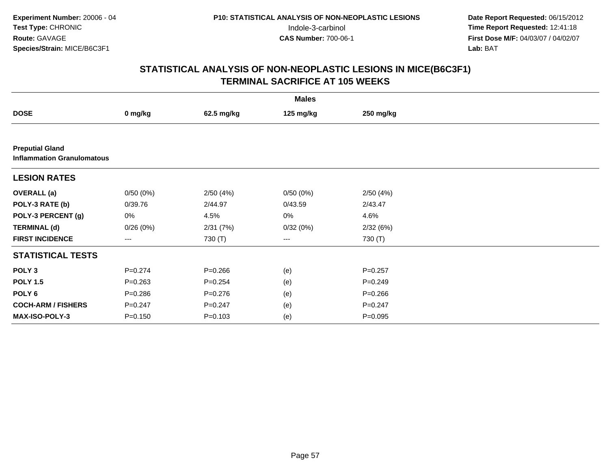| <b>Males</b>                                                |             |             |           |             |  |  |  |
|-------------------------------------------------------------|-------------|-------------|-----------|-------------|--|--|--|
| <b>DOSE</b>                                                 | 0 mg/kg     | 62.5 mg/kg  | 125 mg/kg | 250 mg/kg   |  |  |  |
|                                                             |             |             |           |             |  |  |  |
| <b>Preputial Gland</b><br><b>Inflammation Granulomatous</b> |             |             |           |             |  |  |  |
| <b>LESION RATES</b>                                         |             |             |           |             |  |  |  |
| <b>OVERALL</b> (a)                                          | 0/50(0%)    | 2/50(4%)    | 0/50(0%)  | 2/50(4%)    |  |  |  |
| POLY-3 RATE (b)                                             | 0/39.76     | 2/44.97     | 0/43.59   | 2/43.47     |  |  |  |
| POLY-3 PERCENT (g)                                          | 0%          | 4.5%        | 0%        | 4.6%        |  |  |  |
| <b>TERMINAL (d)</b>                                         | 0/26(0%)    | 2/31(7%)    | 0/32(0%)  | 2/32(6%)    |  |  |  |
| <b>FIRST INCIDENCE</b>                                      | ---         | 730 (T)     | $\cdots$  | 730 (T)     |  |  |  |
| <b>STATISTICAL TESTS</b>                                    |             |             |           |             |  |  |  |
| POLY <sub>3</sub>                                           | $P = 0.274$ | $P = 0.266$ | (e)       | $P = 0.257$ |  |  |  |
| <b>POLY 1.5</b>                                             | $P = 0.263$ | $P = 0.254$ | (e)       | $P=0.249$   |  |  |  |
| POLY 6                                                      | $P = 0.286$ | $P = 0.276$ | (e)       | $P = 0.266$ |  |  |  |
| <b>COCH-ARM / FISHERS</b>                                   | $P = 0.247$ | $P = 0.247$ | (e)       | $P = 0.247$ |  |  |  |
| <b>MAX-ISO-POLY-3</b>                                       | $P = 0.150$ | $P = 0.103$ | (e)       | $P = 0.095$ |  |  |  |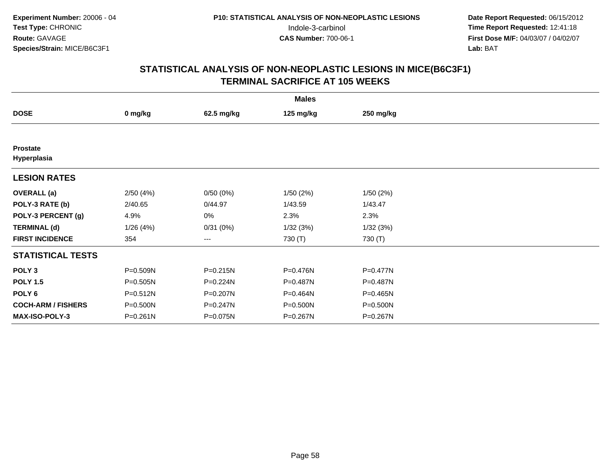| <b>Males</b>                   |          |            |              |              |  |  |  |
|--------------------------------|----------|------------|--------------|--------------|--|--|--|
| <b>DOSE</b>                    | 0 mg/kg  | 62.5 mg/kg | 125 mg/kg    | 250 mg/kg    |  |  |  |
|                                |          |            |              |              |  |  |  |
| <b>Prostate</b><br>Hyperplasia |          |            |              |              |  |  |  |
| <b>LESION RATES</b>            |          |            |              |              |  |  |  |
| <b>OVERALL</b> (a)             | 2/50(4%) | 0/50(0%)   | 1/50(2%)     | 1/50(2%)     |  |  |  |
| POLY-3 RATE (b)                | 2/40.65  | 0/44.97    | 1/43.59      | 1/43.47      |  |  |  |
| POLY-3 PERCENT (g)             | 4.9%     | 0%         | 2.3%         | 2.3%         |  |  |  |
| <b>TERMINAL (d)</b>            | 1/26(4%) | 0/31(0%)   | 1/32(3%)     | 1/32(3%)     |  |  |  |
| <b>FIRST INCIDENCE</b>         | 354      | $\cdots$   | 730 (T)      | 730 (T)      |  |  |  |
| <b>STATISTICAL TESTS</b>       |          |            |              |              |  |  |  |
| POLY <sub>3</sub>              | P=0.509N | P=0.215N   | P=0.476N     | $P = 0.477N$ |  |  |  |
| <b>POLY 1.5</b>                | P=0.505N | P=0.224N   | $P = 0.487N$ | P=0.487N     |  |  |  |
| POLY <sub>6</sub>              | P=0.512N | P=0.207N   | P=0.464N     | $P = 0.465N$ |  |  |  |
| <b>COCH-ARM / FISHERS</b>      | P=0.500N | P=0.247N   | P=0.500N     | P=0.500N     |  |  |  |
| <b>MAX-ISO-POLY-3</b>          | P=0.261N | P=0.075N   | P=0.267N     | P=0.267N     |  |  |  |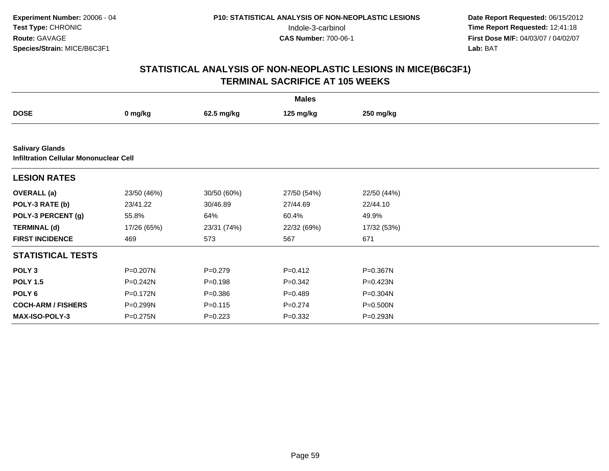| <b>Males</b>              |                                               |             |             |              |  |  |  |  |  |
|---------------------------|-----------------------------------------------|-------------|-------------|--------------|--|--|--|--|--|
| <b>DOSE</b>               | 0 mg/kg                                       | 62.5 mg/kg  | 125 mg/kg   | 250 mg/kg    |  |  |  |  |  |
|                           |                                               |             |             |              |  |  |  |  |  |
| <b>Salivary Glands</b>    | <b>Infiltration Cellular Mononuclear Cell</b> |             |             |              |  |  |  |  |  |
| <b>LESION RATES</b>       |                                               |             |             |              |  |  |  |  |  |
| <b>OVERALL</b> (a)        | 23/50 (46%)                                   | 30/50 (60%) | 27/50 (54%) | 22/50 (44%)  |  |  |  |  |  |
| POLY-3 RATE (b)           | 23/41.22                                      | 30/46.89    | 27/44.69    | 22/44.10     |  |  |  |  |  |
| POLY-3 PERCENT (g)        | 55.8%                                         | 64%         | 60.4%       | 49.9%        |  |  |  |  |  |
| <b>TERMINAL (d)</b>       | 17/26 (65%)                                   | 23/31 (74%) | 22/32 (69%) | 17/32 (53%)  |  |  |  |  |  |
| <b>FIRST INCIDENCE</b>    | 469                                           | 573         | 567         | 671          |  |  |  |  |  |
| <b>STATISTICAL TESTS</b>  |                                               |             |             |              |  |  |  |  |  |
| POLY <sub>3</sub>         | P=0.207N                                      | $P=0.279$   | $P=0.412$   | P=0.367N     |  |  |  |  |  |
| <b>POLY 1.5</b>           | P=0.242N                                      | $P = 0.198$ | $P = 0.342$ | $P = 0.423N$ |  |  |  |  |  |
| POLY 6                    | P=0.172N                                      | $P = 0.386$ | $P = 0.489$ | P=0.304N     |  |  |  |  |  |
| <b>COCH-ARM / FISHERS</b> | P=0.299N                                      | $P = 0.115$ | $P = 0.274$ | P=0.500N     |  |  |  |  |  |
| <b>MAX-ISO-POLY-3</b>     | P=0.275N                                      | $P=0.223$   | $P = 0.332$ | P=0.293N     |  |  |  |  |  |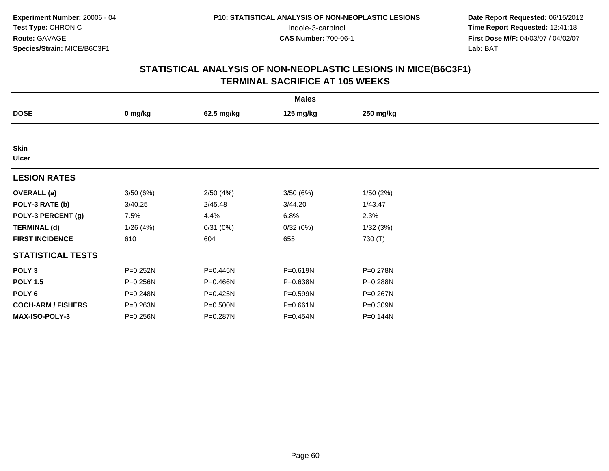|                             | <b>Males</b> |            |           |           |  |  |  |  |
|-----------------------------|--------------|------------|-----------|-----------|--|--|--|--|
| <b>DOSE</b>                 | 0 mg/kg      | 62.5 mg/kg | 125 mg/kg | 250 mg/kg |  |  |  |  |
|                             |              |            |           |           |  |  |  |  |
| <b>Skin</b><br><b>Ulcer</b> |              |            |           |           |  |  |  |  |
| <b>LESION RATES</b>         |              |            |           |           |  |  |  |  |
| <b>OVERALL</b> (a)          | 3/50(6%)     | 2/50(4%)   | 3/50(6%)  | 1/50(2%)  |  |  |  |  |
| POLY-3 RATE (b)             | 3/40.25      | 2/45.48    | 3/44.20   | 1/43.47   |  |  |  |  |
| POLY-3 PERCENT (g)          | 7.5%         | 4.4%       | 6.8%      | 2.3%      |  |  |  |  |
| <b>TERMINAL (d)</b>         | 1/26(4%)     | 0/31(0%)   | 0/32(0%)  | 1/32(3%)  |  |  |  |  |
| <b>FIRST INCIDENCE</b>      | 610          | 604        | 655       | 730 (T)   |  |  |  |  |
| <b>STATISTICAL TESTS</b>    |              |            |           |           |  |  |  |  |
| POLY <sub>3</sub>           | P=0.252N     | P=0.445N   | P=0.619N  | P=0.278N  |  |  |  |  |
| <b>POLY 1.5</b>             | P=0.256N     | P=0.466N   | P=0.638N  | P=0.288N  |  |  |  |  |
| POLY 6                      | P=0.248N     | P=0.425N   | P=0.599N  | P=0.267N  |  |  |  |  |
| <b>COCH-ARM / FISHERS</b>   | P=0.263N     | P=0.500N   | P=0.661N  | P=0.309N  |  |  |  |  |
| MAX-ISO-POLY-3              | P=0.256N     | P=0.287N   | P=0.454N  | P=0.144N  |  |  |  |  |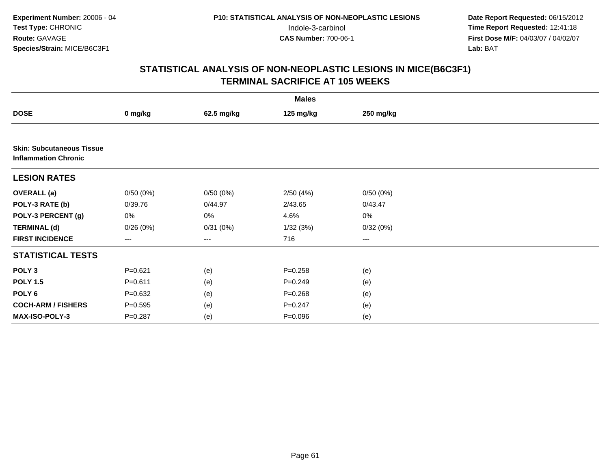|                                                                 |             |            | <b>Males</b> |           |  |
|-----------------------------------------------------------------|-------------|------------|--------------|-----------|--|
| <b>DOSE</b>                                                     | 0 mg/kg     | 62.5 mg/kg | 125 mg/kg    | 250 mg/kg |  |
|                                                                 |             |            |              |           |  |
| <b>Skin: Subcutaneous Tissue</b><br><b>Inflammation Chronic</b> |             |            |              |           |  |
| <b>LESION RATES</b>                                             |             |            |              |           |  |
| <b>OVERALL (a)</b>                                              | 0/50(0%)    | 0/50(0%)   | 2/50(4%)     | 0/50(0%)  |  |
| POLY-3 RATE (b)                                                 | 0/39.76     | 0/44.97    | 2/43.65      | 0/43.47   |  |
| POLY-3 PERCENT (g)                                              | 0%          | 0%         | 4.6%         | $0\%$     |  |
| <b>TERMINAL (d)</b>                                             | 0/26(0%)    | 0/31(0%)   | 1/32(3%)     | 0/32(0%)  |  |
| <b>FIRST INCIDENCE</b>                                          | ---         | $--$       | 716          | $\cdots$  |  |
| <b>STATISTICAL TESTS</b>                                        |             |            |              |           |  |
| POLY <sub>3</sub>                                               | $P = 0.621$ | (e)        | $P = 0.258$  | (e)       |  |
| <b>POLY 1.5</b>                                                 | $P = 0.611$ | (e)        | $P = 0.249$  | (e)       |  |
| POLY 6                                                          | $P = 0.632$ | (e)        | $P = 0.268$  | (e)       |  |
| <b>COCH-ARM / FISHERS</b>                                       | $P = 0.595$ | (e)        | $P = 0.247$  | (e)       |  |
| MAX-ISO-POLY-3                                                  | $P=0.287$   | (e)        | $P = 0.096$  | (e)       |  |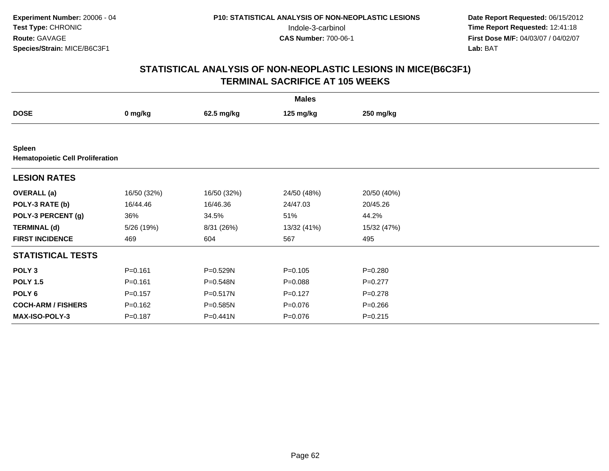|                                                          | <b>Males</b> |             |             |             |  |  |  |
|----------------------------------------------------------|--------------|-------------|-------------|-------------|--|--|--|
| <b>DOSE</b>                                              | 0 mg/kg      | 62.5 mg/kg  | 125 mg/kg   | 250 mg/kg   |  |  |  |
|                                                          |              |             |             |             |  |  |  |
| <b>Spleen</b><br><b>Hematopoietic Cell Proliferation</b> |              |             |             |             |  |  |  |
| <b>LESION RATES</b>                                      |              |             |             |             |  |  |  |
| <b>OVERALL</b> (a)                                       | 16/50 (32%)  | 16/50 (32%) | 24/50 (48%) | 20/50 (40%) |  |  |  |
| POLY-3 RATE (b)                                          | 16/44.46     | 16/46.36    | 24/47.03    | 20/45.26    |  |  |  |
| POLY-3 PERCENT (g)                                       | 36%          | 34.5%       | 51%         | 44.2%       |  |  |  |
| <b>TERMINAL (d)</b>                                      | 5/26 (19%)   | 8/31 (26%)  | 13/32 (41%) | 15/32 (47%) |  |  |  |
| <b>FIRST INCIDENCE</b>                                   | 469          | 604         | 567         | 495         |  |  |  |
| <b>STATISTICAL TESTS</b>                                 |              |             |             |             |  |  |  |
| POLY <sub>3</sub>                                        | $P = 0.161$  | P=0.529N    | $P = 0.105$ | $P = 0.280$ |  |  |  |
| <b>POLY 1.5</b>                                          | $P = 0.161$  | P=0.548N    | $P = 0.088$ | $P=0.277$   |  |  |  |
| POLY <sub>6</sub>                                        | $P = 0.157$  | P=0.517N    | $P=0.127$   | $P = 0.278$ |  |  |  |
| <b>COCH-ARM / FISHERS</b>                                | $P = 0.162$  | P=0.585N    | $P = 0.076$ | $P = 0.266$ |  |  |  |
| <b>MAX-ISO-POLY-3</b>                                    | $P = 0.187$  | P=0.441N    | $P = 0.076$ | $P = 0.215$ |  |  |  |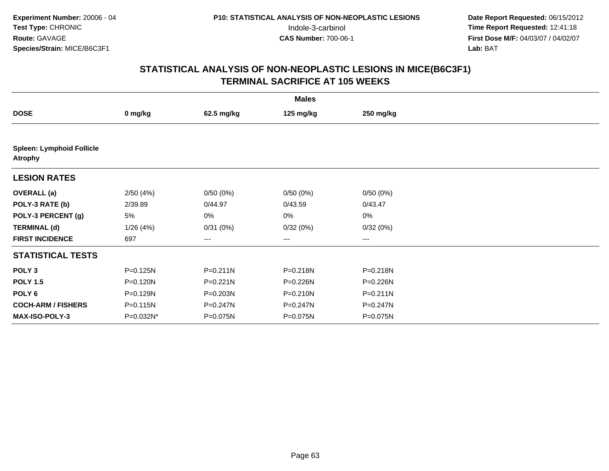|                                                    |           |            | <b>Males</b>           |           |  |
|----------------------------------------------------|-----------|------------|------------------------|-----------|--|
| <b>DOSE</b>                                        | 0 mg/kg   | 62.5 mg/kg | 125 mg/kg              | 250 mg/kg |  |
|                                                    |           |            |                        |           |  |
| <b>Spleen: Lymphoid Follicle</b><br><b>Atrophy</b> |           |            |                        |           |  |
| <b>LESION RATES</b>                                |           |            |                        |           |  |
| <b>OVERALL</b> (a)                                 | 2/50(4%)  | 0/50(0%)   | 0/50(0%)               | 0/50(0%)  |  |
| POLY-3 RATE (b)                                    | 2/39.89   | 0/44.97    | 0/43.59                | 0/43.47   |  |
| POLY-3 PERCENT (g)                                 | 5%        | 0%         | 0%                     | 0%        |  |
| <b>TERMINAL (d)</b>                                | 1/26(4%)  | 0/31(0%)   | 0/32(0%)               | 0/32(0%)  |  |
| <b>FIRST INCIDENCE</b>                             | 697       | ---        | $\qquad \qquad \cdots$ | ---       |  |
| <b>STATISTICAL TESTS</b>                           |           |            |                        |           |  |
| POLY <sub>3</sub>                                  | P=0.125N  | P=0.211N   | P=0.218N               | P=0.218N  |  |
| <b>POLY 1.5</b>                                    | P=0.120N  | P=0.221N   | P=0.226N               | P=0.226N  |  |
| POLY <sub>6</sub>                                  | P=0.129N  | P=0.203N   | $P = 0.210N$           | P=0.211N  |  |
| <b>COCH-ARM / FISHERS</b>                          | P=0.115N  | P=0.247N   | P=0.247N               | P=0.247N  |  |
| <b>MAX-ISO-POLY-3</b>                              | P=0.032N* | P=0.075N   | P=0.075N               | P=0.075N  |  |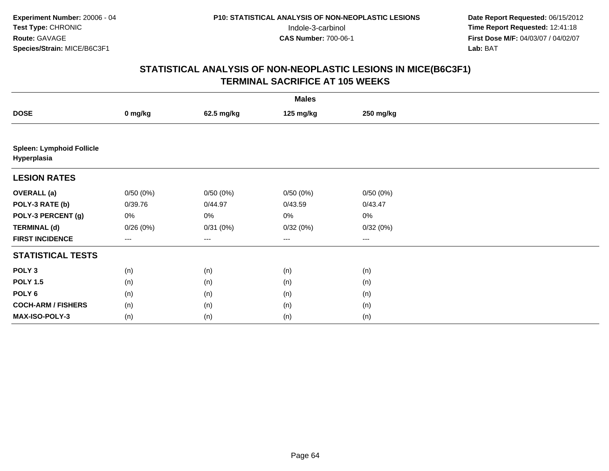|                                                 | <b>Males</b> |            |           |           |  |  |  |  |
|-------------------------------------------------|--------------|------------|-----------|-----------|--|--|--|--|
| <b>DOSE</b>                                     | 0 mg/kg      | 62.5 mg/kg | 125 mg/kg | 250 mg/kg |  |  |  |  |
|                                                 |              |            |           |           |  |  |  |  |
| <b>Spleen: Lymphoid Follicle</b><br>Hyperplasia |              |            |           |           |  |  |  |  |
| <b>LESION RATES</b>                             |              |            |           |           |  |  |  |  |
| <b>OVERALL</b> (a)                              | 0/50(0%)     | 0/50(0%)   | 0/50(0%)  | 0/50(0%)  |  |  |  |  |
| POLY-3 RATE (b)                                 | 0/39.76      | 0/44.97    | 0/43.59   | 0/43.47   |  |  |  |  |
| POLY-3 PERCENT (g)                              | 0%           | 0%         | 0%        | $0\%$     |  |  |  |  |
| <b>TERMINAL (d)</b>                             | 0/26(0%)     | 0/31(0%)   | 0/32(0%)  | 0/32(0%)  |  |  |  |  |
| <b>FIRST INCIDENCE</b>                          | ---          | ---        | $\cdots$  | ---       |  |  |  |  |
| <b>STATISTICAL TESTS</b>                        |              |            |           |           |  |  |  |  |
| POLY <sub>3</sub>                               | (n)          | (n)        | (n)       | (n)       |  |  |  |  |
| <b>POLY 1.5</b>                                 | (n)          | (n)        | (n)       | (n)       |  |  |  |  |
| POLY <sub>6</sub>                               | (n)          | (n)        | (n)       | (n)       |  |  |  |  |
| <b>COCH-ARM / FISHERS</b>                       | (n)          | (n)        | (n)       | (n)       |  |  |  |  |
| <b>MAX-ISO-POLY-3</b>                           | (n)          | (n)        | (n)       | (n)       |  |  |  |  |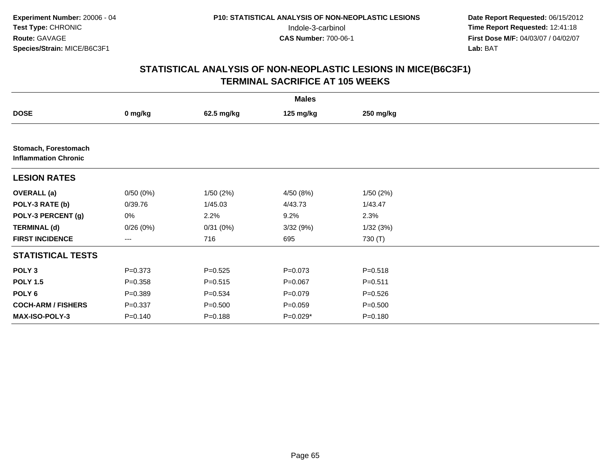|                                                     |             |             | <b>Males</b> |             |  |
|-----------------------------------------------------|-------------|-------------|--------------|-------------|--|
| <b>DOSE</b>                                         | 0 mg/kg     | 62.5 mg/kg  | 125 mg/kg    | 250 mg/kg   |  |
|                                                     |             |             |              |             |  |
| Stomach, Forestomach<br><b>Inflammation Chronic</b> |             |             |              |             |  |
| <b>LESION RATES</b>                                 |             |             |              |             |  |
| <b>OVERALL</b> (a)                                  | 0/50(0%)    | 1/50(2%)    | 4/50(8%)     | 1/50(2%)    |  |
| POLY-3 RATE (b)                                     | 0/39.76     | 1/45.03     | 4/43.73      | 1/43.47     |  |
| POLY-3 PERCENT (g)                                  | 0%          | 2.2%        | 9.2%         | 2.3%        |  |
| <b>TERMINAL (d)</b>                                 | 0/26(0%)    | 0/31(0%)    | 3/32(9%)     | 1/32(3%)    |  |
| <b>FIRST INCIDENCE</b>                              | ---         | 716         | 695          | 730 (T)     |  |
| <b>STATISTICAL TESTS</b>                            |             |             |              |             |  |
| POLY <sub>3</sub>                                   | $P = 0.373$ | $P = 0.525$ | $P = 0.073$  | $P = 0.518$ |  |
| <b>POLY 1.5</b>                                     | $P = 0.358$ | $P = 0.515$ | $P = 0.067$  | $P = 0.511$ |  |
| POLY <sub>6</sub>                                   | $P = 0.389$ | $P = 0.534$ | $P = 0.079$  | $P = 0.526$ |  |
| <b>COCH-ARM / FISHERS</b>                           | $P = 0.337$ | $P = 0.500$ | $P = 0.059$  | $P = 0.500$ |  |
| <b>MAX-ISO-POLY-3</b>                               | $P = 0.140$ | $P = 0.188$ | P=0.029*     | $P = 0.180$ |  |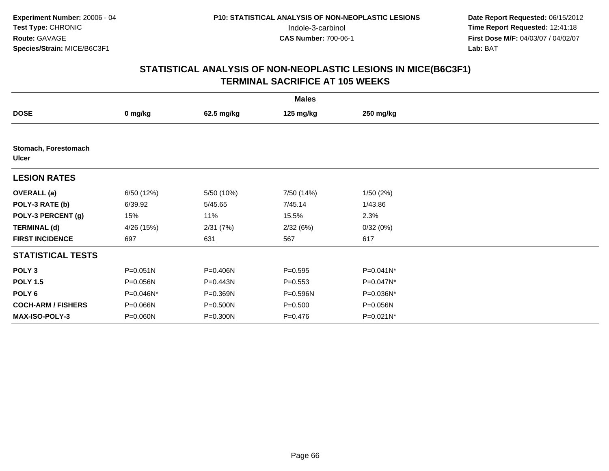|                                      |              |            | <b>Males</b> |              |  |
|--------------------------------------|--------------|------------|--------------|--------------|--|
| <b>DOSE</b>                          | 0 mg/kg      | 62.5 mg/kg | 125 mg/kg    | 250 mg/kg    |  |
|                                      |              |            |              |              |  |
| Stomach, Forestomach<br><b>Ulcer</b> |              |            |              |              |  |
| <b>LESION RATES</b>                  |              |            |              |              |  |
| <b>OVERALL</b> (a)                   | 6/50 (12%)   | 5/50 (10%) | 7/50 (14%)   | 1/50(2%)     |  |
| POLY-3 RATE (b)                      | 6/39.92      | 5/45.65    | 7/45.14      | 1/43.86      |  |
| POLY-3 PERCENT (g)                   | 15%          | 11%        | 15.5%        | 2.3%         |  |
| <b>TERMINAL (d)</b>                  | 4/26 (15%)   | 2/31(7%)   | 2/32(6%)     | 0/32(0%)     |  |
| <b>FIRST INCIDENCE</b>               | 697          | 631        | 567          | 617          |  |
| <b>STATISTICAL TESTS</b>             |              |            |              |              |  |
| POLY <sub>3</sub>                    | $P = 0.051N$ | P=0.406N   | $P = 0.595$  | P=0.041N*    |  |
| <b>POLY 1.5</b>                      | P=0.056N     | P=0.443N   | $P = 0.553$  | P=0.047N*    |  |
| POLY 6                               | P=0.046N*    | P=0.369N   | P=0.596N     | P=0.036N*    |  |
| <b>COCH-ARM / FISHERS</b>            | P=0.066N     | P=0.500N   | $P = 0.500$  | P=0.056N     |  |
| <b>MAX-ISO-POLY-3</b>                | P=0.060N     | P=0.300N   | P=0.476      | $P=0.021N^*$ |  |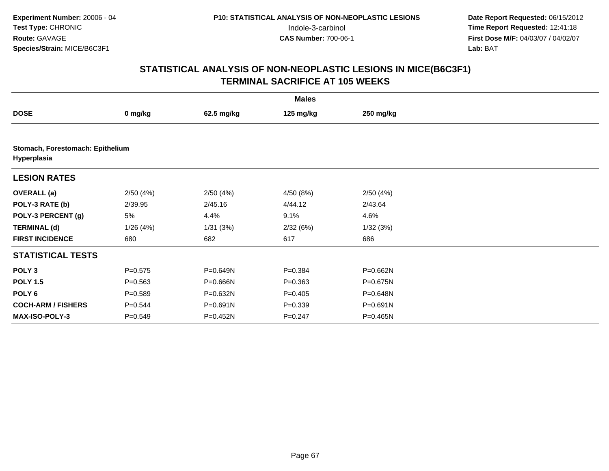|                           |                                  |            | <b>Males</b> |           |  |  |  |  |  |
|---------------------------|----------------------------------|------------|--------------|-----------|--|--|--|--|--|
| <b>DOSE</b>               | 0 mg/kg                          | 62.5 mg/kg | 125 mg/kg    | 250 mg/kg |  |  |  |  |  |
|                           |                                  |            |              |           |  |  |  |  |  |
| Hyperplasia               | Stomach, Forestomach: Epithelium |            |              |           |  |  |  |  |  |
| <b>LESION RATES</b>       |                                  |            |              |           |  |  |  |  |  |
| <b>OVERALL</b> (a)        | 2/50(4%)                         | 2/50(4%)   | 4/50(8%)     | 2/50(4%)  |  |  |  |  |  |
| POLY-3 RATE (b)           | 2/39.95                          | 2/45.16    | 4/44.12      | 2/43.64   |  |  |  |  |  |
| POLY-3 PERCENT (g)        | 5%                               | 4.4%       | 9.1%         | 4.6%      |  |  |  |  |  |
| <b>TERMINAL (d)</b>       | 1/26(4%)                         | 1/31(3%)   | 2/32(6%)     | 1/32(3%)  |  |  |  |  |  |
| <b>FIRST INCIDENCE</b>    | 680                              | 682        | 617          | 686       |  |  |  |  |  |
| <b>STATISTICAL TESTS</b>  |                                  |            |              |           |  |  |  |  |  |
| POLY <sub>3</sub>         | $P = 0.575$                      | P=0.649N   | $P = 0.384$  | P=0.662N  |  |  |  |  |  |
| <b>POLY 1.5</b>           | $P = 0.563$                      | P=0.666N   | $P = 0.363$  | P=0.675N  |  |  |  |  |  |
| POLY <sub>6</sub>         | $P = 0.589$                      | P=0.632N   | $P = 0.405$  | P=0.648N  |  |  |  |  |  |
| <b>COCH-ARM / FISHERS</b> | $P = 0.544$                      | P=0.691N   | $P = 0.339$  | P=0.691N  |  |  |  |  |  |
| <b>MAX-ISO-POLY-3</b>     | $P = 0.549$                      | P=0.452N   | $P = 0.247$  | P=0.465N  |  |  |  |  |  |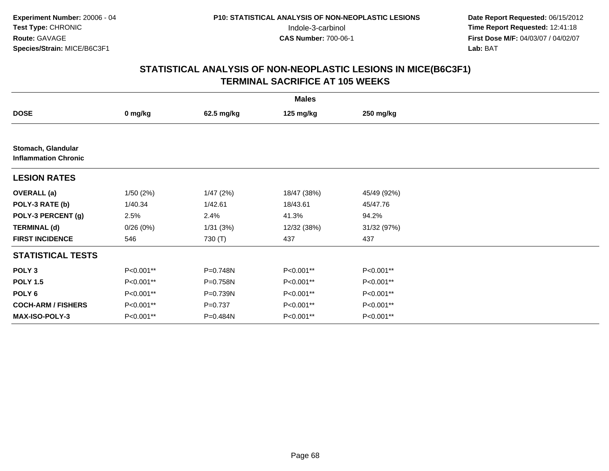|                                                   | <b>Males</b> |            |             |             |  |  |  |  |
|---------------------------------------------------|--------------|------------|-------------|-------------|--|--|--|--|
| <b>DOSE</b>                                       | 0 mg/kg      | 62.5 mg/kg | 125 mg/kg   | 250 mg/kg   |  |  |  |  |
|                                                   |              |            |             |             |  |  |  |  |
| Stomach, Glandular<br><b>Inflammation Chronic</b> |              |            |             |             |  |  |  |  |
| <b>LESION RATES</b>                               |              |            |             |             |  |  |  |  |
| <b>OVERALL</b> (a)                                | 1/50(2%)     | 1/47(2%)   | 18/47 (38%) | 45/49 (92%) |  |  |  |  |
| POLY-3 RATE (b)                                   | 1/40.34      | 1/42.61    | 18/43.61    | 45/47.76    |  |  |  |  |
| POLY-3 PERCENT (g)                                | 2.5%         | 2.4%       | 41.3%       | 94.2%       |  |  |  |  |
| <b>TERMINAL (d)</b>                               | 0/26(0%)     | 1/31(3%)   | 12/32 (38%) | 31/32 (97%) |  |  |  |  |
| <b>FIRST INCIDENCE</b>                            | 546          | 730 (T)    | 437         | 437         |  |  |  |  |
| <b>STATISTICAL TESTS</b>                          |              |            |             |             |  |  |  |  |
| POLY <sub>3</sub>                                 | P<0.001**    | P=0.748N   | P<0.001**   | P<0.001**   |  |  |  |  |
| <b>POLY 1.5</b>                                   | P<0.001**    | P=0.758N   | P<0.001**   | P<0.001**   |  |  |  |  |
| POLY 6                                            | P<0.001**    | P=0.739N   | P<0.001**   | P<0.001**   |  |  |  |  |
| <b>COCH-ARM / FISHERS</b>                         | P<0.001**    | $P=0.737$  | P<0.001**   | P<0.001**   |  |  |  |  |
| MAX-ISO-POLY-3                                    | P<0.001**    | P=0.484N   | P<0.001**   | P<0.001**   |  |  |  |  |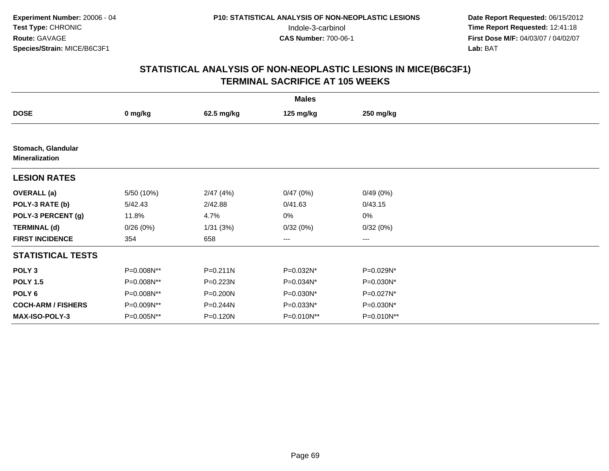|                                             |            |              | <b>Males</b> |            |  |
|---------------------------------------------|------------|--------------|--------------|------------|--|
| <b>DOSE</b>                                 | 0 mg/kg    | 62.5 mg/kg   | 125 mg/kg    | 250 mg/kg  |  |
|                                             |            |              |              |            |  |
| Stomach, Glandular<br><b>Mineralization</b> |            |              |              |            |  |
| <b>LESION RATES</b>                         |            |              |              |            |  |
| <b>OVERALL</b> (a)                          | 5/50 (10%) | 2/47(4%)     | 0/47(0%)     | 0/49(0%)   |  |
| POLY-3 RATE (b)                             | 5/42.43    | 2/42.88      | 0/41.63      | 0/43.15    |  |
| POLY-3 PERCENT (g)                          | 11.8%      | 4.7%         | 0%           | 0%         |  |
| <b>TERMINAL (d)</b>                         | 0/26(0%)   | 1/31(3%)     | 0/32(0%)     | 0/32(0%)   |  |
| <b>FIRST INCIDENCE</b>                      | 354        | 658          | ---          | ---        |  |
| <b>STATISTICAL TESTS</b>                    |            |              |              |            |  |
| POLY <sub>3</sub>                           | P=0.008N** | $P = 0.211N$ | P=0.032N*    | P=0.029N*  |  |
| <b>POLY 1.5</b>                             | P=0.008N** | P=0.223N     | P=0.034N*    | P=0.030N*  |  |
| POLY 6                                      | P=0.008N** | P=0.200N     | P=0.030N*    | P=0.027N*  |  |
| <b>COCH-ARM / FISHERS</b>                   | P=0.009N** | P=0.244N     | P=0.033N*    | P=0.030N*  |  |
| MAX-ISO-POLY-3                              | P=0.005N** | P=0.120N     | P=0.010N**   | P=0.010N** |  |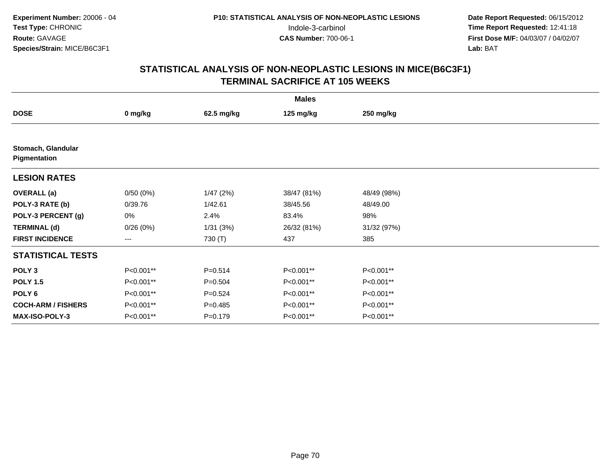|                                    | <b>Males</b> |             |             |             |  |  |  |  |
|------------------------------------|--------------|-------------|-------------|-------------|--|--|--|--|
| <b>DOSE</b>                        | 0 mg/kg      | 62.5 mg/kg  | 125 mg/kg   | 250 mg/kg   |  |  |  |  |
|                                    |              |             |             |             |  |  |  |  |
| Stomach, Glandular<br>Pigmentation |              |             |             |             |  |  |  |  |
| <b>LESION RATES</b>                |              |             |             |             |  |  |  |  |
| <b>OVERALL</b> (a)                 | 0/50(0%)     | 1/47(2%)    | 38/47 (81%) | 48/49 (98%) |  |  |  |  |
| POLY-3 RATE (b)                    | 0/39.76      | 1/42.61     | 38/45.56    | 48/49.00    |  |  |  |  |
| POLY-3 PERCENT (g)                 | 0%           | 2.4%        | 83.4%       | 98%         |  |  |  |  |
| <b>TERMINAL (d)</b>                | 0/26(0%)     | 1/31(3%)    | 26/32 (81%) | 31/32 (97%) |  |  |  |  |
| <b>FIRST INCIDENCE</b>             | ---          | 730 (T)     | 437         | 385         |  |  |  |  |
| <b>STATISTICAL TESTS</b>           |              |             |             |             |  |  |  |  |
| POLY <sub>3</sub>                  | P<0.001**    | $P = 0.514$ | P<0.001**   | P<0.001**   |  |  |  |  |
| <b>POLY 1.5</b>                    | P<0.001**    | $P = 0.504$ | P<0.001**   | P<0.001**   |  |  |  |  |
| POLY 6                             | P<0.001**    | $P = 0.524$ | P<0.001**   | P<0.001**   |  |  |  |  |
| <b>COCH-ARM / FISHERS</b>          | P<0.001**    | $P=0.485$   | P<0.001**   | P<0.001**   |  |  |  |  |
| <b>MAX-ISO-POLY-3</b>              | P<0.001**    | $P = 0.179$ | P<0.001**   | P<0.001**   |  |  |  |  |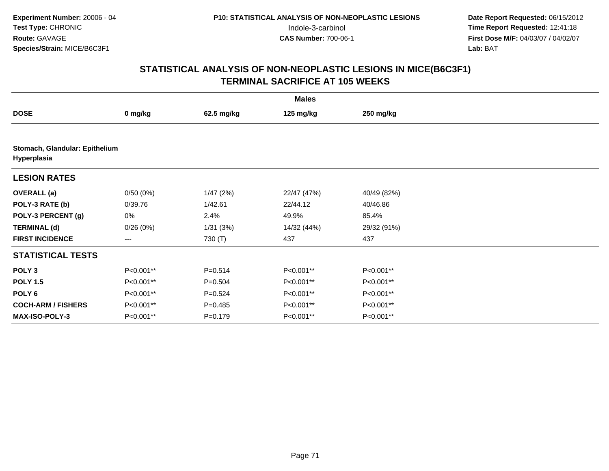|                                               | <b>Males</b> |             |             |             |  |  |  |
|-----------------------------------------------|--------------|-------------|-------------|-------------|--|--|--|
| <b>DOSE</b>                                   | 0 mg/kg      | 62.5 mg/kg  | 125 mg/kg   | 250 mg/kg   |  |  |  |
|                                               |              |             |             |             |  |  |  |
| Stomach, Glandular: Epithelium<br>Hyperplasia |              |             |             |             |  |  |  |
| <b>LESION RATES</b>                           |              |             |             |             |  |  |  |
| <b>OVERALL</b> (a)                            | 0/50(0%)     | 1/47(2%)    | 22/47 (47%) | 40/49 (82%) |  |  |  |
| POLY-3 RATE (b)                               | 0/39.76      | 1/42.61     | 22/44.12    | 40/46.86    |  |  |  |
| POLY-3 PERCENT (g)                            | 0%           | 2.4%        | 49.9%       | 85.4%       |  |  |  |
| <b>TERMINAL (d)</b>                           | 0/26(0%)     | 1/31(3%)    | 14/32 (44%) | 29/32 (91%) |  |  |  |
| <b>FIRST INCIDENCE</b>                        | ---          | 730 (T)     | 437         | 437         |  |  |  |
| <b>STATISTICAL TESTS</b>                      |              |             |             |             |  |  |  |
| POLY <sub>3</sub>                             | P<0.001**    | $P = 0.514$ | P<0.001**   | P<0.001**   |  |  |  |
| <b>POLY 1.5</b>                               | P<0.001**    | $P = 0.504$ | P<0.001**   | P<0.001**   |  |  |  |
| POLY <sub>6</sub>                             | P<0.001**    | $P = 0.524$ | P<0.001**   | P<0.001**   |  |  |  |
| <b>COCH-ARM / FISHERS</b>                     | P<0.001**    | $P=0.485$   | P<0.001**   | P<0.001**   |  |  |  |
| MAX-ISO-POLY-3                                | P<0.001**    | $P = 0.179$ | P<0.001**   | P<0.001**   |  |  |  |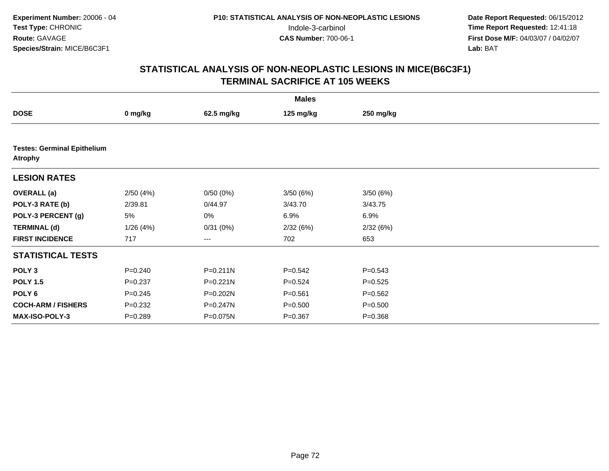|                                                      |             |              | <b>Males</b> |             |  |  |  |  |  |
|------------------------------------------------------|-------------|--------------|--------------|-------------|--|--|--|--|--|
| <b>DOSE</b>                                          | 0 mg/kg     | 62.5 mg/kg   | 125 mg/kg    | 250 mg/kg   |  |  |  |  |  |
|                                                      |             |              |              |             |  |  |  |  |  |
| <b>Testes: Germinal Epithelium</b><br><b>Atrophy</b> |             |              |              |             |  |  |  |  |  |
| <b>LESION RATES</b>                                  |             |              |              |             |  |  |  |  |  |
| <b>OVERALL</b> (a)                                   | 2/50(4%)    | 0/50(0%)     | 3/50(6%)     | 3/50(6%)    |  |  |  |  |  |
| POLY-3 RATE (b)                                      | 2/39.81     | 0/44.97      | 3/43.70      | 3/43.75     |  |  |  |  |  |
| POLY-3 PERCENT (g)                                   | 5%          | 0%           | 6.9%         | 6.9%        |  |  |  |  |  |
| <b>TERMINAL (d)</b>                                  | 1/26(4%)    | 0/31(0%)     | 2/32(6%)     | 2/32(6%)    |  |  |  |  |  |
| <b>FIRST INCIDENCE</b>                               | 717         | ---          | 702          | 653         |  |  |  |  |  |
| <b>STATISTICAL TESTS</b>                             |             |              |              |             |  |  |  |  |  |
| POLY <sub>3</sub>                                    | $P = 0.240$ | $P = 0.211N$ | $P = 0.542$  | $P = 0.543$ |  |  |  |  |  |
| <b>POLY 1.5</b>                                      | $P = 0.237$ | $P = 0.221N$ | $P = 0.524$  | $P = 0.525$ |  |  |  |  |  |
| POLY 6                                               | $P = 0.245$ | P=0.202N     | $P = 0.561$  | $P = 0.562$ |  |  |  |  |  |
| <b>COCH-ARM / FISHERS</b>                            | $P = 0.232$ | P=0.247N     | $P = 0.500$  | $P = 0.500$ |  |  |  |  |  |
| <b>MAX-ISO-POLY-3</b>                                | $P = 0.289$ | P=0.075N     | $P = 0.367$  | $P = 0.368$ |  |  |  |  |  |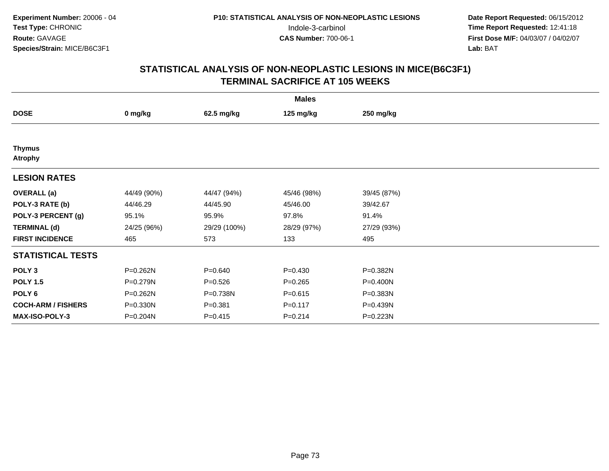|                                 | <b>Males</b> |              |             |             |  |  |  |  |
|---------------------------------|--------------|--------------|-------------|-------------|--|--|--|--|
| <b>DOSE</b>                     | 0 mg/kg      | 62.5 mg/kg   | 125 mg/kg   | 250 mg/kg   |  |  |  |  |
|                                 |              |              |             |             |  |  |  |  |
| <b>Thymus</b><br><b>Atrophy</b> |              |              |             |             |  |  |  |  |
| <b>LESION RATES</b>             |              |              |             |             |  |  |  |  |
| <b>OVERALL</b> (a)              | 44/49 (90%)  | 44/47 (94%)  | 45/46 (98%) | 39/45 (87%) |  |  |  |  |
| POLY-3 RATE (b)                 | 44/46.29     | 44/45.90     | 45/46.00    | 39/42.67    |  |  |  |  |
| POLY-3 PERCENT (g)              | 95.1%        | 95.9%        | 97.8%       | 91.4%       |  |  |  |  |
| <b>TERMINAL (d)</b>             | 24/25 (96%)  | 29/29 (100%) | 28/29 (97%) | 27/29 (93%) |  |  |  |  |
| <b>FIRST INCIDENCE</b>          | 465          | 573          | 133         | 495         |  |  |  |  |
| <b>STATISTICAL TESTS</b>        |              |              |             |             |  |  |  |  |
| POLY <sub>3</sub>               | P=0.262N     | $P = 0.640$  | $P=0.430$   | P=0.382N    |  |  |  |  |
| <b>POLY 1.5</b>                 | P=0.279N     | $P = 0.526$  | $P = 0.265$ | P=0.400N    |  |  |  |  |
| POLY 6                          | P=0.262N     | P=0.738N     | $P = 0.615$ | P=0.383N    |  |  |  |  |
| <b>COCH-ARM / FISHERS</b>       | P=0.330N     | $P = 0.381$  | $P = 0.117$ | P=0.439N    |  |  |  |  |
| MAX-ISO-POLY-3                  | P=0.204N     | $P = 0.415$  | $P = 0.214$ | P=0.223N    |  |  |  |  |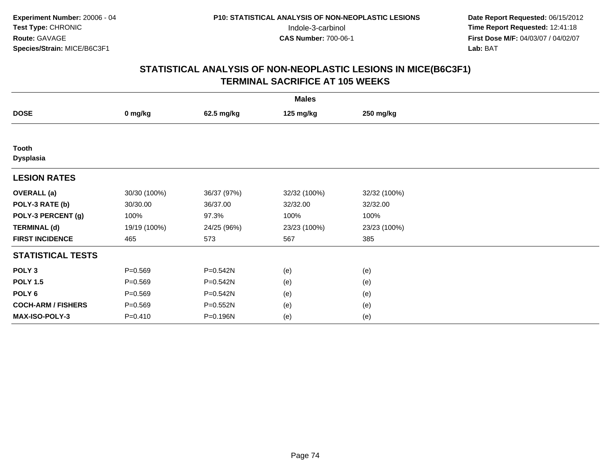| <b>Males</b>              |              |             |              |              |  |  |  |
|---------------------------|--------------|-------------|--------------|--------------|--|--|--|
| <b>DOSE</b>               | 0 mg/kg      | 62.5 mg/kg  | 125 mg/kg    | 250 mg/kg    |  |  |  |
|                           |              |             |              |              |  |  |  |
| Tooth<br><b>Dysplasia</b> |              |             |              |              |  |  |  |
| <b>LESION RATES</b>       |              |             |              |              |  |  |  |
| <b>OVERALL</b> (a)        | 30/30 (100%) | 36/37 (97%) | 32/32 (100%) | 32/32 (100%) |  |  |  |
| POLY-3 RATE (b)           | 30/30.00     | 36/37.00    | 32/32.00     | 32/32.00     |  |  |  |
| POLY-3 PERCENT (g)        | 100%         | 97.3%       | 100%         | 100%         |  |  |  |
| <b>TERMINAL (d)</b>       | 19/19 (100%) | 24/25 (96%) | 23/23 (100%) | 23/23 (100%) |  |  |  |
| <b>FIRST INCIDENCE</b>    | 465          | 573         | 567          | 385          |  |  |  |
| <b>STATISTICAL TESTS</b>  |              |             |              |              |  |  |  |
| POLY <sub>3</sub>         | $P = 0.569$  | P=0.542N    | (e)          | (e)          |  |  |  |
| <b>POLY 1.5</b>           | $P = 0.569$  | P=0.542N    | (e)          | (e)          |  |  |  |
| POLY <sub>6</sub>         | $P = 0.569$  | P=0.542N    | (e)          | (e)          |  |  |  |
| <b>COCH-ARM / FISHERS</b> | $P = 0.569$  | P=0.552N    | (e)          | (e)          |  |  |  |
| MAX-ISO-POLY-3            | $P = 0.410$  | P=0.196N    | (e)          | (e)          |  |  |  |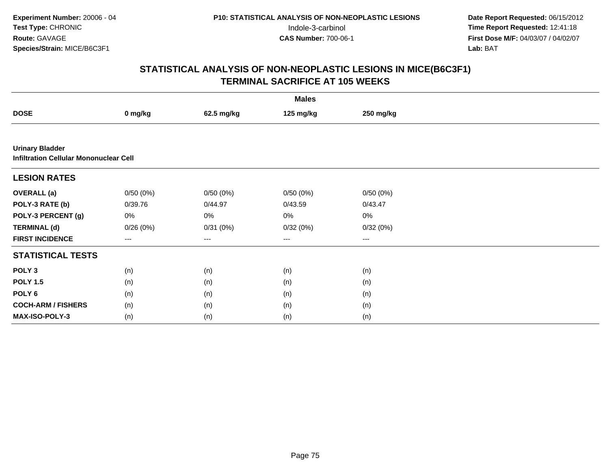| <b>Males</b>                                                            |          |            |           |           |  |  |  |
|-------------------------------------------------------------------------|----------|------------|-----------|-----------|--|--|--|
| <b>DOSE</b>                                                             | 0 mg/kg  | 62.5 mg/kg | 125 mg/kg | 250 mg/kg |  |  |  |
|                                                                         |          |            |           |           |  |  |  |
| <b>Urinary Bladder</b><br><b>Infiltration Cellular Mononuclear Cell</b> |          |            |           |           |  |  |  |
| <b>LESION RATES</b>                                                     |          |            |           |           |  |  |  |
| <b>OVERALL</b> (a)                                                      | 0/50(0%) | 0/50(0%)   | 0/50(0%)  | 0/50(0%)  |  |  |  |
| POLY-3 RATE (b)                                                         | 0/39.76  | 0/44.97    | 0/43.59   | 0/43.47   |  |  |  |
| POLY-3 PERCENT (g)                                                      | 0%       | 0%         | 0%        | $0\%$     |  |  |  |
| <b>TERMINAL (d)</b>                                                     | 0/26(0%) | 0/31(0%)   | 0/32(0%)  | 0/32(0%)  |  |  |  |
| <b>FIRST INCIDENCE</b>                                                  | ---      | ---        | $\cdots$  | $\cdots$  |  |  |  |
| <b>STATISTICAL TESTS</b>                                                |          |            |           |           |  |  |  |
| POLY <sub>3</sub>                                                       | (n)      | (n)        | (n)       | (n)       |  |  |  |
| <b>POLY 1.5</b>                                                         | (n)      | (n)        | (n)       | (n)       |  |  |  |
| POLY 6                                                                  | (n)      | (n)        | (n)       | (n)       |  |  |  |
| <b>COCH-ARM / FISHERS</b>                                               | (n)      | (n)        | (n)       | (n)       |  |  |  |
| MAX-ISO-POLY-3                                                          | (n)      | (n)        | (n)       | (n)       |  |  |  |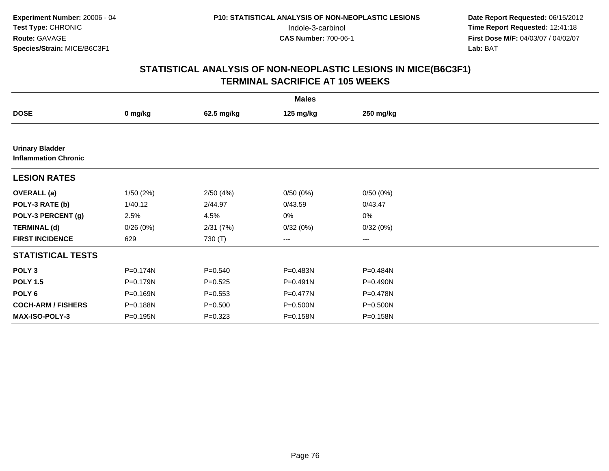| <b>Males</b>                                          |          |             |              |           |  |  |  |
|-------------------------------------------------------|----------|-------------|--------------|-----------|--|--|--|
| <b>DOSE</b>                                           | 0 mg/kg  | 62.5 mg/kg  | 125 mg/kg    | 250 mg/kg |  |  |  |
|                                                       |          |             |              |           |  |  |  |
| <b>Urinary Bladder</b><br><b>Inflammation Chronic</b> |          |             |              |           |  |  |  |
| <b>LESION RATES</b>                                   |          |             |              |           |  |  |  |
| <b>OVERALL</b> (a)                                    | 1/50(2%) | 2/50(4%)    | 0/50(0%)     | 0/50(0%)  |  |  |  |
| POLY-3 RATE (b)                                       | 1/40.12  | 2/44.97     | 0/43.59      | 0/43.47   |  |  |  |
| POLY-3 PERCENT (g)                                    | 2.5%     | 4.5%        | 0%           | 0%        |  |  |  |
| <b>TERMINAL (d)</b>                                   | 0/26(0%) | 2/31(7%)    | 0/32(0%)     | 0/32(0%)  |  |  |  |
| <b>FIRST INCIDENCE</b>                                | 629      | 730 (T)     | $\cdots$     | $\cdots$  |  |  |  |
| <b>STATISTICAL TESTS</b>                              |          |             |              |           |  |  |  |
| POLY <sub>3</sub>                                     | P=0.174N | $P = 0.540$ | P=0.483N     | P=0.484N  |  |  |  |
| <b>POLY 1.5</b>                                       | P=0.179N | $P=0.525$   | $P = 0.491N$ | P=0.490N  |  |  |  |
| POLY <sub>6</sub>                                     | P=0.169N | $P = 0.553$ | P=0.477N     | P=0.478N  |  |  |  |
| <b>COCH-ARM / FISHERS</b>                             | P=0.188N | $P = 0.500$ | P=0.500N     | P=0.500N  |  |  |  |
| <b>MAX-ISO-POLY-3</b>                                 | P=0.195N | $P = 0.323$ | P=0.158N     | P=0.158N  |  |  |  |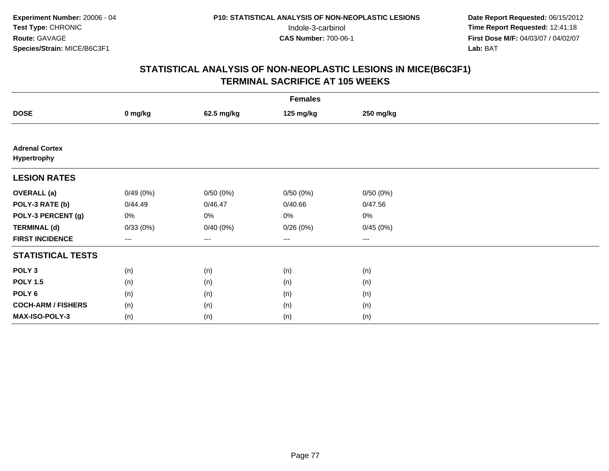| <b>Females</b>                       |          |                   |           |           |  |  |  |
|--------------------------------------|----------|-------------------|-----------|-----------|--|--|--|
| <b>DOSE</b>                          | 0 mg/kg  | 62.5 mg/kg        | 125 mg/kg | 250 mg/kg |  |  |  |
|                                      |          |                   |           |           |  |  |  |
| <b>Adrenal Cortex</b><br>Hypertrophy |          |                   |           |           |  |  |  |
| <b>LESION RATES</b>                  |          |                   |           |           |  |  |  |
| <b>OVERALL</b> (a)                   | 0/49(0%) | 0/50(0%)          | 0/50(0%)  | 0/50(0%)  |  |  |  |
| POLY-3 RATE (b)                      | 0/44.49  | 0/46.47           | 0/40.66   | 0/47.56   |  |  |  |
| POLY-3 PERCENT (g)                   | 0%       | 0%                | 0%        | 0%        |  |  |  |
| <b>TERMINAL (d)</b>                  | 0/33(0%) | 0/40(0%)          | 0/26(0%)  | 0/45(0%)  |  |  |  |
| <b>FIRST INCIDENCE</b>               | $--$     | $\qquad \qquad -$ | ---       | $--$      |  |  |  |
| <b>STATISTICAL TESTS</b>             |          |                   |           |           |  |  |  |
| POLY <sub>3</sub>                    | (n)      | (n)               | (n)       | (n)       |  |  |  |
| <b>POLY 1.5</b>                      | (n)      | (n)               | (n)       | (n)       |  |  |  |
| POLY <sub>6</sub>                    | (n)      | (n)               | (n)       | (n)       |  |  |  |
| <b>COCH-ARM / FISHERS</b>            | (n)      | (n)               | (n)       | (n)       |  |  |  |
| <b>MAX-ISO-POLY-3</b>                | (n)      | (n)               | (n)       | (n)       |  |  |  |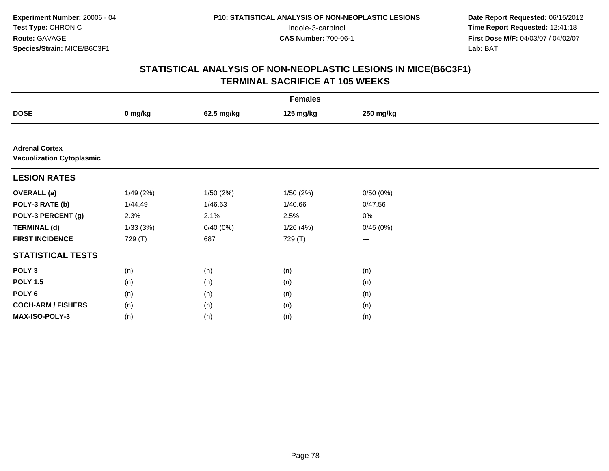|                                                           | <b>Females</b> |            |           |           |  |  |  |  |
|-----------------------------------------------------------|----------------|------------|-----------|-----------|--|--|--|--|
| <b>DOSE</b>                                               | 0 mg/kg        | 62.5 mg/kg | 125 mg/kg | 250 mg/kg |  |  |  |  |
|                                                           |                |            |           |           |  |  |  |  |
| <b>Adrenal Cortex</b><br><b>Vacuolization Cytoplasmic</b> |                |            |           |           |  |  |  |  |
| <b>LESION RATES</b>                                       |                |            |           |           |  |  |  |  |
| <b>OVERALL</b> (a)                                        | 1/49(2%)       | 1/50(2%)   | 1/50(2%)  | 0/50(0%)  |  |  |  |  |
| POLY-3 RATE (b)                                           | 1/44.49        | 1/46.63    | 1/40.66   | 0/47.56   |  |  |  |  |
| POLY-3 PERCENT (g)                                        | 2.3%           | 2.1%       | 2.5%      | $0\%$     |  |  |  |  |
| <b>TERMINAL (d)</b>                                       | 1/33(3%)       | 0/40(0%)   | 1/26(4%)  | 0/45(0%)  |  |  |  |  |
| <b>FIRST INCIDENCE</b>                                    | 729 (T)        | 687        | 729 (T)   | $\cdots$  |  |  |  |  |
| <b>STATISTICAL TESTS</b>                                  |                |            |           |           |  |  |  |  |
| POLY <sub>3</sub>                                         | (n)            | (n)        | (n)       | (n)       |  |  |  |  |
| <b>POLY 1.5</b>                                           | (n)            | (n)        | (n)       | (n)       |  |  |  |  |
| POLY <sub>6</sub>                                         | (n)            | (n)        | (n)       | (n)       |  |  |  |  |
| <b>COCH-ARM / FISHERS</b>                                 | (n)            | (n)        | (n)       | (n)       |  |  |  |  |
| <b>MAX-ISO-POLY-3</b>                                     | (n)            | (n)        | (n)       | (n)       |  |  |  |  |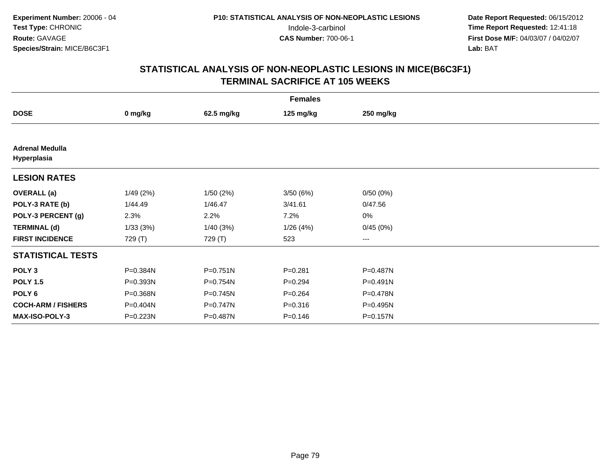| <b>Females</b>                        |          |              |             |              |  |  |  |
|---------------------------------------|----------|--------------|-------------|--------------|--|--|--|
| <b>DOSE</b>                           | 0 mg/kg  | 62.5 mg/kg   | 125 mg/kg   | 250 mg/kg    |  |  |  |
|                                       |          |              |             |              |  |  |  |
| <b>Adrenal Medulla</b><br>Hyperplasia |          |              |             |              |  |  |  |
| <b>LESION RATES</b>                   |          |              |             |              |  |  |  |
| <b>OVERALL</b> (a)                    | 1/49(2%) | 1/50(2%)     | 3/50(6%)    | 0/50(0%)     |  |  |  |
| POLY-3 RATE (b)                       | 1/44.49  | 1/46.47      | 3/41.61     | 0/47.56      |  |  |  |
| POLY-3 PERCENT (g)                    | 2.3%     | 2.2%         | 7.2%        | 0%           |  |  |  |
| <b>TERMINAL (d)</b>                   | 1/33(3%) | 1/40(3%)     | 1/26(4%)    | 0/45(0%)     |  |  |  |
| <b>FIRST INCIDENCE</b>                | 729 (T)  | 729 (T)      | 523         | ---          |  |  |  |
| <b>STATISTICAL TESTS</b>              |          |              |             |              |  |  |  |
| POLY <sub>3</sub>                     | P=0.384N | $P = 0.751N$ | $P = 0.281$ | P=0.487N     |  |  |  |
| <b>POLY 1.5</b>                       | P=0.393N | P=0.754N     | $P=0.294$   | $P = 0.491N$ |  |  |  |
| POLY 6                                | P=0.368N | $P = 0.745N$ | $P = 0.264$ | P=0.478N     |  |  |  |
| <b>COCH-ARM / FISHERS</b>             | P=0.404N | P=0.747N     | $P = 0.316$ | P=0.495N     |  |  |  |
| MAX-ISO-POLY-3                        | P=0.223N | P=0.487N     | $P = 0.146$ | P=0.157N     |  |  |  |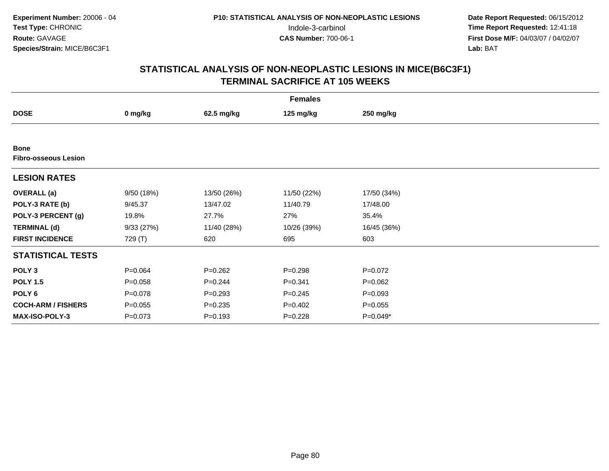|                                            | <b>Females</b> |             |             |             |  |  |  |  |
|--------------------------------------------|----------------|-------------|-------------|-------------|--|--|--|--|
| <b>DOSE</b>                                | 0 mg/kg        | 62.5 mg/kg  | 125 mg/kg   | 250 mg/kg   |  |  |  |  |
|                                            |                |             |             |             |  |  |  |  |
| <b>Bone</b><br><b>Fibro-osseous Lesion</b> |                |             |             |             |  |  |  |  |
| <b>LESION RATES</b>                        |                |             |             |             |  |  |  |  |
| <b>OVERALL</b> (a)                         | 9/50 (18%)     | 13/50 (26%) | 11/50 (22%) | 17/50 (34%) |  |  |  |  |
| POLY-3 RATE (b)                            | 9/45.37        | 13/47.02    | 11/40.79    | 17/48.00    |  |  |  |  |
| POLY-3 PERCENT (g)                         | 19.8%          | 27.7%       | 27%         | 35.4%       |  |  |  |  |
| <b>TERMINAL (d)</b>                        | 9/33(27%)      | 11/40 (28%) | 10/26 (39%) | 16/45 (36%) |  |  |  |  |
| <b>FIRST INCIDENCE</b>                     | 729 (T)        | 620         | 695         | 603         |  |  |  |  |
| <b>STATISTICAL TESTS</b>                   |                |             |             |             |  |  |  |  |
| POLY <sub>3</sub>                          | $P = 0.064$    | $P = 0.262$ | $P = 0.298$ | $P = 0.072$ |  |  |  |  |
| <b>POLY 1.5</b>                            | $P = 0.058$    | $P=0.244$   | $P = 0.341$ | $P=0.062$   |  |  |  |  |
| POLY 6                                     | $P = 0.078$    | $P = 0.293$ | $P = 0.245$ | $P = 0.093$ |  |  |  |  |
| <b>COCH-ARM / FISHERS</b>                  | $P = 0.055$    | $P = 0.235$ | $P=0.402$   | $P = 0.055$ |  |  |  |  |
| <b>MAX-ISO-POLY-3</b>                      | P=0.073        | $P = 0.193$ | $P = 0.228$ | $P=0.049*$  |  |  |  |  |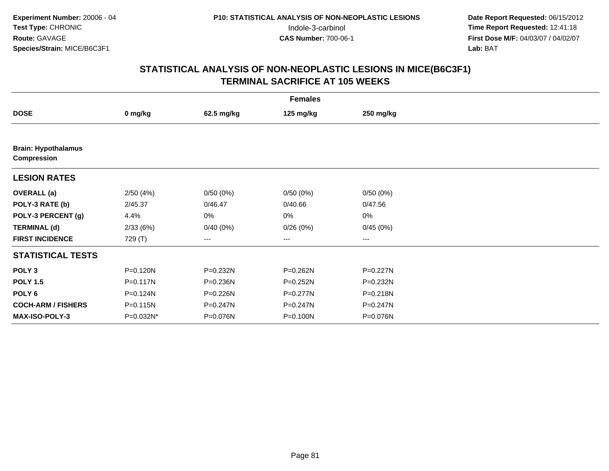| <b>Females</b>                                   |           |              |              |              |  |  |  |
|--------------------------------------------------|-----------|--------------|--------------|--------------|--|--|--|
| <b>DOSE</b>                                      | 0 mg/kg   | 62.5 mg/kg   | 125 mg/kg    | 250 mg/kg    |  |  |  |
|                                                  |           |              |              |              |  |  |  |
| <b>Brain: Hypothalamus</b><br><b>Compression</b> |           |              |              |              |  |  |  |
| <b>LESION RATES</b>                              |           |              |              |              |  |  |  |
| <b>OVERALL</b> (a)                               | 2/50(4%)  | 0/50(0%)     | 0/50(0%)     | 0/50(0%)     |  |  |  |
| POLY-3 RATE (b)                                  | 2/45.37   | 0/46.47      | 0/40.66      | 0/47.56      |  |  |  |
| POLY-3 PERCENT (g)                               | 4.4%      | 0%           | 0%           | 0%           |  |  |  |
| <b>TERMINAL (d)</b>                              | 2/33(6%)  | 0/40(0%)     | 0/26(0%)     | 0/45(0%)     |  |  |  |
| <b>FIRST INCIDENCE</b>                           | 729 (T)   | ---          | $--$         | ---          |  |  |  |
| <b>STATISTICAL TESTS</b>                         |           |              |              |              |  |  |  |
| POLY <sub>3</sub>                                | P=0.120N  | P=0.232N     | P=0.262N     | $P = 0.227N$ |  |  |  |
| <b>POLY 1.5</b>                                  | P=0.117N  | P=0.236N     | P=0.252N     | P=0.232N     |  |  |  |
| POLY 6                                           | P=0.124N  | P=0.226N     | $P = 0.277N$ | P=0.218N     |  |  |  |
| <b>COCH-ARM / FISHERS</b>                        | P=0.115N  | $P = 0.247N$ | P=0.247N     | $P = 0.247N$ |  |  |  |
| <b>MAX-ISO-POLY-3</b>                            | P=0.032N* | P=0.076N     | P=0.100N     | P=0.076N     |  |  |  |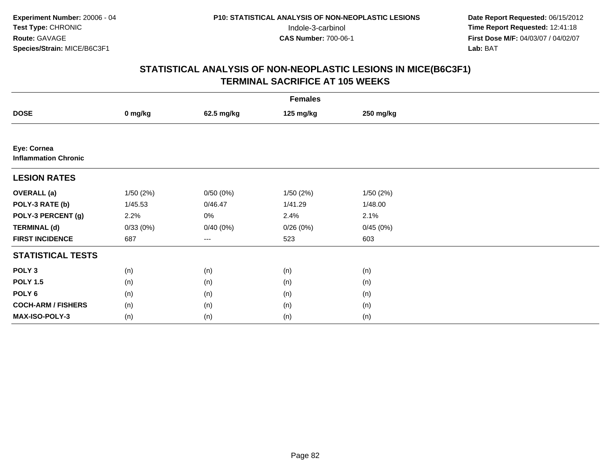|                                            | <b>Females</b> |            |           |           |  |  |  |  |
|--------------------------------------------|----------------|------------|-----------|-----------|--|--|--|--|
| <b>DOSE</b>                                | 0 mg/kg        | 62.5 mg/kg | 125 mg/kg | 250 mg/kg |  |  |  |  |
|                                            |                |            |           |           |  |  |  |  |
| Eye: Cornea<br><b>Inflammation Chronic</b> |                |            |           |           |  |  |  |  |
| <b>LESION RATES</b>                        |                |            |           |           |  |  |  |  |
| <b>OVERALL (a)</b>                         | 1/50(2%)       | 0/50(0%)   | 1/50(2%)  | 1/50(2%)  |  |  |  |  |
| POLY-3 RATE (b)                            | 1/45.53        | 0/46.47    | 1/41.29   | 1/48.00   |  |  |  |  |
| POLY-3 PERCENT (g)                         | 2.2%           | 0%         | 2.4%      | 2.1%      |  |  |  |  |
| <b>TERMINAL (d)</b>                        | 0/33(0%)       | 0/40(0%)   | 0/26(0%)  | 0/45(0%)  |  |  |  |  |
| <b>FIRST INCIDENCE</b>                     | 687            | ---        | 523       | 603       |  |  |  |  |
| <b>STATISTICAL TESTS</b>                   |                |            |           |           |  |  |  |  |
| POLY <sub>3</sub>                          | (n)            | (n)        | (n)       | (n)       |  |  |  |  |
| <b>POLY 1.5</b>                            | (n)            | (n)        | (n)       | (n)       |  |  |  |  |
| POLY <sub>6</sub>                          | (n)            | (n)        | (n)       | (n)       |  |  |  |  |
| <b>COCH-ARM / FISHERS</b>                  | (n)            | (n)        | (n)       | (n)       |  |  |  |  |
| MAX-ISO-POLY-3                             | (n)            | (n)        | (n)       | (n)       |  |  |  |  |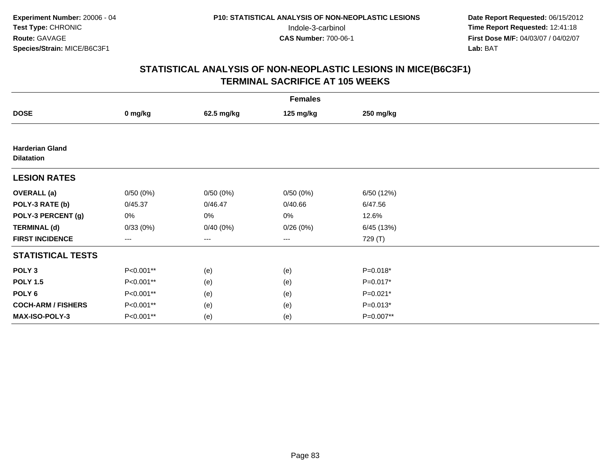| <b>Females</b>                              |                        |            |           |            |  |  |  |
|---------------------------------------------|------------------------|------------|-----------|------------|--|--|--|
| <b>DOSE</b>                                 | 0 mg/kg                | 62.5 mg/kg | 125 mg/kg | 250 mg/kg  |  |  |  |
|                                             |                        |            |           |            |  |  |  |
| <b>Harderian Gland</b><br><b>Dilatation</b> |                        |            |           |            |  |  |  |
| <b>LESION RATES</b>                         |                        |            |           |            |  |  |  |
| <b>OVERALL</b> (a)                          | 0/50(0%)               | 0/50(0%)   | 0/50(0%)  | 6/50 (12%) |  |  |  |
| POLY-3 RATE (b)                             | 0/45.37                | 0/46.47    | 0/40.66   | 6/47.56    |  |  |  |
| POLY-3 PERCENT (g)                          | 0%                     | 0%         | 0%        | 12.6%      |  |  |  |
| <b>TERMINAL (d)</b>                         | 0/33(0%)               | 0/40(0%)   | 0/26(0%)  | 6/45 (13%) |  |  |  |
| <b>FIRST INCIDENCE</b>                      | $\qquad \qquad \cdots$ | $---$      | ---       | 729 (T)    |  |  |  |
| <b>STATISTICAL TESTS</b>                    |                        |            |           |            |  |  |  |
| POLY <sub>3</sub>                           | P<0.001**              | (e)        | (e)       | $P=0.018*$ |  |  |  |
| <b>POLY 1.5</b>                             | P<0.001**              | (e)        | (e)       | $P=0.017*$ |  |  |  |
| POLY <sub>6</sub>                           | P<0.001**              | (e)        | (e)       | $P=0.021*$ |  |  |  |
| <b>COCH-ARM / FISHERS</b>                   | P<0.001**              | (e)        | (e)       | $P=0.013*$ |  |  |  |
| MAX-ISO-POLY-3                              | P<0.001**              | (e)        | (e)       | P=0.007**  |  |  |  |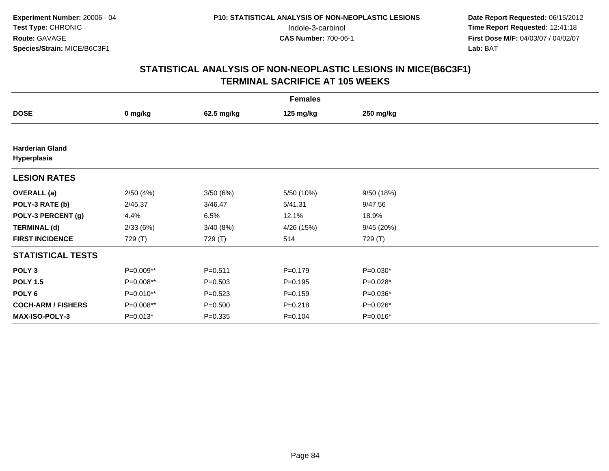| <b>Females</b>                        |            |             |             |            |  |  |  |
|---------------------------------------|------------|-------------|-------------|------------|--|--|--|
| <b>DOSE</b>                           | 0 mg/kg    | 62.5 mg/kg  | 125 mg/kg   | 250 mg/kg  |  |  |  |
|                                       |            |             |             |            |  |  |  |
| <b>Harderian Gland</b><br>Hyperplasia |            |             |             |            |  |  |  |
| <b>LESION RATES</b>                   |            |             |             |            |  |  |  |
| <b>OVERALL</b> (a)                    | 2/50(4%)   | 3/50(6%)    | 5/50 (10%)  | 9/50 (18%) |  |  |  |
| POLY-3 RATE (b)                       | 2/45.37    | 3/46.47     | 5/41.31     | 9/47.56    |  |  |  |
| POLY-3 PERCENT (g)                    | 4.4%       | 6.5%        | 12.1%       | 18.9%      |  |  |  |
| <b>TERMINAL (d)</b>                   | 2/33(6%)   | 3/40(8%)    | 4/26 (15%)  | 9/45 (20%) |  |  |  |
| <b>FIRST INCIDENCE</b>                | 729 (T)    | 729 (T)     | 514         | 729 (T)    |  |  |  |
| <b>STATISTICAL TESTS</b>              |            |             |             |            |  |  |  |
| POLY <sub>3</sub>                     | P=0.009**  | $P = 0.511$ | $P = 0.179$ | $P=0.030*$ |  |  |  |
| <b>POLY 1.5</b>                       | P=0.008**  | $P = 0.503$ | $P = 0.195$ | P=0.028*   |  |  |  |
| POLY 6                                | P=0.010**  | $P = 0.523$ | $P = 0.159$ | $P=0.036*$ |  |  |  |
| <b>COCH-ARM / FISHERS</b>             | P=0.008**  | $P = 0.500$ | $P = 0.218$ | P=0.026*   |  |  |  |
| MAX-ISO-POLY-3                        | $P=0.013*$ | $P = 0.335$ | $P = 0.104$ | P=0.016*   |  |  |  |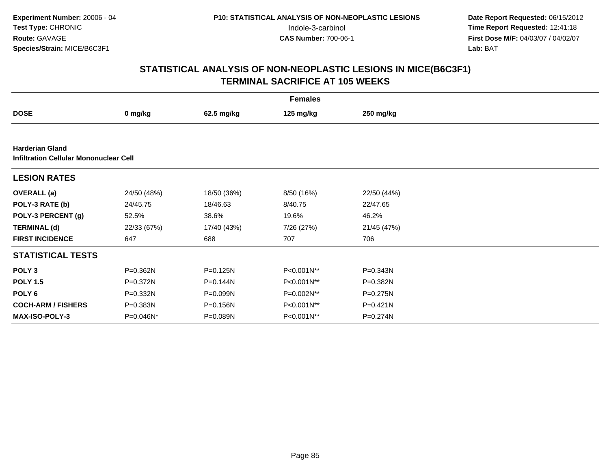|                                                                         |             |              | <b>Females</b> |              |  |
|-------------------------------------------------------------------------|-------------|--------------|----------------|--------------|--|
| <b>DOSE</b>                                                             | 0 mg/kg     | 62.5 mg/kg   | 125 mg/kg      | 250 mg/kg    |  |
|                                                                         |             |              |                |              |  |
| <b>Harderian Gland</b><br><b>Infiltration Cellular Mononuclear Cell</b> |             |              |                |              |  |
| <b>LESION RATES</b>                                                     |             |              |                |              |  |
| <b>OVERALL</b> (a)                                                      | 24/50 (48%) | 18/50 (36%)  | 8/50 (16%)     | 22/50 (44%)  |  |
| POLY-3 RATE (b)                                                         | 24/45.75    | 18/46.63     | 8/40.75        | 22/47.65     |  |
| POLY-3 PERCENT (g)                                                      | 52.5%       | 38.6%        | 19.6%          | 46.2%        |  |
| <b>TERMINAL (d)</b>                                                     | 22/33 (67%) | 17/40 (43%)  | 7/26 (27%)     | 21/45 (47%)  |  |
| <b>FIRST INCIDENCE</b>                                                  | 647         | 688          | 707            | 706          |  |
| <b>STATISTICAL TESTS</b>                                                |             |              |                |              |  |
| POLY <sub>3</sub>                                                       | P=0.362N    | $P = 0.125N$ | P<0.001N**     | $P = 0.343N$ |  |
| <b>POLY 1.5</b>                                                         | P=0.372N    | P=0.144N     | P<0.001N**     | $P = 0.382N$ |  |
| POLY <sub>6</sub>                                                       | P=0.332N    | P=0.099N     | P=0.002N**     | P=0.275N     |  |
| <b>COCH-ARM / FISHERS</b>                                               | P=0.383N    | P=0.156N     | P<0.001N**     | $P = 0.421N$ |  |
| <b>MAX-ISO-POLY-3</b>                                                   | P=0.046N*   | P=0.089N     | P<0.001N**     | P=0.274N     |  |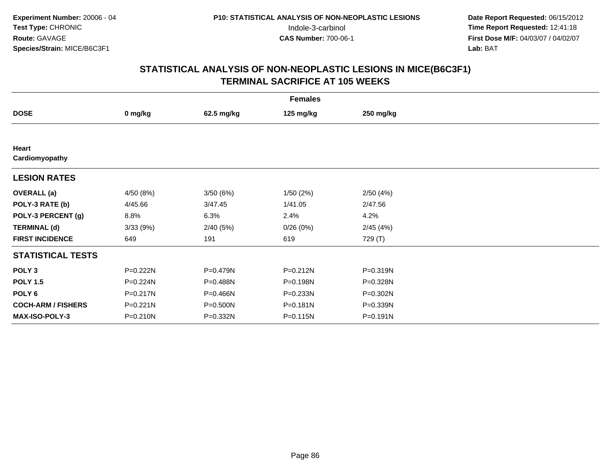| <b>Females</b>            |           |            |              |           |  |  |  |
|---------------------------|-----------|------------|--------------|-----------|--|--|--|
| <b>DOSE</b>               | 0 mg/kg   | 62.5 mg/kg | 125 mg/kg    | 250 mg/kg |  |  |  |
|                           |           |            |              |           |  |  |  |
| Heart<br>Cardiomyopathy   |           |            |              |           |  |  |  |
| <b>LESION RATES</b>       |           |            |              |           |  |  |  |
| <b>OVERALL</b> (a)        | 4/50 (8%) | 3/50(6%)   | 1/50(2%)     | 2/50(4%)  |  |  |  |
| POLY-3 RATE (b)           | 4/45.66   | 3/47.45    | 1/41.05      | 2/47.56   |  |  |  |
| POLY-3 PERCENT (g)        | 8.8%      | 6.3%       | 2.4%         | 4.2%      |  |  |  |
| <b>TERMINAL (d)</b>       | 3/33(9%)  | 2/40(5%)   | 0/26(0%)     | 2/45(4%)  |  |  |  |
| <b>FIRST INCIDENCE</b>    | 649       | 191        | 619          | 729 (T)   |  |  |  |
| <b>STATISTICAL TESTS</b>  |           |            |              |           |  |  |  |
| POLY <sub>3</sub>         | P=0.222N  | P=0.479N   | $P = 0.212N$ | P=0.319N  |  |  |  |
| <b>POLY 1.5</b>           | P=0.224N  | P=0.488N   | P=0.198N     | P=0.328N  |  |  |  |
| POLY 6                    | P=0.217N  | P=0.466N   | P=0.233N     | P=0.302N  |  |  |  |
| <b>COCH-ARM / FISHERS</b> | P=0.221N  | P=0.500N   | P=0.181N     | P=0.339N  |  |  |  |
| MAX-ISO-POLY-3            | P=0.210N  | P=0.332N   | P=0.115N     | P=0.191N  |  |  |  |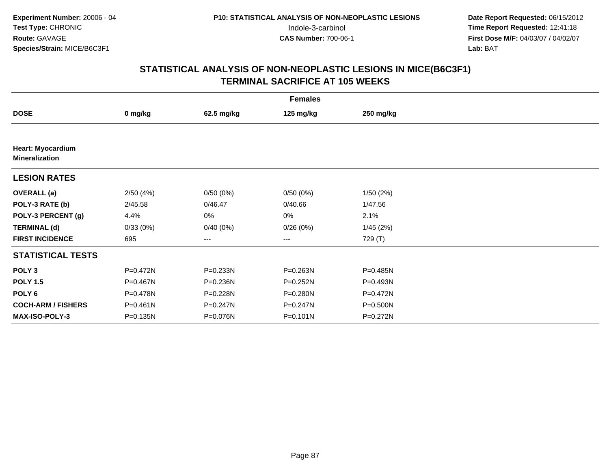| <b>Females</b>                                    |              |              |              |              |  |  |  |
|---------------------------------------------------|--------------|--------------|--------------|--------------|--|--|--|
| <b>DOSE</b>                                       | 0 mg/kg      | 62.5 mg/kg   | 125 mg/kg    | 250 mg/kg    |  |  |  |
|                                                   |              |              |              |              |  |  |  |
| <b>Heart: Myocardium</b><br><b>Mineralization</b> |              |              |              |              |  |  |  |
| <b>LESION RATES</b>                               |              |              |              |              |  |  |  |
| <b>OVERALL</b> (a)                                | 2/50(4%)     | 0/50(0%)     | 0/50(0%)     | 1/50(2%)     |  |  |  |
| POLY-3 RATE (b)                                   | 2/45.58      | 0/46.47      | 0/40.66      | 1/47.56      |  |  |  |
| POLY-3 PERCENT (g)                                | 4.4%         | 0%           | 0%           | 2.1%         |  |  |  |
| <b>TERMINAL (d)</b>                               | 0/33(0%)     | 0/40(0%)     | 0/26(0%)     | 1/45(2%)     |  |  |  |
| <b>FIRST INCIDENCE</b>                            | 695          | ---          | $--$         | 729 (T)      |  |  |  |
| <b>STATISTICAL TESTS</b>                          |              |              |              |              |  |  |  |
| POLY <sub>3</sub>                                 | P=0.472N     | P=0.233N     | P=0.263N     | P=0.485N     |  |  |  |
| <b>POLY 1.5</b>                                   | P=0.467N     | P=0.236N     | $P = 0.252N$ | P=0.493N     |  |  |  |
| POLY 6                                            | P=0.478N     | P=0.228N     | P=0.280N     | $P = 0.472N$ |  |  |  |
| <b>COCH-ARM / FISHERS</b>                         | $P = 0.461N$ | $P = 0.247N$ | P=0.247N     | P=0.500N     |  |  |  |
| <b>MAX-ISO-POLY-3</b>                             | $P = 0.135N$ | P=0.076N     | $P = 0.101N$ | P=0.272N     |  |  |  |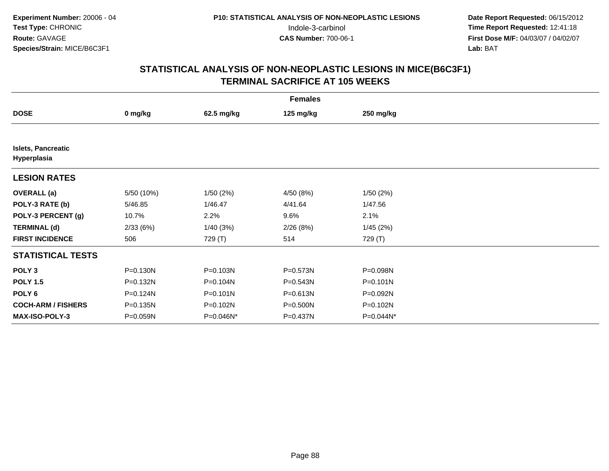| <b>Females</b>                           |            |              |           |              |  |  |  |
|------------------------------------------|------------|--------------|-----------|--------------|--|--|--|
| <b>DOSE</b>                              | 0 mg/kg    | 62.5 mg/kg   | 125 mg/kg | 250 mg/kg    |  |  |  |
|                                          |            |              |           |              |  |  |  |
| <b>Islets, Pancreatic</b><br>Hyperplasia |            |              |           |              |  |  |  |
| <b>LESION RATES</b>                      |            |              |           |              |  |  |  |
| <b>OVERALL</b> (a)                       | 5/50 (10%) | 1/50(2%)     | 4/50 (8%) | 1/50(2%)     |  |  |  |
| POLY-3 RATE (b)                          | 5/46.85    | 1/46.47      | 4/41.64   | 1/47.56      |  |  |  |
| POLY-3 PERCENT (g)                       | 10.7%      | 2.2%         | 9.6%      | 2.1%         |  |  |  |
| <b>TERMINAL (d)</b>                      | 2/33(6%)   | 1/40(3%)     | 2/26(8%)  | 1/45(2%)     |  |  |  |
| <b>FIRST INCIDENCE</b>                   | 506        | 729 (T)      | 514       | 729 (T)      |  |  |  |
| <b>STATISTICAL TESTS</b>                 |            |              |           |              |  |  |  |
| POLY <sub>3</sub>                        | P=0.130N   | P=0.103N     | P=0.573N  | P=0.098N     |  |  |  |
| <b>POLY 1.5</b>                          | P=0.132N   | P=0.104N     | P=0.543N  | $P = 0.101N$ |  |  |  |
| POLY 6                                   | P=0.124N   | $P = 0.101N$ | P=0.613N  | P=0.092N     |  |  |  |
| <b>COCH-ARM / FISHERS</b>                | P=0.135N   | P=0.102N     | P=0.500N  | P=0.102N     |  |  |  |
| <b>MAX-ISO-POLY-3</b>                    | P=0.059N   | P=0.046N*    | P=0.437N  | P=0.044N*    |  |  |  |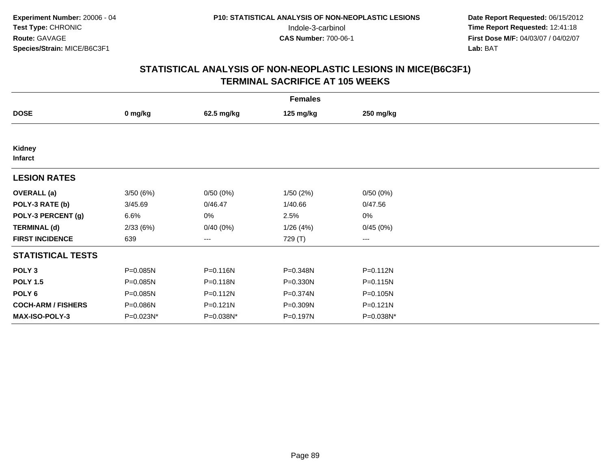| <b>Females</b>            |           |              |           |              |  |  |  |
|---------------------------|-----------|--------------|-----------|--------------|--|--|--|
| <b>DOSE</b>               | 0 mg/kg   | 62.5 mg/kg   | 125 mg/kg | 250 mg/kg    |  |  |  |
|                           |           |              |           |              |  |  |  |
| Kidney<br><b>Infarct</b>  |           |              |           |              |  |  |  |
| <b>LESION RATES</b>       |           |              |           |              |  |  |  |
| <b>OVERALL</b> (a)        | 3/50(6%)  | 0/50(0%)     | 1/50(2%)  | 0/50(0%)     |  |  |  |
| POLY-3 RATE (b)           | 3/45.69   | 0/46.47      | 1/40.66   | 0/47.56      |  |  |  |
| POLY-3 PERCENT (g)        | 6.6%      | 0%           | 2.5%      | 0%           |  |  |  |
| <b>TERMINAL (d)</b>       | 2/33(6%)  | 0/40(0%)     | 1/26(4%)  | 0/45(0%)     |  |  |  |
| <b>FIRST INCIDENCE</b>    | 639       | ---          | 729 (T)   | $\cdots$     |  |  |  |
| <b>STATISTICAL TESTS</b>  |           |              |           |              |  |  |  |
| POLY <sub>3</sub>         | P=0.085N  | P=0.116N     | P=0.348N  | $P = 0.112N$ |  |  |  |
| <b>POLY 1.5</b>           | P=0.085N  | $P = 0.118N$ | P=0.330N  | $P = 0.115N$ |  |  |  |
| POLY 6                    | P=0.085N  | $P = 0.112N$ | P=0.374N  | P=0.105N     |  |  |  |
| <b>COCH-ARM / FISHERS</b> | P=0.086N  | $P = 0.121N$ | P=0.309N  | $P = 0.121N$ |  |  |  |
| <b>MAX-ISO-POLY-3</b>     | P=0.023N* | P=0.038N*    | P=0.197N  | P=0.038N*    |  |  |  |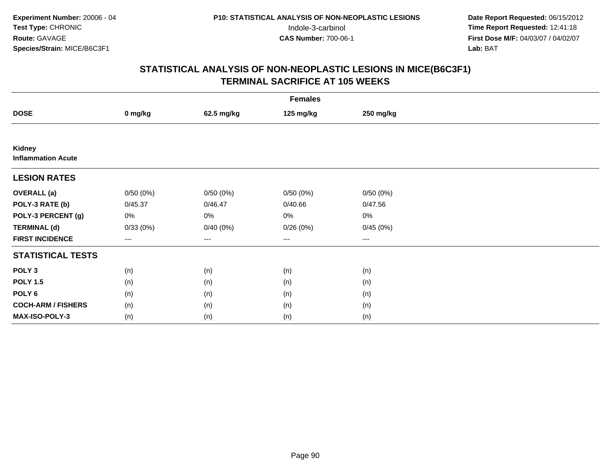| <b>Females</b>                      |                        |            |           |           |  |  |  |
|-------------------------------------|------------------------|------------|-----------|-----------|--|--|--|
| <b>DOSE</b>                         | 0 mg/kg                | 62.5 mg/kg | 125 mg/kg | 250 mg/kg |  |  |  |
|                                     |                        |            |           |           |  |  |  |
| Kidney<br><b>Inflammation Acute</b> |                        |            |           |           |  |  |  |
| <b>LESION RATES</b>                 |                        |            |           |           |  |  |  |
| <b>OVERALL</b> (a)                  | 0/50(0%)               | 0/50(0%)   | 0/50(0%)  | 0/50(0%)  |  |  |  |
| POLY-3 RATE (b)                     | 0/45.37                | 0/46.47    | 0/40.66   | 0/47.56   |  |  |  |
| POLY-3 PERCENT (g)                  | 0%                     | 0%         | 0%        | 0%        |  |  |  |
| <b>TERMINAL (d)</b>                 | 0/33(0%)               | 0/40(0%)   | 0/26(0%)  | 0/45(0%)  |  |  |  |
| <b>FIRST INCIDENCE</b>              | $\qquad \qquad \cdots$ | $---$      | ---       | $--$      |  |  |  |
| <b>STATISTICAL TESTS</b>            |                        |            |           |           |  |  |  |
| POLY <sub>3</sub>                   | (n)                    | (n)        | (n)       | (n)       |  |  |  |
| <b>POLY 1.5</b>                     | (n)                    | (n)        | (n)       | (n)       |  |  |  |
| POLY <sub>6</sub>                   | (n)                    | (n)        | (n)       | (n)       |  |  |  |
| <b>COCH-ARM / FISHERS</b>           | (n)                    | (n)        | (n)       | (n)       |  |  |  |
| MAX-ISO-POLY-3                      | (n)                    | (n)        | (n)       | (n)       |  |  |  |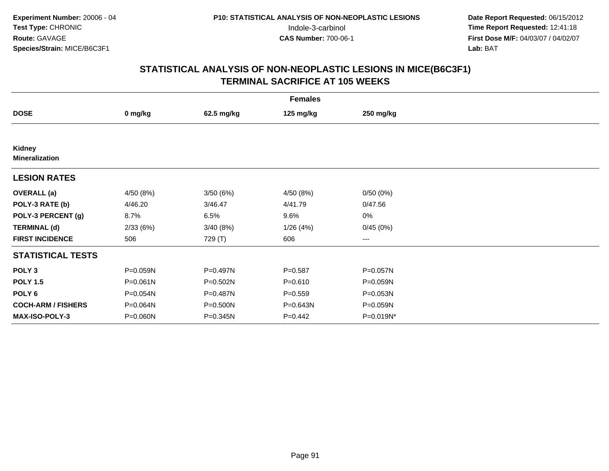| <b>Females</b>                  |              |            |             |                        |  |  |  |
|---------------------------------|--------------|------------|-------------|------------------------|--|--|--|
| <b>DOSE</b>                     | 0 mg/kg      | 62.5 mg/kg | 125 mg/kg   | 250 mg/kg              |  |  |  |
|                                 |              |            |             |                        |  |  |  |
| Kidney<br><b>Mineralization</b> |              |            |             |                        |  |  |  |
| <b>LESION RATES</b>             |              |            |             |                        |  |  |  |
| <b>OVERALL</b> (a)              | 4/50(8%)     | 3/50(6%)   | 4/50 (8%)   | 0/50(0%)               |  |  |  |
| POLY-3 RATE (b)                 | 4/46.20      | 3/46.47    | 4/41.79     | 0/47.56                |  |  |  |
| POLY-3 PERCENT (g)              | 8.7%         | 6.5%       | 9.6%        | 0%                     |  |  |  |
| <b>TERMINAL (d)</b>             | 2/33(6%)     | 3/40(8%)   | 1/26(4%)    | 0/45(0%)               |  |  |  |
| <b>FIRST INCIDENCE</b>          | 506          | 729 (T)    | 606         | $\qquad \qquad \cdots$ |  |  |  |
| <b>STATISTICAL TESTS</b>        |              |            |             |                        |  |  |  |
| POLY <sub>3</sub>               | P=0.059N     | P=0.497N   | $P = 0.587$ | P=0.057N               |  |  |  |
| <b>POLY 1.5</b>                 | $P = 0.061N$ | P=0.502N   | $P = 0.610$ | P=0.059N               |  |  |  |
| POLY <sub>6</sub>               | P=0.054N     | P=0.487N   | $P = 0.559$ | P=0.053N               |  |  |  |
| <b>COCH-ARM / FISHERS</b>       | P=0.064N     | P=0.500N   | P=0.643N    | P=0.059N               |  |  |  |
| <b>MAX-ISO-POLY-3</b>           | P=0.060N     | P=0.345N   | $P=0.442$   | P=0.019N*              |  |  |  |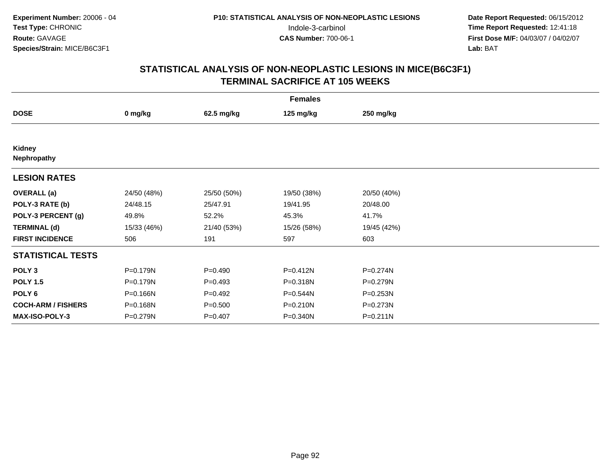|                           | <b>Females</b> |             |             |              |  |  |  |  |
|---------------------------|----------------|-------------|-------------|--------------|--|--|--|--|
| <b>DOSE</b>               | 0 mg/kg        | 62.5 mg/kg  | 125 mg/kg   | 250 mg/kg    |  |  |  |  |
|                           |                |             |             |              |  |  |  |  |
| Kidney<br>Nephropathy     |                |             |             |              |  |  |  |  |
| <b>LESION RATES</b>       |                |             |             |              |  |  |  |  |
| <b>OVERALL</b> (a)        | 24/50 (48%)    | 25/50 (50%) | 19/50 (38%) | 20/50 (40%)  |  |  |  |  |
| POLY-3 RATE (b)           | 24/48.15       | 25/47.91    | 19/41.95    | 20/48.00     |  |  |  |  |
| POLY-3 PERCENT (g)        | 49.8%          | 52.2%       | 45.3%       | 41.7%        |  |  |  |  |
| <b>TERMINAL (d)</b>       | 15/33 (46%)    | 21/40 (53%) | 15/26 (58%) | 19/45 (42%)  |  |  |  |  |
| <b>FIRST INCIDENCE</b>    | 506            | 191         | 597         | 603          |  |  |  |  |
| <b>STATISTICAL TESTS</b>  |                |             |             |              |  |  |  |  |
| POLY <sub>3</sub>         | P=0.179N       | $P=0.490$   | P=0.412N    | P=0.274N     |  |  |  |  |
| <b>POLY 1.5</b>           | P=0.179N       | $P=0.493$   | P=0.318N    | P=0.279N     |  |  |  |  |
| POLY 6                    | P=0.166N       | $P=0.492$   | P=0.544N    | $P = 0.253N$ |  |  |  |  |
| <b>COCH-ARM / FISHERS</b> | P=0.168N       | $P = 0.500$ | P=0.210N    | P=0.273N     |  |  |  |  |
| <b>MAX-ISO-POLY-3</b>     | P=0.279N       | $P=0.407$   | P=0.340N    | $P = 0.211N$ |  |  |  |  |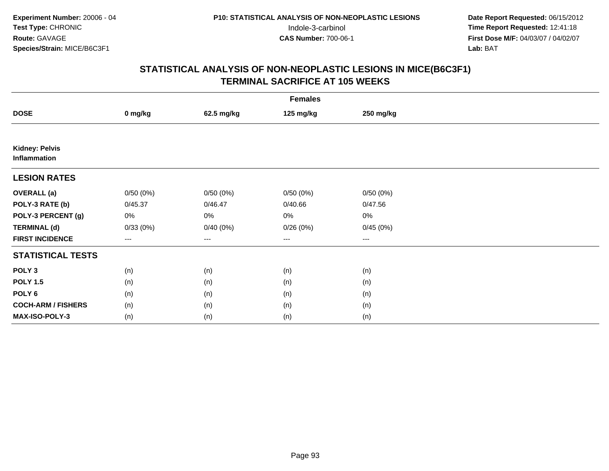| <b>Females</b>                        |                        |            |           |           |  |  |  |
|---------------------------------------|------------------------|------------|-----------|-----------|--|--|--|
| <b>DOSE</b>                           | 0 mg/kg                | 62.5 mg/kg | 125 mg/kg | 250 mg/kg |  |  |  |
|                                       |                        |            |           |           |  |  |  |
| <b>Kidney: Pelvis</b><br>Inflammation |                        |            |           |           |  |  |  |
| <b>LESION RATES</b>                   |                        |            |           |           |  |  |  |
| <b>OVERALL</b> (a)                    | 0/50(0%)               | 0/50(0%)   | 0/50(0%)  | 0/50(0%)  |  |  |  |
| POLY-3 RATE (b)                       | 0/45.37                | 0/46.47    | 0/40.66   | 0/47.56   |  |  |  |
| POLY-3 PERCENT (g)                    | 0%                     | $0\%$      | 0%        | 0%        |  |  |  |
| <b>TERMINAL (d)</b>                   | 0/33(0%)               | 0/40(0%)   | 0/26(0%)  | 0/45(0%)  |  |  |  |
| <b>FIRST INCIDENCE</b>                | $\qquad \qquad \cdots$ | $---$      | ---       | $--$      |  |  |  |
| <b>STATISTICAL TESTS</b>              |                        |            |           |           |  |  |  |
| POLY <sub>3</sub>                     | (n)                    | (n)        | (n)       | (n)       |  |  |  |
| <b>POLY 1.5</b>                       | (n)                    | (n)        | (n)       | (n)       |  |  |  |
| POLY <sub>6</sub>                     | (n)                    | (n)        | (n)       | (n)       |  |  |  |
| <b>COCH-ARM / FISHERS</b>             | (n)                    | (n)        | (n)       | (n)       |  |  |  |
| MAX-ISO-POLY-3                        | (n)                    | (n)        | (n)       | (n)       |  |  |  |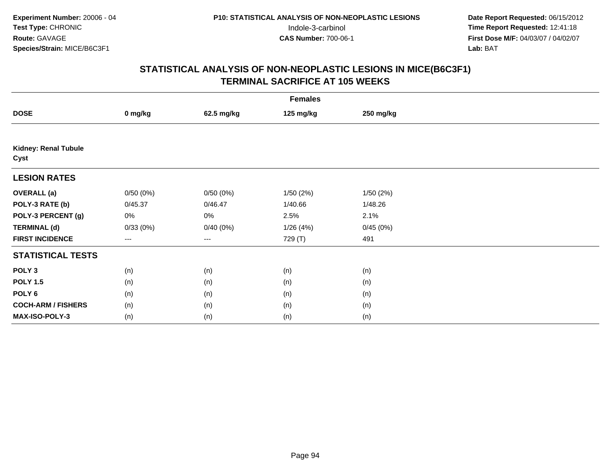|                                     | <b>Females</b> |            |           |           |  |  |  |  |
|-------------------------------------|----------------|------------|-----------|-----------|--|--|--|--|
| <b>DOSE</b>                         | 0 mg/kg        | 62.5 mg/kg | 125 mg/kg | 250 mg/kg |  |  |  |  |
|                                     |                |            |           |           |  |  |  |  |
| <b>Kidney: Renal Tubule</b><br>Cyst |                |            |           |           |  |  |  |  |
| <b>LESION RATES</b>                 |                |            |           |           |  |  |  |  |
| <b>OVERALL</b> (a)                  | 0/50(0%)       | 0/50(0%)   | 1/50(2%)  | 1/50(2%)  |  |  |  |  |
| POLY-3 RATE (b)                     | 0/45.37        | 0/46.47    | 1/40.66   | 1/48.26   |  |  |  |  |
| POLY-3 PERCENT (g)                  | 0%             | 0%         | 2.5%      | 2.1%      |  |  |  |  |
| <b>TERMINAL (d)</b>                 | 0/33(0%)       | 0/40(0%)   | 1/26(4%)  | 0/45(0%)  |  |  |  |  |
| <b>FIRST INCIDENCE</b>              | ---            | $--$       | 729 (T)   | 491       |  |  |  |  |
| <b>STATISTICAL TESTS</b>            |                |            |           |           |  |  |  |  |
| POLY <sub>3</sub>                   | (n)            | (n)        | (n)       | (n)       |  |  |  |  |
| <b>POLY 1.5</b>                     | (n)            | (n)        | (n)       | (n)       |  |  |  |  |
| POLY 6                              | (n)            | (n)        | (n)       | (n)       |  |  |  |  |
| <b>COCH-ARM / FISHERS</b>           | (n)            | (n)        | (n)       | (n)       |  |  |  |  |
| MAX-ISO-POLY-3                      | (n)            | (n)        | (n)       | (n)       |  |  |  |  |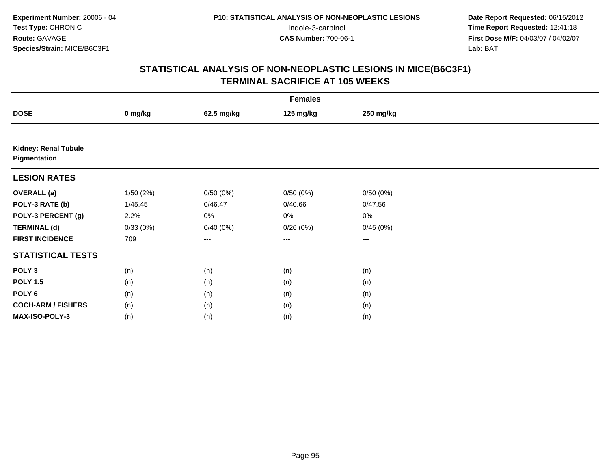| <b>Females</b>                       |          |            |           |           |  |  |  |
|--------------------------------------|----------|------------|-----------|-----------|--|--|--|
| <b>DOSE</b>                          | 0 mg/kg  | 62.5 mg/kg | 125 mg/kg | 250 mg/kg |  |  |  |
|                                      |          |            |           |           |  |  |  |
| Kidney: Renal Tubule<br>Pigmentation |          |            |           |           |  |  |  |
| <b>LESION RATES</b>                  |          |            |           |           |  |  |  |
| <b>OVERALL</b> (a)                   | 1/50(2%) | 0/50(0%)   | 0/50(0%)  | 0/50(0%)  |  |  |  |
| POLY-3 RATE (b)                      | 1/45.45  | 0/46.47    | 0/40.66   | 0/47.56   |  |  |  |
| POLY-3 PERCENT (g)                   | 2.2%     | 0%         | $0\%$     | $0\%$     |  |  |  |
| <b>TERMINAL (d)</b>                  | 0/33(0%) | 0/40(0%)   | 0/26(0%)  | 0/45(0%)  |  |  |  |
| <b>FIRST INCIDENCE</b>               | 709      | ---        | $\cdots$  | $\cdots$  |  |  |  |
| <b>STATISTICAL TESTS</b>             |          |            |           |           |  |  |  |
| POLY <sub>3</sub>                    | (n)      | (n)        | (n)       | (n)       |  |  |  |
| <b>POLY 1.5</b>                      | (n)      | (n)        | (n)       | (n)       |  |  |  |
| POLY <sub>6</sub>                    | (n)      | (n)        | (n)       | (n)       |  |  |  |
| <b>COCH-ARM / FISHERS</b>            | (n)      | (n)        | (n)       | (n)       |  |  |  |
| <b>MAX-ISO-POLY-3</b>                | (n)      | (n)        | (n)       | (n)       |  |  |  |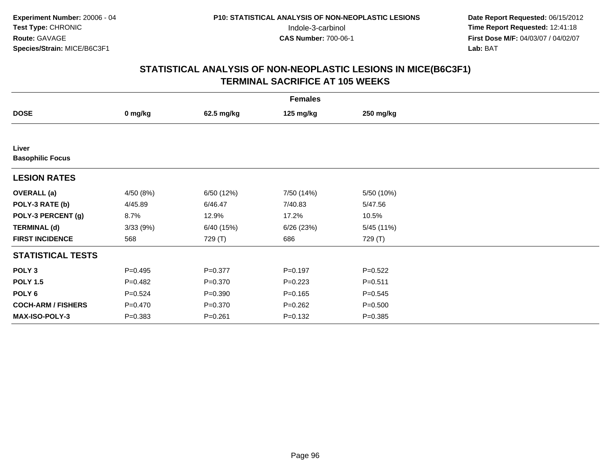| <b>Females</b>                   |             |             |             |             |  |  |  |
|----------------------------------|-------------|-------------|-------------|-------------|--|--|--|
| <b>DOSE</b>                      | 0 mg/kg     | 62.5 mg/kg  | 125 mg/kg   | 250 mg/kg   |  |  |  |
|                                  |             |             |             |             |  |  |  |
| Liver<br><b>Basophilic Focus</b> |             |             |             |             |  |  |  |
| <b>LESION RATES</b>              |             |             |             |             |  |  |  |
| <b>OVERALL</b> (a)               | 4/50 (8%)   | 6/50 (12%)  | 7/50 (14%)  | 5/50 (10%)  |  |  |  |
| POLY-3 RATE (b)                  | 4/45.89     | 6/46.47     | 7/40.83     | 5/47.56     |  |  |  |
| POLY-3 PERCENT (g)               | 8.7%        | 12.9%       | 17.2%       | 10.5%       |  |  |  |
| <b>TERMINAL (d)</b>              | 3/33(9%)    | 6/40 (15%)  | 6/26(23%)   | 5/45 (11%)  |  |  |  |
| <b>FIRST INCIDENCE</b>           | 568         | 729 (T)     | 686         | 729 (T)     |  |  |  |
| <b>STATISTICAL TESTS</b>         |             |             |             |             |  |  |  |
| POLY <sub>3</sub>                | $P=0.495$   | $P = 0.377$ | $P = 0.197$ | $P=0.522$   |  |  |  |
| <b>POLY 1.5</b>                  | $P=0.482$   | $P = 0.370$ | $P=0.223$   | $P = 0.511$ |  |  |  |
| POLY <sub>6</sub>                | $P = 0.524$ | $P = 0.390$ | $P = 0.165$ | $P = 0.545$ |  |  |  |
| <b>COCH-ARM / FISHERS</b>        | $P = 0.470$ | $P = 0.370$ | $P = 0.262$ | $P = 0.500$ |  |  |  |
| <b>MAX-ISO-POLY-3</b>            | $P = 0.383$ | $P = 0.261$ | $P = 0.132$ | $P = 0.385$ |  |  |  |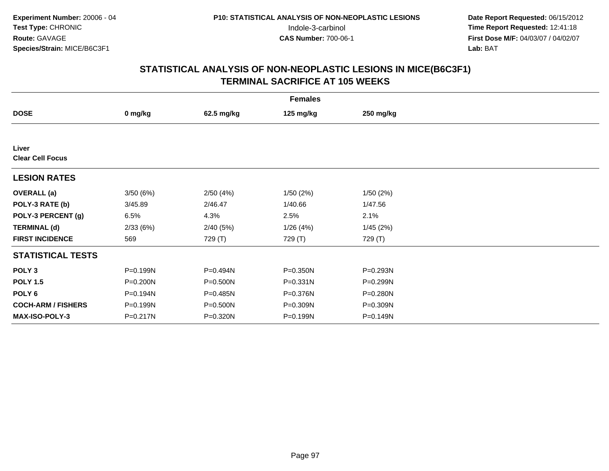| <b>Females</b>                   |          |            |           |           |  |  |  |
|----------------------------------|----------|------------|-----------|-----------|--|--|--|
| <b>DOSE</b>                      | 0 mg/kg  | 62.5 mg/kg | 125 mg/kg | 250 mg/kg |  |  |  |
|                                  |          |            |           |           |  |  |  |
| Liver<br><b>Clear Cell Focus</b> |          |            |           |           |  |  |  |
| <b>LESION RATES</b>              |          |            |           |           |  |  |  |
| <b>OVERALL</b> (a)               | 3/50(6%) | 2/50(4%)   | 1/50(2%)  | 1/50(2%)  |  |  |  |
| POLY-3 RATE (b)                  | 3/45.89  | 2/46.47    | 1/40.66   | 1/47.56   |  |  |  |
| POLY-3 PERCENT (g)               | 6.5%     | 4.3%       | 2.5%      | 2.1%      |  |  |  |
| <b>TERMINAL (d)</b>              | 2/33(6%) | 2/40(5%)   | 1/26(4%)  | 1/45(2%)  |  |  |  |
| <b>FIRST INCIDENCE</b>           | 569      | 729 (T)    | 729 (T)   | 729 (T)   |  |  |  |
| <b>STATISTICAL TESTS</b>         |          |            |           |           |  |  |  |
| POLY <sub>3</sub>                | P=0.199N | P=0.494N   | P=0.350N  | P=0.293N  |  |  |  |
| <b>POLY 1.5</b>                  | P=0.200N | P=0.500N   | P=0.331N  | P=0.299N  |  |  |  |
| POLY 6                           | P=0.194N | P=0.485N   | P=0.376N  | P=0.280N  |  |  |  |
| <b>COCH-ARM / FISHERS</b>        | P=0.199N | P=0.500N   | P=0.309N  | P=0.309N  |  |  |  |
| <b>MAX-ISO-POLY-3</b>            | P=0.217N | P=0.320N   | P=0.199N  | P=0.149N  |  |  |  |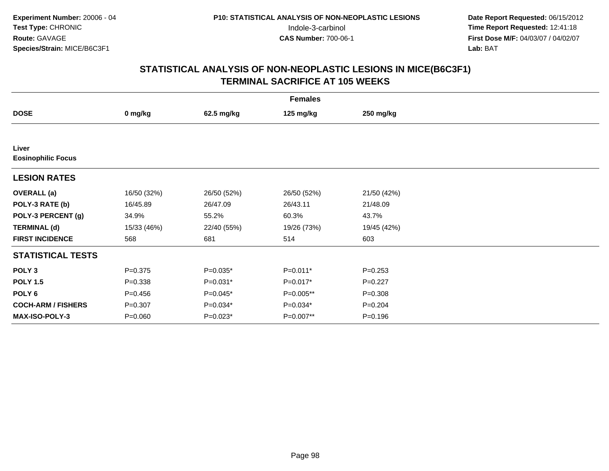| <b>Females</b>                     |             |             |             |             |  |  |  |
|------------------------------------|-------------|-------------|-------------|-------------|--|--|--|
| <b>DOSE</b>                        | 0 mg/kg     | 62.5 mg/kg  | 125 mg/kg   | 250 mg/kg   |  |  |  |
|                                    |             |             |             |             |  |  |  |
| Liver<br><b>Eosinophilic Focus</b> |             |             |             |             |  |  |  |
| <b>LESION RATES</b>                |             |             |             |             |  |  |  |
| <b>OVERALL</b> (a)                 | 16/50 (32%) | 26/50 (52%) | 26/50 (52%) | 21/50 (42%) |  |  |  |
| POLY-3 RATE (b)                    | 16/45.89    | 26/47.09    | 26/43.11    | 21/48.09    |  |  |  |
| POLY-3 PERCENT (g)                 | 34.9%       | 55.2%       | 60.3%       | 43.7%       |  |  |  |
| <b>TERMINAL (d)</b>                | 15/33 (46%) | 22/40 (55%) | 19/26 (73%) | 19/45 (42%) |  |  |  |
| <b>FIRST INCIDENCE</b>             | 568         | 681         | 514         | 603         |  |  |  |
| <b>STATISTICAL TESTS</b>           |             |             |             |             |  |  |  |
| POLY <sub>3</sub>                  | $P = 0.375$ | P=0.035*    | P=0.011*    | $P=0.253$   |  |  |  |
| <b>POLY 1.5</b>                    | $P = 0.338$ | $P=0.031*$  | $P=0.017*$  | $P=0.227$   |  |  |  |
| POLY <sub>6</sub>                  | $P = 0.456$ | P=0.045*    | P=0.005**   | $P = 0.308$ |  |  |  |
| <b>COCH-ARM / FISHERS</b>          | $P = 0.307$ | $P=0.034*$  | $P=0.034*$  | $P = 0.204$ |  |  |  |
| MAX-ISO-POLY-3                     | $P = 0.060$ | $P=0.023*$  | P=0.007**   | $P = 0.196$ |  |  |  |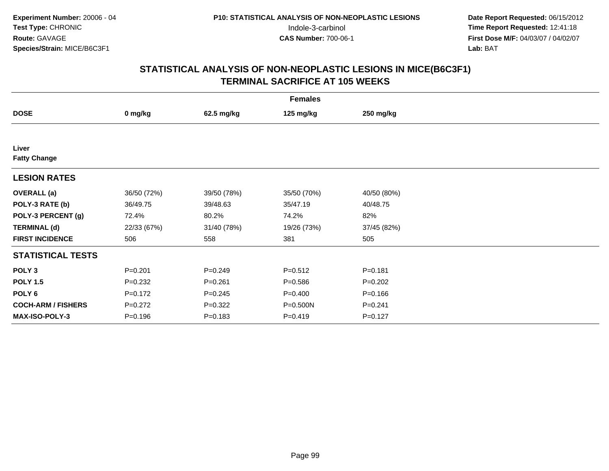| <b>Females</b>               |             |             |             |             |  |  |  |
|------------------------------|-------------|-------------|-------------|-------------|--|--|--|
| <b>DOSE</b>                  | 0 mg/kg     | 62.5 mg/kg  | 125 mg/kg   | 250 mg/kg   |  |  |  |
|                              |             |             |             |             |  |  |  |
| Liver<br><b>Fatty Change</b> |             |             |             |             |  |  |  |
| <b>LESION RATES</b>          |             |             |             |             |  |  |  |
| <b>OVERALL</b> (a)           | 36/50 (72%) | 39/50 (78%) | 35/50 (70%) | 40/50 (80%) |  |  |  |
| POLY-3 RATE (b)              | 36/49.75    | 39/48.63    | 35/47.19    | 40/48.75    |  |  |  |
| POLY-3 PERCENT (g)           | 72.4%       | 80.2%       | 74.2%       | 82%         |  |  |  |
| <b>TERMINAL (d)</b>          | 22/33 (67%) | 31/40 (78%) | 19/26 (73%) | 37/45 (82%) |  |  |  |
| <b>FIRST INCIDENCE</b>       | 506         | 558         | 381         | 505         |  |  |  |
| <b>STATISTICAL TESTS</b>     |             |             |             |             |  |  |  |
| POLY <sub>3</sub>            | $P = 0.201$ | $P = 0.249$ | $P = 0.512$ | $P = 0.181$ |  |  |  |
| <b>POLY 1.5</b>              | $P = 0.232$ | $P = 0.261$ | $P = 0.586$ | $P=0.202$   |  |  |  |
| POLY 6                       | $P = 0.172$ | $P = 0.245$ | $P = 0.400$ | $P = 0.166$ |  |  |  |
| <b>COCH-ARM / FISHERS</b>    | $P = 0.272$ | $P=0.322$   | P=0.500N    | $P = 0.241$ |  |  |  |
| <b>MAX-ISO-POLY-3</b>        | $P = 0.196$ | $P = 0.183$ | $P=0.419$   | $P=0.127$   |  |  |  |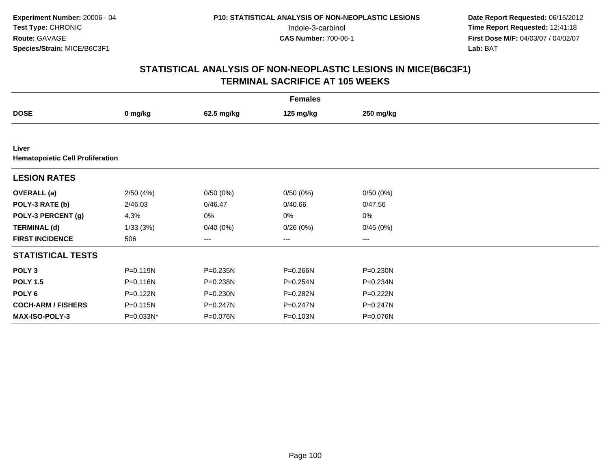|                                                  |              |              | <b>Females</b> |              |  |
|--------------------------------------------------|--------------|--------------|----------------|--------------|--|
| <b>DOSE</b>                                      | 0 mg/kg      | 62.5 mg/kg   | 125 mg/kg      | 250 mg/kg    |  |
|                                                  |              |              |                |              |  |
| Liver<br><b>Hematopoietic Cell Proliferation</b> |              |              |                |              |  |
| <b>LESION RATES</b>                              |              |              |                |              |  |
| <b>OVERALL</b> (a)                               | 2/50(4%)     | 0/50(0%)     | 0/50(0%)       | 0/50(0%)     |  |
| POLY-3 RATE (b)                                  | 2/46.03      | 0/46.47      | 0/40.66        | 0/47.56      |  |
| POLY-3 PERCENT (g)                               | 4.3%         | 0%           | 0%             | $0\%$        |  |
| <b>TERMINAL (d)</b>                              | 1/33(3%)     | 0/40(0%)     | 0/26(0%)       | 0/45(0%)     |  |
| <b>FIRST INCIDENCE</b>                           | 506          | ---          | $\cdots$       | $\cdots$     |  |
| <b>STATISTICAL TESTS</b>                         |              |              |                |              |  |
| POLY <sub>3</sub>                                | P=0.119N     | $P = 0.235N$ | P=0.266N       | P=0.230N     |  |
| <b>POLY 1.5</b>                                  | $P = 0.116N$ | P=0.238N     | P=0.254N       | P=0.234N     |  |
| POLY 6                                           | P=0.122N     | $P = 0.230N$ | P=0.282N       | P=0.222N     |  |
| <b>COCH-ARM / FISHERS</b>                        | P=0.115N     | P=0.247N     | $P = 0.247N$   | $P = 0.247N$ |  |
| <b>MAX-ISO-POLY-3</b>                            | P=0.033N*    | P=0.076N     | P=0.103N       | P=0.076N     |  |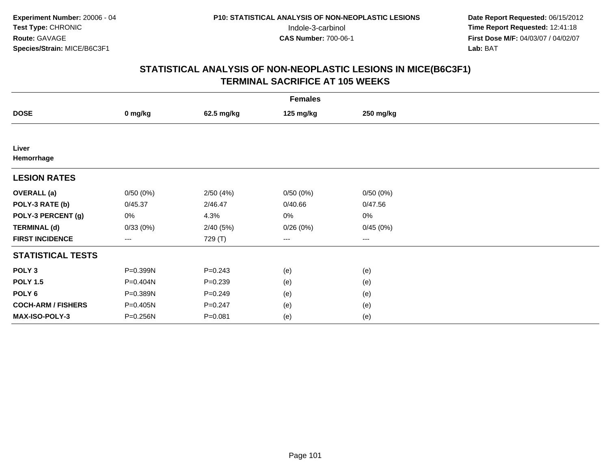| <b>Females</b>            |                   |             |           |           |  |  |  |
|---------------------------|-------------------|-------------|-----------|-----------|--|--|--|
| <b>DOSE</b>               | 0 mg/kg           | 62.5 mg/kg  | 125 mg/kg | 250 mg/kg |  |  |  |
|                           |                   |             |           |           |  |  |  |
| Liver<br>Hemorrhage       |                   |             |           |           |  |  |  |
| <b>LESION RATES</b>       |                   |             |           |           |  |  |  |
| <b>OVERALL</b> (a)        | 0/50(0%)          | 2/50(4%)    | 0/50(0%)  | 0/50(0%)  |  |  |  |
| POLY-3 RATE (b)           | 0/45.37           | 2/46.47     | 0/40.66   | 0/47.56   |  |  |  |
| POLY-3 PERCENT (g)        | 0%                | 4.3%        | 0%        | 0%        |  |  |  |
| <b>TERMINAL (d)</b>       | 0/33(0%)          | 2/40(5%)    | 0/26(0%)  | 0/45(0%)  |  |  |  |
| <b>FIRST INCIDENCE</b>    | $\qquad \qquad -$ | 729 (T)     | ---       | $---$     |  |  |  |
| <b>STATISTICAL TESTS</b>  |                   |             |           |           |  |  |  |
| POLY <sub>3</sub>         | P=0.399N          | $P = 0.243$ | (e)       | (e)       |  |  |  |
| <b>POLY 1.5</b>           | P=0.404N          | $P = 0.239$ | (e)       | (e)       |  |  |  |
| POLY <sub>6</sub>         | P=0.389N          | $P = 0.249$ | (e)       | (e)       |  |  |  |
| <b>COCH-ARM / FISHERS</b> | P=0.405N          | $P = 0.247$ | (e)       | (e)       |  |  |  |
| MAX-ISO-POLY-3            | P=0.256N          | $P = 0.081$ | (e)       | (e)       |  |  |  |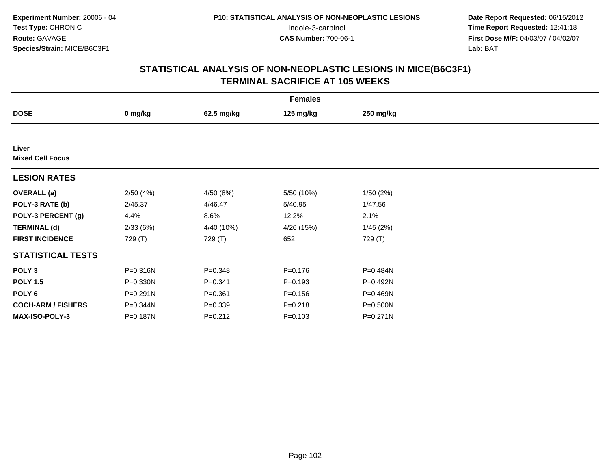| <b>Females</b>                   |          |             |             |              |  |  |  |
|----------------------------------|----------|-------------|-------------|--------------|--|--|--|
| <b>DOSE</b>                      | 0 mg/kg  | 62.5 mg/kg  | 125 mg/kg   | 250 mg/kg    |  |  |  |
|                                  |          |             |             |              |  |  |  |
| Liver<br><b>Mixed Cell Focus</b> |          |             |             |              |  |  |  |
| <b>LESION RATES</b>              |          |             |             |              |  |  |  |
| <b>OVERALL</b> (a)               | 2/50(4%) | 4/50 (8%)   | 5/50 (10%)  | 1/50(2%)     |  |  |  |
| POLY-3 RATE (b)                  | 2/45.37  | 4/46.47     | 5/40.95     | 1/47.56      |  |  |  |
| POLY-3 PERCENT (g)               | 4.4%     | 8.6%        | 12.2%       | 2.1%         |  |  |  |
| <b>TERMINAL (d)</b>              | 2/33(6%) | 4/40 (10%)  | 4/26 (15%)  | 1/45(2%)     |  |  |  |
| <b>FIRST INCIDENCE</b>           | 729 (T)  | 729 (T)     | 652         | 729 (T)      |  |  |  |
| <b>STATISTICAL TESTS</b>         |          |             |             |              |  |  |  |
| POLY <sub>3</sub>                | P=0.316N | $P = 0.348$ | $P = 0.176$ | P=0.484N     |  |  |  |
| <b>POLY 1.5</b>                  | P=0.330N | $P = 0.341$ | $P = 0.193$ | P=0.492N     |  |  |  |
| POLY 6                           | P=0.291N | $P = 0.361$ | $P = 0.156$ | P=0.469N     |  |  |  |
| <b>COCH-ARM / FISHERS</b>        | P=0.344N | $P = 0.339$ | $P = 0.218$ | P=0.500N     |  |  |  |
| <b>MAX-ISO-POLY-3</b>            | P=0.187N | $P = 0.212$ | $P = 0.103$ | $P = 0.271N$ |  |  |  |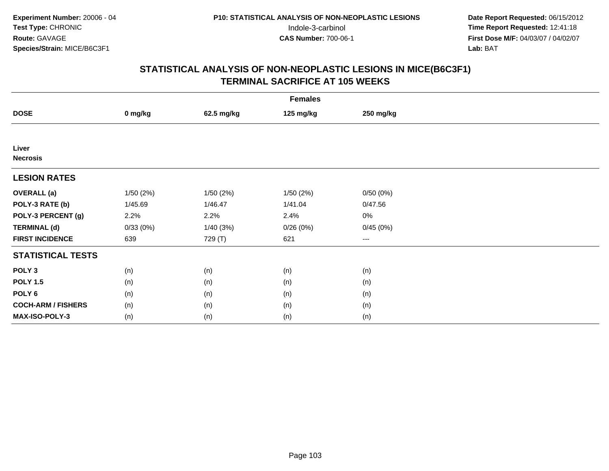| <b>Females</b>            |          |            |           |           |  |  |  |
|---------------------------|----------|------------|-----------|-----------|--|--|--|
| <b>DOSE</b>               | 0 mg/kg  | 62.5 mg/kg | 125 mg/kg | 250 mg/kg |  |  |  |
|                           |          |            |           |           |  |  |  |
| Liver<br><b>Necrosis</b>  |          |            |           |           |  |  |  |
| <b>LESION RATES</b>       |          |            |           |           |  |  |  |
| <b>OVERALL (a)</b>        | 1/50(2%) | 1/50(2%)   | 1/50(2%)  | 0/50(0%)  |  |  |  |
| POLY-3 RATE (b)           | 1/45.69  | 1/46.47    | 1/41.04   | 0/47.56   |  |  |  |
| POLY-3 PERCENT (g)        | 2.2%     | 2.2%       | 2.4%      | 0%        |  |  |  |
| <b>TERMINAL (d)</b>       | 0/33(0%) | 1/40(3%)   | 0/26(0%)  | 0/45(0%)  |  |  |  |
| <b>FIRST INCIDENCE</b>    | 639      | 729 (T)    | 621       | $\cdots$  |  |  |  |
| <b>STATISTICAL TESTS</b>  |          |            |           |           |  |  |  |
| POLY <sub>3</sub>         | (n)      | (n)        | (n)       | (n)       |  |  |  |
| <b>POLY 1.5</b>           | (n)      | (n)        | (n)       | (n)       |  |  |  |
| POLY <sub>6</sub>         | (n)      | (n)        | (n)       | (n)       |  |  |  |
| <b>COCH-ARM / FISHERS</b> | (n)      | (n)        | (n)       | (n)       |  |  |  |
| MAX-ISO-POLY-3            | (n)      | (n)        | (n)       | (n)       |  |  |  |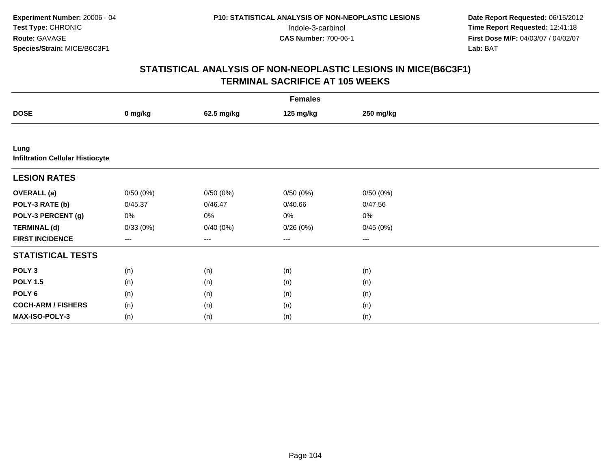|                                                 | <b>Females</b> |            |           |           |  |  |  |  |
|-------------------------------------------------|----------------|------------|-----------|-----------|--|--|--|--|
| <b>DOSE</b>                                     | 0 mg/kg        | 62.5 mg/kg | 125 mg/kg | 250 mg/kg |  |  |  |  |
|                                                 |                |            |           |           |  |  |  |  |
| Lung<br><b>Infiltration Cellular Histiocyte</b> |                |            |           |           |  |  |  |  |
| <b>LESION RATES</b>                             |                |            |           |           |  |  |  |  |
| <b>OVERALL</b> (a)                              | 0/50(0%)       | 0/50(0%)   | 0/50(0%)  | 0/50(0%)  |  |  |  |  |
| POLY-3 RATE (b)                                 | 0/45.37        | 0/46.47    | 0/40.66   | 0/47.56   |  |  |  |  |
| POLY-3 PERCENT (g)                              | 0%             | 0%         | 0%        | $0\%$     |  |  |  |  |
| <b>TERMINAL (d)</b>                             | 0/33(0%)       | 0/40(0%)   | 0/26(0%)  | 0/45(0%)  |  |  |  |  |
| <b>FIRST INCIDENCE</b>                          | ---            | ---        | $---$     | ---       |  |  |  |  |
| <b>STATISTICAL TESTS</b>                        |                |            |           |           |  |  |  |  |
| POLY <sub>3</sub>                               | (n)            | (n)        | (n)       | (n)       |  |  |  |  |
| <b>POLY 1.5</b>                                 | (n)            | (n)        | (n)       | (n)       |  |  |  |  |
| POLY <sub>6</sub>                               | (n)            | (n)        | (n)       | (n)       |  |  |  |  |
| <b>COCH-ARM / FISHERS</b>                       | (n)            | (n)        | (n)       | (n)       |  |  |  |  |
| <b>MAX-ISO-POLY-3</b>                           | (n)            | (n)        | (n)       | (n)       |  |  |  |  |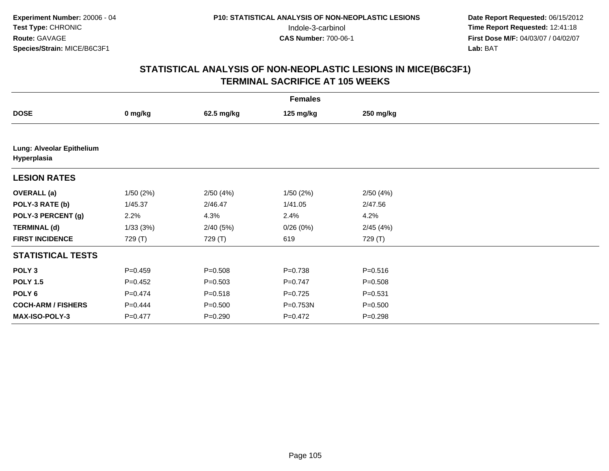| <b>Females</b>                           |             |             |             |             |  |  |  |
|------------------------------------------|-------------|-------------|-------------|-------------|--|--|--|
| <b>DOSE</b>                              | 0 mg/kg     | 62.5 mg/kg  | 125 mg/kg   | 250 mg/kg   |  |  |  |
|                                          |             |             |             |             |  |  |  |
| Lung: Alveolar Epithelium<br>Hyperplasia |             |             |             |             |  |  |  |
| <b>LESION RATES</b>                      |             |             |             |             |  |  |  |
| <b>OVERALL</b> (a)                       | 1/50(2%)    | 2/50(4%)    | 1/50(2%)    | 2/50(4%)    |  |  |  |
| POLY-3 RATE (b)                          | 1/45.37     | 2/46.47     | 1/41.05     | 2/47.56     |  |  |  |
| POLY-3 PERCENT (g)                       | 2.2%        | 4.3%        | 2.4%        | 4.2%        |  |  |  |
| <b>TERMINAL (d)</b>                      | 1/33(3%)    | 2/40(5%)    | 0/26(0%)    | 2/45(4%)    |  |  |  |
| <b>FIRST INCIDENCE</b>                   | 729 (T)     | 729 (T)     | 619         | 729 (T)     |  |  |  |
| <b>STATISTICAL TESTS</b>                 |             |             |             |             |  |  |  |
| POLY <sub>3</sub>                        | $P=0.459$   | $P = 0.508$ | $P = 0.738$ | $P = 0.516$ |  |  |  |
| <b>POLY 1.5</b>                          | $P=0.452$   | $P = 0.503$ | $P=0.747$   | $P = 0.508$ |  |  |  |
| POLY <sub>6</sub>                        | $P=0.474$   | $P = 0.518$ | $P=0.725$   | $P = 0.531$ |  |  |  |
| <b>COCH-ARM / FISHERS</b>                | $P=0.444$   | $P = 0.500$ | P=0.753N    | $P = 0.500$ |  |  |  |
| <b>MAX-ISO-POLY-3</b>                    | $P = 0.477$ | $P = 0.290$ | $P=0.472$   | $P = 0.298$ |  |  |  |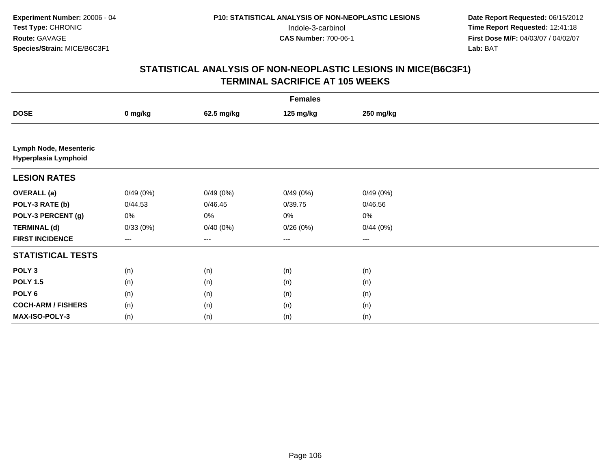|                                                | <b>Females</b> |            |           |           |  |  |  |  |
|------------------------------------------------|----------------|------------|-----------|-----------|--|--|--|--|
| <b>DOSE</b>                                    | 0 mg/kg        | 62.5 mg/kg | 125 mg/kg | 250 mg/kg |  |  |  |  |
|                                                |                |            |           |           |  |  |  |  |
| Lymph Node, Mesenteric<br>Hyperplasia Lymphoid |                |            |           |           |  |  |  |  |
| <b>LESION RATES</b>                            |                |            |           |           |  |  |  |  |
| <b>OVERALL (a)</b>                             | 0/49(0%)       | 0/49(0%)   | 0/49(0%)  | 0/49(0%)  |  |  |  |  |
| POLY-3 RATE (b)                                | 0/44.53        | 0/46.45    | 0/39.75   | 0/46.56   |  |  |  |  |
| POLY-3 PERCENT (g)                             | 0%             | 0%         | $0\%$     | $0\%$     |  |  |  |  |
| <b>TERMINAL (d)</b>                            | 0/33(0%)       | 0/40(0%)   | 0/26(0%)  | 0/44(0%)  |  |  |  |  |
| <b>FIRST INCIDENCE</b>                         | $--$           | $--$       | $--$      | ---       |  |  |  |  |
| <b>STATISTICAL TESTS</b>                       |                |            |           |           |  |  |  |  |
| POLY <sub>3</sub>                              | (n)            | (n)        | (n)       | (n)       |  |  |  |  |
| <b>POLY 1.5</b>                                | (n)            | (n)        | (n)       | (n)       |  |  |  |  |
| POLY 6                                         | (n)            | (n)        | (n)       | (n)       |  |  |  |  |
| <b>COCH-ARM / FISHERS</b>                      | (n)            | (n)        | (n)       | (n)       |  |  |  |  |
| MAX-ISO-POLY-3                                 | (n)            | (n)        | (n)       | (n)       |  |  |  |  |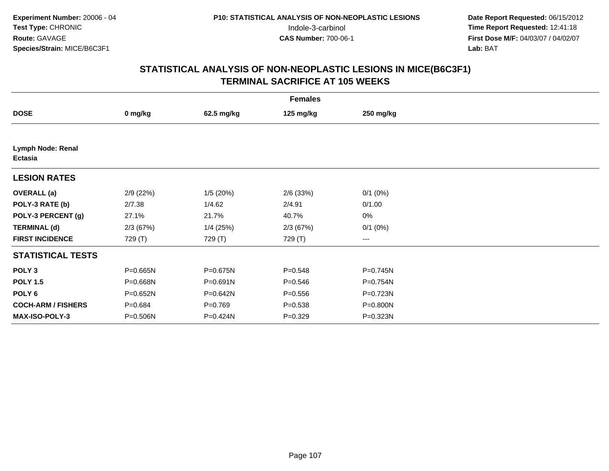| <b>Females</b>                      |              |             |             |              |  |  |  |
|-------------------------------------|--------------|-------------|-------------|--------------|--|--|--|
| <b>DOSE</b>                         | 0 mg/kg      | 62.5 mg/kg  | 125 mg/kg   | 250 mg/kg    |  |  |  |
|                                     |              |             |             |              |  |  |  |
| Lymph Node: Renal<br><b>Ectasia</b> |              |             |             |              |  |  |  |
| <b>LESION RATES</b>                 |              |             |             |              |  |  |  |
| <b>OVERALL</b> (a)                  | 2/9(22%)     | 1/5(20%)    | 2/6 (33%)   | $0/1$ $(0%)$ |  |  |  |
| POLY-3 RATE (b)                     | 2/7.38       | 1/4.62      | 2/4.91      | 0/1.00       |  |  |  |
| POLY-3 PERCENT (g)                  | 27.1%        | 21.7%       | 40.7%       | 0%           |  |  |  |
| <b>TERMINAL (d)</b>                 | 2/3(67%)     | $1/4$ (25%) | 2/3(67%)    | $0/1$ $(0%)$ |  |  |  |
| <b>FIRST INCIDENCE</b>              | 729 (T)      | 729 (T)     | 729 (T)     | ---          |  |  |  |
| <b>STATISTICAL TESTS</b>            |              |             |             |              |  |  |  |
| POLY <sub>3</sub>                   | $P = 0.665N$ | P=0.675N    | $P = 0.548$ | P=0.745N     |  |  |  |
| <b>POLY 1.5</b>                     | P=0.668N     | P=0.691N    | $P = 0.546$ | P=0.754N     |  |  |  |
| POLY 6                              | $P = 0.652N$ | P=0.642N    | $P = 0.556$ | P=0.723N     |  |  |  |
| <b>COCH-ARM / FISHERS</b>           | $P = 0.684$  | $P=0.769$   | $P = 0.538$ | P=0.800N     |  |  |  |
| MAX-ISO-POLY-3                      | P=0.506N     | P=0.424N    | $P=0.329$   | P=0.323N     |  |  |  |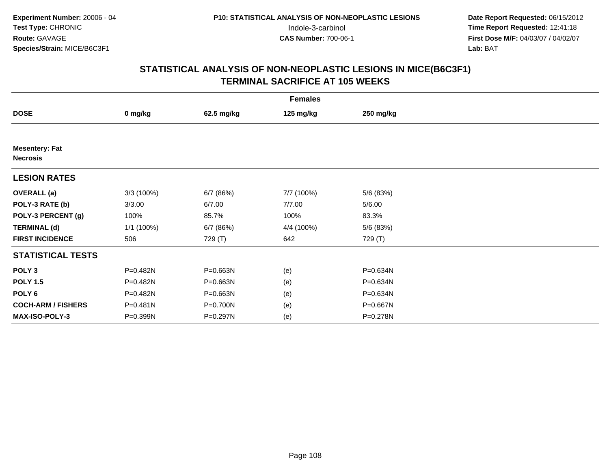|                                          | <b>Females</b> |            |            |           |  |  |  |  |
|------------------------------------------|----------------|------------|------------|-----------|--|--|--|--|
| <b>DOSE</b>                              | 0 mg/kg        | 62.5 mg/kg | 125 mg/kg  | 250 mg/kg |  |  |  |  |
|                                          |                |            |            |           |  |  |  |  |
| <b>Mesentery: Fat</b><br><b>Necrosis</b> |                |            |            |           |  |  |  |  |
| <b>LESION RATES</b>                      |                |            |            |           |  |  |  |  |
| <b>OVERALL</b> (a)                       | 3/3 (100%)     | 6/7 (86%)  | 7/7 (100%) | 5/6 (83%) |  |  |  |  |
| POLY-3 RATE (b)                          | 3/3.00         | 6/7.00     | 7/7.00     | 5/6.00    |  |  |  |  |
| POLY-3 PERCENT (g)                       | 100%           | 85.7%      | 100%       | 83.3%     |  |  |  |  |
| <b>TERMINAL (d)</b>                      | $1/1$ (100%)   | 6/7 (86%)  | 4/4 (100%) | 5/6 (83%) |  |  |  |  |
| <b>FIRST INCIDENCE</b>                   | 506            | 729 (T)    | 642        | 729 (T)   |  |  |  |  |
| <b>STATISTICAL TESTS</b>                 |                |            |            |           |  |  |  |  |
| POLY <sub>3</sub>                        | P=0.482N       | P=0.663N   | (e)        | P=0.634N  |  |  |  |  |
| <b>POLY 1.5</b>                          | P=0.482N       | P=0.663N   | (e)        | P=0.634N  |  |  |  |  |
| POLY 6                                   | P=0.482N       | P=0.663N   | (e)        | P=0.634N  |  |  |  |  |
| <b>COCH-ARM / FISHERS</b>                | P=0.481N       | P=0.700N   | (e)        | P=0.667N  |  |  |  |  |
| MAX-ISO-POLY-3                           | P=0.399N       | P=0.297N   | (e)        | P=0.278N  |  |  |  |  |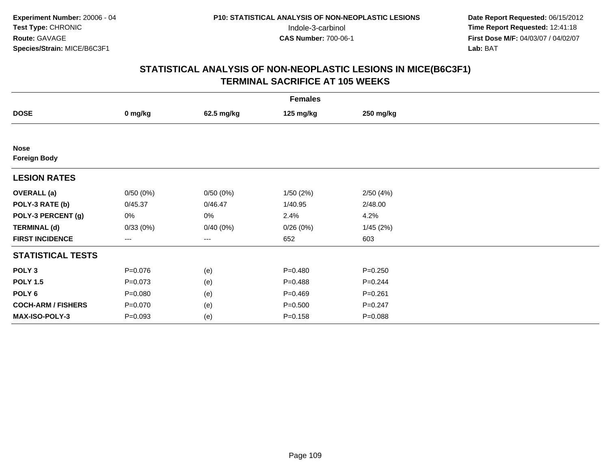| <b>Females</b>                     |             |            |             |             |  |  |  |
|------------------------------------|-------------|------------|-------------|-------------|--|--|--|
| <b>DOSE</b>                        | 0 mg/kg     | 62.5 mg/kg | 125 mg/kg   | 250 mg/kg   |  |  |  |
|                                    |             |            |             |             |  |  |  |
| <b>Nose</b><br><b>Foreign Body</b> |             |            |             |             |  |  |  |
| <b>LESION RATES</b>                |             |            |             |             |  |  |  |
| <b>OVERALL</b> (a)                 | 0/50(0%)    | 0/50(0%)   | 1/50(2%)    | 2/50(4%)    |  |  |  |
| POLY-3 RATE (b)                    | 0/45.37     | 0/46.47    | 1/40.95     | 2/48.00     |  |  |  |
| POLY-3 PERCENT (g)                 | 0%          | 0%         | 2.4%        | 4.2%        |  |  |  |
| <b>TERMINAL (d)</b>                | 0/33(0%)    | 0/40(0%)   | 0/26(0%)    | 1/45(2%)    |  |  |  |
| <b>FIRST INCIDENCE</b>             | $---$       | $---$      | 652         | 603         |  |  |  |
| <b>STATISTICAL TESTS</b>           |             |            |             |             |  |  |  |
| POLY <sub>3</sub>                  | $P = 0.076$ | (e)        | $P = 0.480$ | $P = 0.250$ |  |  |  |
| <b>POLY 1.5</b>                    | $P = 0.073$ | (e)        | $P = 0.488$ | $P=0.244$   |  |  |  |
| POLY 6                             | $P = 0.080$ | (e)        | $P=0.469$   | $P = 0.261$ |  |  |  |
| <b>COCH-ARM / FISHERS</b>          | $P = 0.070$ | (e)        | $P = 0.500$ | $P = 0.247$ |  |  |  |
| MAX-ISO-POLY-3                     | $P = 0.093$ | (e)        | $P = 0.158$ | $P = 0.088$ |  |  |  |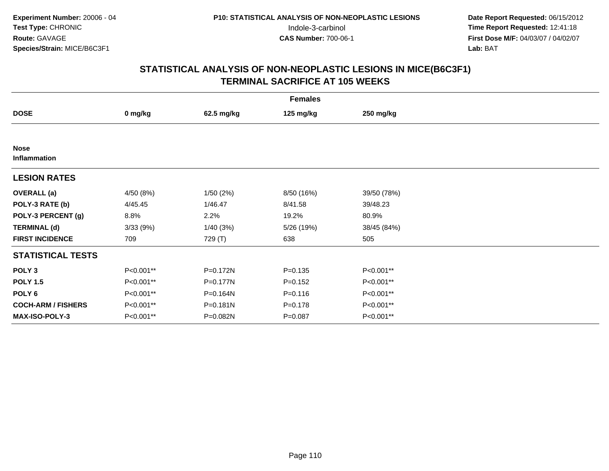| <b>Females</b>              |           |              |             |             |  |  |  |
|-----------------------------|-----------|--------------|-------------|-------------|--|--|--|
| <b>DOSE</b>                 | 0 mg/kg   | 62.5 mg/kg   | 125 mg/kg   | 250 mg/kg   |  |  |  |
|                             |           |              |             |             |  |  |  |
| <b>Nose</b><br>Inflammation |           |              |             |             |  |  |  |
| <b>LESION RATES</b>         |           |              |             |             |  |  |  |
| <b>OVERALL</b> (a)          | 4/50 (8%) | 1/50(2%)     | 8/50 (16%)  | 39/50 (78%) |  |  |  |
| POLY-3 RATE (b)             | 4/45.45   | 1/46.47      | 8/41.58     | 39/48.23    |  |  |  |
| POLY-3 PERCENT (g)          | 8.8%      | 2.2%         | 19.2%       | 80.9%       |  |  |  |
| <b>TERMINAL (d)</b>         | 3/33(9%)  | 1/40(3%)     | 5/26 (19%)  | 38/45 (84%) |  |  |  |
| <b>FIRST INCIDENCE</b>      | 709       | 729 (T)      | 638         | 505         |  |  |  |
| <b>STATISTICAL TESTS</b>    |           |              |             |             |  |  |  |
| POLY <sub>3</sub>           | P<0.001** | $P = 0.172N$ | $P = 0.135$ | P<0.001**   |  |  |  |
| <b>POLY 1.5</b>             | P<0.001** | $P = 0.177N$ | $P=0.152$   | P<0.001**   |  |  |  |
| POLY 6                      | P<0.001** | P=0.164N     | $P = 0.116$ | P<0.001**   |  |  |  |
| <b>COCH-ARM / FISHERS</b>   | P<0.001** | $P = 0.181N$ | $P = 0.178$ | P<0.001**   |  |  |  |
| MAX-ISO-POLY-3              | P<0.001** | P=0.082N     | $P = 0.087$ | P<0.001**   |  |  |  |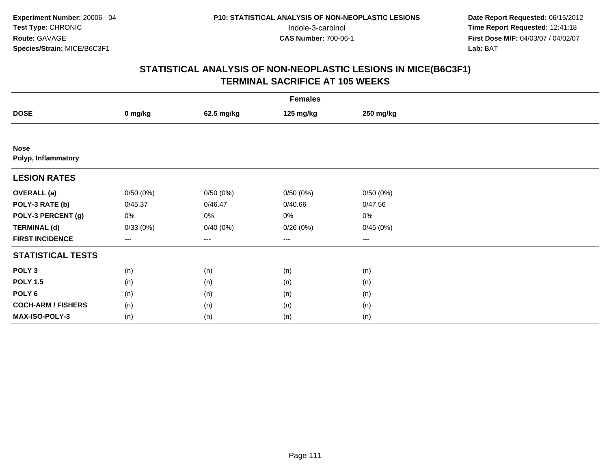| <b>Females</b>                     |          |            |                   |           |  |  |  |
|------------------------------------|----------|------------|-------------------|-----------|--|--|--|
| <b>DOSE</b>                        | 0 mg/kg  | 62.5 mg/kg | 125 mg/kg         | 250 mg/kg |  |  |  |
|                                    |          |            |                   |           |  |  |  |
| <b>Nose</b><br>Polyp, Inflammatory |          |            |                   |           |  |  |  |
| <b>LESION RATES</b>                |          |            |                   |           |  |  |  |
| <b>OVERALL</b> (a)                 | 0/50(0%) | 0/50(0%)   | 0/50(0%)          | 0/50(0%)  |  |  |  |
| POLY-3 RATE (b)                    | 0/45.37  | 0/46.47    | 0/40.66           | 0/47.56   |  |  |  |
| POLY-3 PERCENT (g)                 | 0%       | 0%         | 0%                | $0\%$     |  |  |  |
| <b>TERMINAL (d)</b>                | 0/33(0%) | 0/40(0%)   | 0/26(0%)          | 0/45(0%)  |  |  |  |
| <b>FIRST INCIDENCE</b>             | ---      | $--$       | $\qquad \qquad -$ | $---$     |  |  |  |
| <b>STATISTICAL TESTS</b>           |          |            |                   |           |  |  |  |
| POLY <sub>3</sub>                  | (n)      | (n)        | (n)               | (n)       |  |  |  |
| <b>POLY 1.5</b>                    | (n)      | (n)        | (n)               | (n)       |  |  |  |
| POLY <sub>6</sub>                  | (n)      | (n)        | (n)               | (n)       |  |  |  |
| <b>COCH-ARM / FISHERS</b>          | (n)      | (n)        | (n)               | (n)       |  |  |  |
| MAX-ISO-POLY-3                     | (n)      | (n)        | (n)               | (n)       |  |  |  |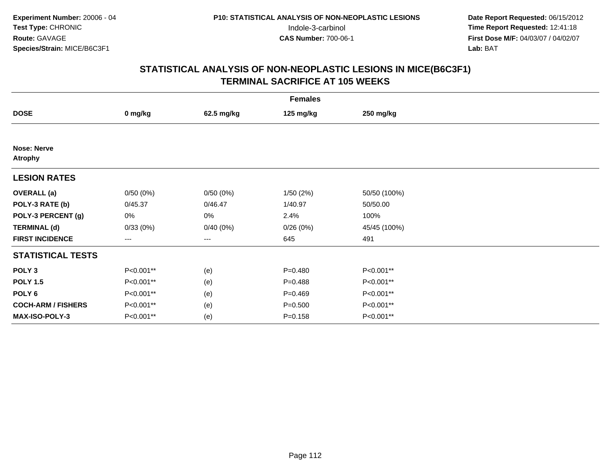| <b>Females</b>                       |           |            |             |              |  |  |  |
|--------------------------------------|-----------|------------|-------------|--------------|--|--|--|
| <b>DOSE</b>                          | 0 mg/kg   | 62.5 mg/kg | 125 mg/kg   | 250 mg/kg    |  |  |  |
|                                      |           |            |             |              |  |  |  |
| <b>Nose: Nerve</b><br><b>Atrophy</b> |           |            |             |              |  |  |  |
| <b>LESION RATES</b>                  |           |            |             |              |  |  |  |
| <b>OVERALL</b> (a)                   | 0/50(0%)  | 0/50(0%)   | 1/50(2%)    | 50/50 (100%) |  |  |  |
| POLY-3 RATE (b)                      | 0/45.37   | 0/46.47    | 1/40.97     | 50/50.00     |  |  |  |
| POLY-3 PERCENT (g)                   | 0%        | 0%         | 2.4%        | 100%         |  |  |  |
| <b>TERMINAL (d)</b>                  | 0/33(0%)  | 0/40(0%)   | 0/26(0%)    | 45/45 (100%) |  |  |  |
| <b>FIRST INCIDENCE</b>               | ---       | ---        | 645         | 491          |  |  |  |
| <b>STATISTICAL TESTS</b>             |           |            |             |              |  |  |  |
| POLY <sub>3</sub>                    | P<0.001** | (e)        | $P = 0.480$ | P<0.001**    |  |  |  |
| <b>POLY 1.5</b>                      | P<0.001** | (e)        | $P = 0.488$ | P<0.001**    |  |  |  |
| POLY 6                               | P<0.001** | (e)        | $P=0.469$   | P<0.001**    |  |  |  |
| <b>COCH-ARM / FISHERS</b>            | P<0.001** | (e)        | $P = 0.500$ | P<0.001**    |  |  |  |
| MAX-ISO-POLY-3                       | P<0.001** | (e)        | $P = 0.158$ | P<0.001**    |  |  |  |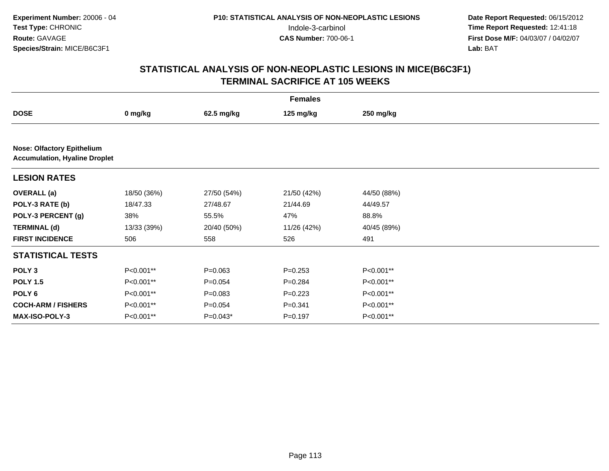|                                                                           | <b>Females</b> |             |             |             |  |  |  |
|---------------------------------------------------------------------------|----------------|-------------|-------------|-------------|--|--|--|
| <b>DOSE</b>                                                               | 0 mg/kg        | 62.5 mg/kg  | 125 mg/kg   | 250 mg/kg   |  |  |  |
|                                                                           |                |             |             |             |  |  |  |
| <b>Nose: Olfactory Epithelium</b><br><b>Accumulation, Hyaline Droplet</b> |                |             |             |             |  |  |  |
| <b>LESION RATES</b>                                                       |                |             |             |             |  |  |  |
| <b>OVERALL</b> (a)                                                        | 18/50 (36%)    | 27/50 (54%) | 21/50 (42%) | 44/50 (88%) |  |  |  |
| POLY-3 RATE (b)                                                           | 18/47.33       | 27/48.67    | 21/44.69    | 44/49.57    |  |  |  |
| POLY-3 PERCENT (g)                                                        | 38%            | 55.5%       | 47%         | 88.8%       |  |  |  |
| <b>TERMINAL (d)</b>                                                       | 13/33 (39%)    | 20/40 (50%) | 11/26 (42%) | 40/45 (89%) |  |  |  |
| <b>FIRST INCIDENCE</b>                                                    | 506            | 558         | 526         | 491         |  |  |  |
| <b>STATISTICAL TESTS</b>                                                  |                |             |             |             |  |  |  |
| POLY <sub>3</sub>                                                         | P<0.001**      | $P = 0.063$ | $P = 0.253$ | P<0.001**   |  |  |  |
| <b>POLY 1.5</b>                                                           | P<0.001**      | $P = 0.054$ | $P=0.284$   | P<0.001**   |  |  |  |
| POLY <sub>6</sub>                                                         | P<0.001**      | $P = 0.083$ | $P=0.223$   | P<0.001**   |  |  |  |
| <b>COCH-ARM / FISHERS</b>                                                 | P<0.001**      | $P=0.054$   | $P = 0.341$ | P<0.001**   |  |  |  |
| <b>MAX-ISO-POLY-3</b>                                                     | P<0.001**      | $P=0.043*$  | $P=0.197$   | P<0.001**   |  |  |  |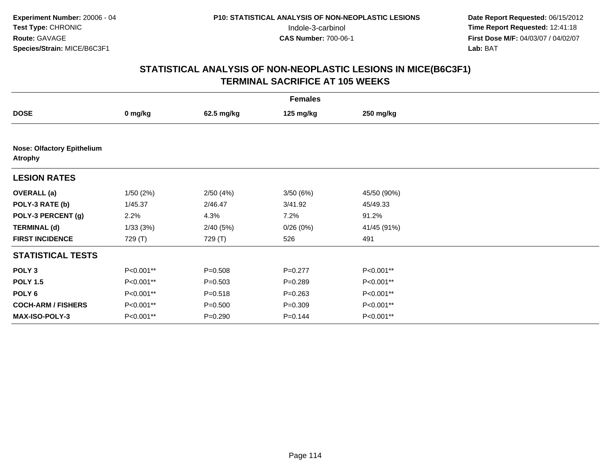| <b>Females</b>                                      |           |             |             |             |  |  |  |
|-----------------------------------------------------|-----------|-------------|-------------|-------------|--|--|--|
| <b>DOSE</b>                                         | 0 mg/kg   | 62.5 mg/kg  | 125 mg/kg   | 250 mg/kg   |  |  |  |
|                                                     |           |             |             |             |  |  |  |
| <b>Nose: Olfactory Epithelium</b><br><b>Atrophy</b> |           |             |             |             |  |  |  |
| <b>LESION RATES</b>                                 |           |             |             |             |  |  |  |
| <b>OVERALL</b> (a)                                  | 1/50(2%)  | 2/50(4%)    | 3/50(6%)    | 45/50 (90%) |  |  |  |
| POLY-3 RATE (b)                                     | 1/45.37   | 2/46.47     | 3/41.92     | 45/49.33    |  |  |  |
| POLY-3 PERCENT (g)                                  | 2.2%      | 4.3%        | 7.2%        | 91.2%       |  |  |  |
| <b>TERMINAL (d)</b>                                 | 1/33(3%)  | 2/40(5%)    | 0/26(0%)    | 41/45 (91%) |  |  |  |
| <b>FIRST INCIDENCE</b>                              | 729 (T)   | 729 (T)     | 526         | 491         |  |  |  |
| <b>STATISTICAL TESTS</b>                            |           |             |             |             |  |  |  |
| POLY <sub>3</sub>                                   | P<0.001** | $P = 0.508$ | $P=0.277$   | P<0.001**   |  |  |  |
| <b>POLY 1.5</b>                                     | P<0.001** | $P = 0.503$ | $P = 0.289$ | P<0.001**   |  |  |  |
| POLY 6                                              | P<0.001** | $P = 0.518$ | $P = 0.263$ | P<0.001**   |  |  |  |
| <b>COCH-ARM / FISHERS</b>                           | P<0.001** | $P = 0.500$ | $P = 0.309$ | P<0.001**   |  |  |  |
| MAX-ISO-POLY-3                                      | P<0.001** | $P = 0.290$ | $P = 0.144$ | P<0.001**   |  |  |  |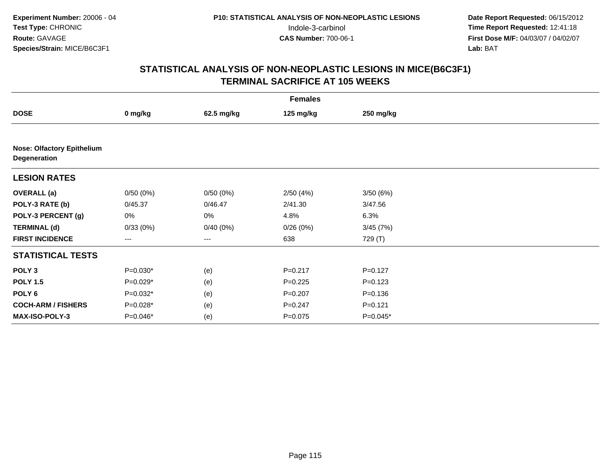| <b>Females</b>                                    |            |            |             |             |  |  |  |
|---------------------------------------------------|------------|------------|-------------|-------------|--|--|--|
| <b>DOSE</b>                                       | 0 mg/kg    | 62.5 mg/kg | 125 mg/kg   | 250 mg/kg   |  |  |  |
|                                                   |            |            |             |             |  |  |  |
| <b>Nose: Olfactory Epithelium</b><br>Degeneration |            |            |             |             |  |  |  |
| <b>LESION RATES</b>                               |            |            |             |             |  |  |  |
| <b>OVERALL (a)</b>                                | 0/50(0%)   | 0/50(0%)   | 2/50(4%)    | 3/50(6%)    |  |  |  |
| POLY-3 RATE (b)                                   | 0/45.37    | 0/46.47    | 2/41.30     | 3/47.56     |  |  |  |
| POLY-3 PERCENT (g)                                | 0%         | 0%         | 4.8%        | 6.3%        |  |  |  |
| <b>TERMINAL (d)</b>                               | 0/33(0%)   | 0/40(0%)   | 0/26(0%)    | 3/45(7%)    |  |  |  |
| <b>FIRST INCIDENCE</b>                            | ---        | ---        | 638         | 729 (T)     |  |  |  |
| <b>STATISTICAL TESTS</b>                          |            |            |             |             |  |  |  |
| POLY <sub>3</sub>                                 | $P=0.030*$ | (e)        | $P = 0.217$ | $P = 0.127$ |  |  |  |
| <b>POLY 1.5</b>                                   | $P=0.029*$ | (e)        | $P=0.225$   | $P = 0.123$ |  |  |  |
| POLY 6                                            | $P=0.032*$ | (e)        | $P = 0.207$ | $P = 0.136$ |  |  |  |
| <b>COCH-ARM / FISHERS</b>                         | $P=0.028*$ | (e)        | $P = 0.247$ | $P = 0.121$ |  |  |  |
| MAX-ISO-POLY-3                                    | $P=0.046*$ | (e)        | $P=0.075$   | $P=0.045*$  |  |  |  |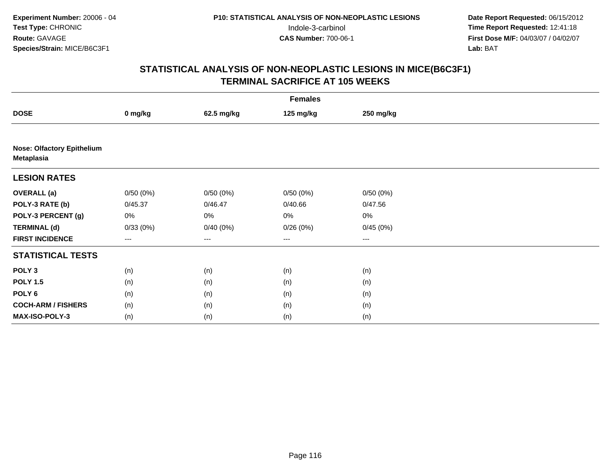| <b>Females</b>                                         |                        |            |           |           |  |  |  |
|--------------------------------------------------------|------------------------|------------|-----------|-----------|--|--|--|
| <b>DOSE</b>                                            | 0 mg/kg                | 62.5 mg/kg | 125 mg/kg | 250 mg/kg |  |  |  |
|                                                        |                        |            |           |           |  |  |  |
| <b>Nose: Olfactory Epithelium</b><br><b>Metaplasia</b> |                        |            |           |           |  |  |  |
| <b>LESION RATES</b>                                    |                        |            |           |           |  |  |  |
| <b>OVERALL (a)</b>                                     | 0/50(0%)               | 0/50(0%)   | 0/50(0%)  | 0/50(0%)  |  |  |  |
| POLY-3 RATE (b)                                        | 0/45.37                | 0/46.47    | 0/40.66   | 0/47.56   |  |  |  |
| POLY-3 PERCENT (g)                                     | 0%                     | 0%         | 0%        | $0\%$     |  |  |  |
| <b>TERMINAL (d)</b>                                    | 0/33(0%)               | 0/40(0%)   | 0/26(0%)  | 0/45(0%)  |  |  |  |
| <b>FIRST INCIDENCE</b>                                 | $\qquad \qquad \cdots$ | ---        | $---$     | ---       |  |  |  |
| <b>STATISTICAL TESTS</b>                               |                        |            |           |           |  |  |  |
| POLY <sub>3</sub>                                      | (n)                    | (n)        | (n)       | (n)       |  |  |  |
| <b>POLY 1.5</b>                                        | (n)                    | (n)        | (n)       | (n)       |  |  |  |
| POLY 6                                                 | (n)                    | (n)        | (n)       | (n)       |  |  |  |
| <b>COCH-ARM / FISHERS</b>                              | (n)                    | (n)        | (n)       | (n)       |  |  |  |
| MAX-ISO-POLY-3                                         | (n)                    | (n)        | (n)       | (n)       |  |  |  |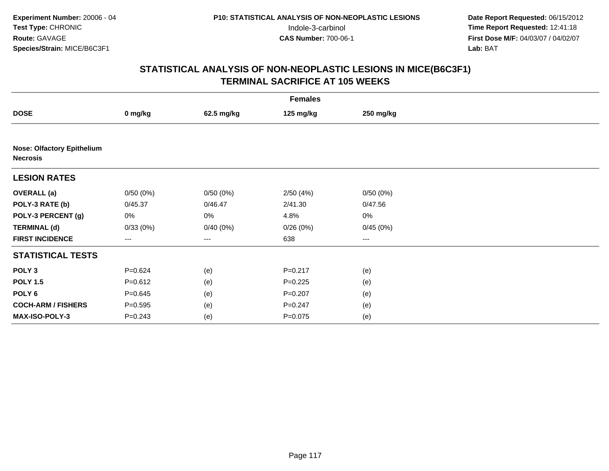| <b>Females</b>                                       |             |            |             |           |  |  |  |
|------------------------------------------------------|-------------|------------|-------------|-----------|--|--|--|
| <b>DOSE</b>                                          | 0 mg/kg     | 62.5 mg/kg | 125 mg/kg   | 250 mg/kg |  |  |  |
|                                                      |             |            |             |           |  |  |  |
| <b>Nose: Olfactory Epithelium</b><br><b>Necrosis</b> |             |            |             |           |  |  |  |
| <b>LESION RATES</b>                                  |             |            |             |           |  |  |  |
| <b>OVERALL (a)</b>                                   | 0/50(0%)    | 0/50(0%)   | 2/50(4%)    | 0/50(0%)  |  |  |  |
| POLY-3 RATE (b)                                      | 0/45.37     | 0/46.47    | 2/41.30     | 0/47.56   |  |  |  |
| POLY-3 PERCENT (g)                                   | 0%          | 0%         | 4.8%        | $0\%$     |  |  |  |
| <b>TERMINAL (d)</b>                                  | 0/33(0%)    | 0/40(0%)   | 0/26(0%)    | 0/45(0%)  |  |  |  |
| <b>FIRST INCIDENCE</b>                               | ---         | ---        | 638         | $\cdots$  |  |  |  |
| <b>STATISTICAL TESTS</b>                             |             |            |             |           |  |  |  |
| POLY <sub>3</sub>                                    | $P = 0.624$ | (e)        | $P = 0.217$ | (e)       |  |  |  |
| <b>POLY 1.5</b>                                      | $P = 0.612$ | (e)        | $P = 0.225$ | (e)       |  |  |  |
| POLY <sub>6</sub>                                    | $P = 0.645$ | (e)        | $P=0.207$   | (e)       |  |  |  |
| <b>COCH-ARM / FISHERS</b>                            | $P = 0.595$ | (e)        | $P = 0.247$ | (e)       |  |  |  |
| MAX-ISO-POLY-3                                       | $P = 0.243$ | (e)        | $P = 0.075$ | (e)       |  |  |  |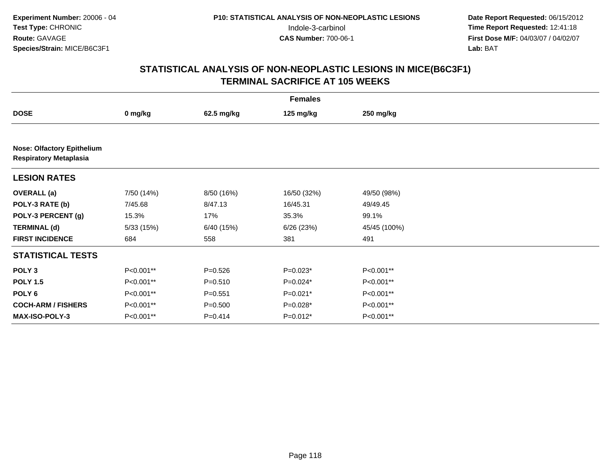| <b>Females</b>                                                     |            |             |             |              |  |  |
|--------------------------------------------------------------------|------------|-------------|-------------|--------------|--|--|
| <b>DOSE</b>                                                        | 0 mg/kg    | 62.5 mg/kg  | 125 mg/kg   | 250 mg/kg    |  |  |
|                                                                    |            |             |             |              |  |  |
| <b>Nose: Olfactory Epithelium</b><br><b>Respiratory Metaplasia</b> |            |             |             |              |  |  |
| <b>LESION RATES</b>                                                |            |             |             |              |  |  |
| <b>OVERALL</b> (a)                                                 | 7/50 (14%) | 8/50 (16%)  | 16/50 (32%) | 49/50 (98%)  |  |  |
| POLY-3 RATE (b)                                                    | 7/45.68    | 8/47.13     | 16/45.31    | 49/49.45     |  |  |
| POLY-3 PERCENT (g)                                                 | 15.3%      | 17%         | 35.3%       | 99.1%        |  |  |
| <b>TERMINAL (d)</b>                                                | 5/33 (15%) | 6/40 (15%)  | 6/26(23%)   | 45/45 (100%) |  |  |
| <b>FIRST INCIDENCE</b>                                             | 684        | 558         | 381         | 491          |  |  |
| <b>STATISTICAL TESTS</b>                                           |            |             |             |              |  |  |
| POLY <sub>3</sub>                                                  | P<0.001**  | $P = 0.526$ | $P=0.023*$  | P<0.001**    |  |  |
| <b>POLY 1.5</b>                                                    | P<0.001**  | $P = 0.510$ | $P=0.024*$  | P<0.001**    |  |  |
| POLY <sub>6</sub>                                                  | P<0.001**  | $P = 0.551$ | $P=0.021*$  | P<0.001**    |  |  |
| <b>COCH-ARM / FISHERS</b>                                          | P<0.001**  | $P = 0.500$ | P=0.028*    | P<0.001**    |  |  |
| MAX-ISO-POLY-3                                                     | P<0.001**  | $P=0.414$   | $P=0.012*$  | P<0.001**    |  |  |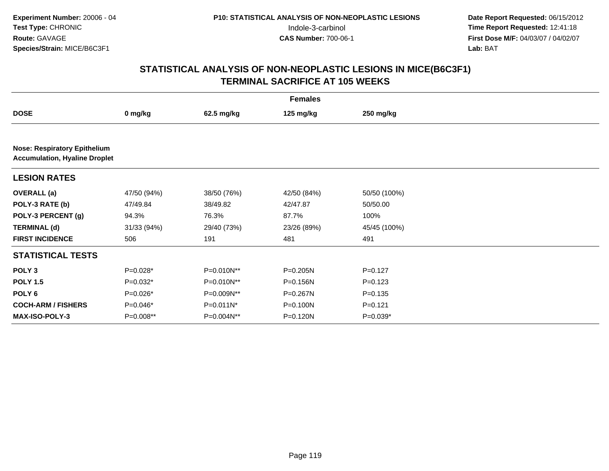|                                                                             |             |              | <b>Females</b> |              |  |
|-----------------------------------------------------------------------------|-------------|--------------|----------------|--------------|--|
| <b>DOSE</b>                                                                 | 0 mg/kg     | 62.5 mg/kg   | 125 mg/kg      | 250 mg/kg    |  |
|                                                                             |             |              |                |              |  |
| <b>Nose: Respiratory Epithelium</b><br><b>Accumulation, Hyaline Droplet</b> |             |              |                |              |  |
| <b>LESION RATES</b>                                                         |             |              |                |              |  |
| <b>OVERALL</b> (a)                                                          | 47/50 (94%) | 38/50 (76%)  | 42/50 (84%)    | 50/50 (100%) |  |
| POLY-3 RATE (b)                                                             | 47/49.84    | 38/49.82     | 42/47.87       | 50/50.00     |  |
| POLY-3 PERCENT (g)                                                          | 94.3%       | 76.3%        | 87.7%          | 100%         |  |
| <b>TERMINAL (d)</b>                                                         | 31/33 (94%) | 29/40 (73%)  | 23/26 (89%)    | 45/45 (100%) |  |
| <b>FIRST INCIDENCE</b>                                                      | 506         | 191          | 481            | 491          |  |
| <b>STATISTICAL TESTS</b>                                                    |             |              |                |              |  |
| POLY <sub>3</sub>                                                           | $P=0.028*$  | P=0.010N**   | $P = 0.205N$   | $P=0.127$    |  |
| <b>POLY 1.5</b>                                                             | $P=0.032*$  | P=0.010N**   | P=0.156N       | $P=0.123$    |  |
| POLY <sub>6</sub>                                                           | $P=0.026*$  | P=0.009N**   | P=0.267N       | $P = 0.135$  |  |
| <b>COCH-ARM / FISHERS</b>                                                   | $P=0.046*$  | $P=0.011N^*$ | $P = 0.100N$   | $P = 0.121$  |  |
| <b>MAX-ISO-POLY-3</b>                                                       | P=0.008**   | P=0.004N**   | P=0.120N       | $P=0.039*$   |  |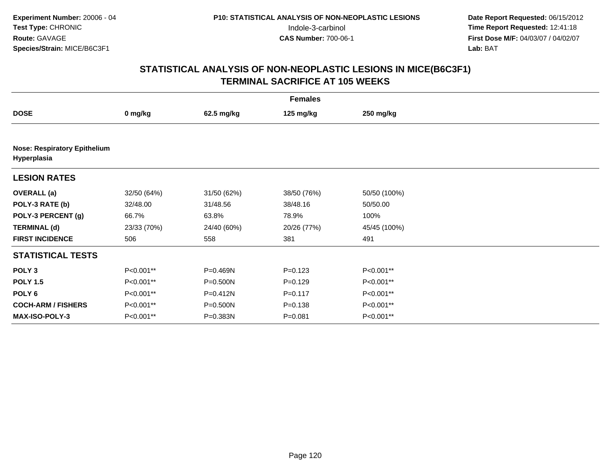| <b>Females</b>                                     |             |              |             |              |  |  |
|----------------------------------------------------|-------------|--------------|-------------|--------------|--|--|
| <b>DOSE</b>                                        | 0 mg/kg     | 62.5 mg/kg   | 125 mg/kg   | 250 mg/kg    |  |  |
|                                                    |             |              |             |              |  |  |
| <b>Nose: Respiratory Epithelium</b><br>Hyperplasia |             |              |             |              |  |  |
| <b>LESION RATES</b>                                |             |              |             |              |  |  |
| <b>OVERALL</b> (a)                                 | 32/50 (64%) | 31/50 (62%)  | 38/50 (76%) | 50/50 (100%) |  |  |
| POLY-3 RATE (b)                                    | 32/48.00    | 31/48.56     | 38/48.16    | 50/50.00     |  |  |
| POLY-3 PERCENT (g)                                 | 66.7%       | 63.8%        | 78.9%       | 100%         |  |  |
| <b>TERMINAL (d)</b>                                | 23/33 (70%) | 24/40 (60%)  | 20/26 (77%) | 45/45 (100%) |  |  |
| <b>FIRST INCIDENCE</b>                             | 506         | 558          | 381         | 491          |  |  |
| <b>STATISTICAL TESTS</b>                           |             |              |             |              |  |  |
| POLY <sub>3</sub>                                  | P<0.001**   | P=0.469N     | $P=0.123$   | P<0.001**    |  |  |
| <b>POLY 1.5</b>                                    | P<0.001**   | $P = 0.500N$ | $P=0.129$   | P<0.001**    |  |  |
| POLY <sub>6</sub>                                  | P<0.001**   | $P = 0.412N$ | $P = 0.117$ | P<0.001**    |  |  |
| <b>COCH-ARM / FISHERS</b>                          | P<0.001**   | $P = 0.500N$ | $P = 0.138$ | P<0.001**    |  |  |
| MAX-ISO-POLY-3                                     | P<0.001**   | P=0.383N     | $P = 0.081$ | P<0.001**    |  |  |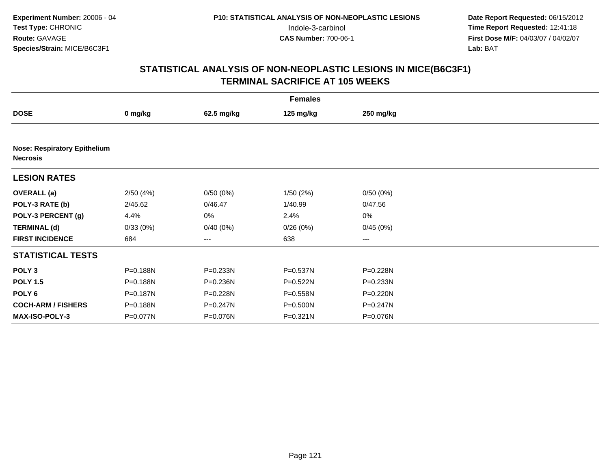|                           |                                     |            | <b>Females</b> |              |  |  |  |  |  |  |
|---------------------------|-------------------------------------|------------|----------------|--------------|--|--|--|--|--|--|
| <b>DOSE</b>               | 0 mg/kg                             | 62.5 mg/kg | 125 mg/kg      | 250 mg/kg    |  |  |  |  |  |  |
|                           |                                     |            |                |              |  |  |  |  |  |  |
| <b>Necrosis</b>           | <b>Nose: Respiratory Epithelium</b> |            |                |              |  |  |  |  |  |  |
| <b>LESION RATES</b>       |                                     |            |                |              |  |  |  |  |  |  |
| <b>OVERALL (a)</b>        | 2/50(4%)                            | 0/50(0%)   | 1/50(2%)       | 0/50(0%)     |  |  |  |  |  |  |
| POLY-3 RATE (b)           | 2/45.62                             | 0/46.47    | 1/40.99        | 0/47.56      |  |  |  |  |  |  |
| POLY-3 PERCENT (g)        | 4.4%                                | 0%         | 2.4%           | $0\%$        |  |  |  |  |  |  |
| <b>TERMINAL (d)</b>       | 0/33(0%)                            | 0/40(0%)   | 0/26(0%)       | 0/45(0%)     |  |  |  |  |  |  |
| <b>FIRST INCIDENCE</b>    | 684                                 | ---        | 638            | ---          |  |  |  |  |  |  |
| <b>STATISTICAL TESTS</b>  |                                     |            |                |              |  |  |  |  |  |  |
| POLY <sub>3</sub>         | P=0.188N                            | P=0.233N   | P=0.537N       | P=0.228N     |  |  |  |  |  |  |
| <b>POLY 1.5</b>           | P=0.188N                            | P=0.236N   | P=0.522N       | P=0.233N     |  |  |  |  |  |  |
| POLY 6                    | P=0.187N                            | P=0.228N   | P=0.558N       | $P = 0.220N$ |  |  |  |  |  |  |
| <b>COCH-ARM / FISHERS</b> | P=0.188N                            | P=0.247N   | P=0.500N       | $P = 0.247N$ |  |  |  |  |  |  |
| MAX-ISO-POLY-3            | P=0.077N                            | P=0.076N   | P=0.321N       | P=0.076N     |  |  |  |  |  |  |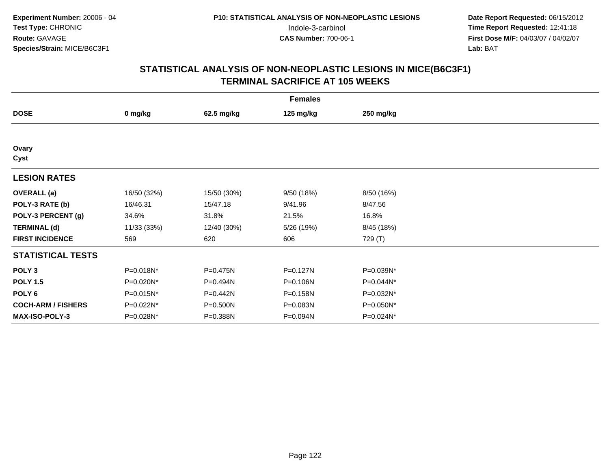| <b>Females</b>            |             |             |              |            |  |  |  |
|---------------------------|-------------|-------------|--------------|------------|--|--|--|
| <b>DOSE</b>               | 0 mg/kg     | 62.5 mg/kg  | 125 mg/kg    | 250 mg/kg  |  |  |  |
|                           |             |             |              |            |  |  |  |
| Ovary<br>Cyst             |             |             |              |            |  |  |  |
| <b>LESION RATES</b>       |             |             |              |            |  |  |  |
| <b>OVERALL</b> (a)        | 16/50 (32%) | 15/50 (30%) | 9/50 (18%)   | 8/50 (16%) |  |  |  |
| POLY-3 RATE (b)           | 16/46.31    | 15/47.18    | 9/41.96      | 8/47.56    |  |  |  |
| POLY-3 PERCENT (g)        | 34.6%       | 31.8%       | 21.5%        | 16.8%      |  |  |  |
| <b>TERMINAL (d)</b>       | 11/33 (33%) | 12/40 (30%) | 5/26 (19%)   | 8/45 (18%) |  |  |  |
| <b>FIRST INCIDENCE</b>    | 569         | 620         | 606          | 729 (T)    |  |  |  |
| <b>STATISTICAL TESTS</b>  |             |             |              |            |  |  |  |
| POLY <sub>3</sub>         | P=0.018N*   | P=0.475N    | $P = 0.127N$ | P=0.039N*  |  |  |  |
| <b>POLY 1.5</b>           | P=0.020N*   | P=0.494N    | P=0.106N     | P=0.044N*  |  |  |  |
| POLY 6                    | P=0.015N*   | P=0.442N    | P=0.158N     | P=0.032N*  |  |  |  |
| <b>COCH-ARM / FISHERS</b> | P=0.022N*   | P=0.500N    | P=0.083N     | P=0.050N*  |  |  |  |
| MAX-ISO-POLY-3            | P=0.028N*   | P=0.388N    | P=0.094N     | P=0.024N*  |  |  |  |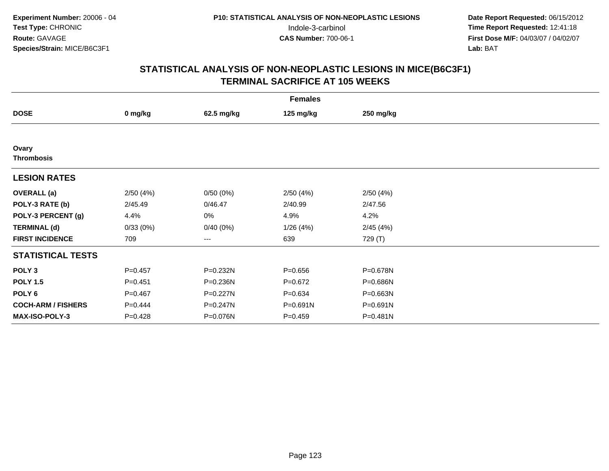|                            |             |            | <b>Females</b> |           |  |
|----------------------------|-------------|------------|----------------|-----------|--|
| <b>DOSE</b>                | 0 mg/kg     | 62.5 mg/kg | 125 mg/kg      | 250 mg/kg |  |
|                            |             |            |                |           |  |
| Ovary<br><b>Thrombosis</b> |             |            |                |           |  |
| <b>LESION RATES</b>        |             |            |                |           |  |
| <b>OVERALL</b> (a)         | 2/50(4%)    | 0/50(0%)   | 2/50(4%)       | 2/50(4%)  |  |
| POLY-3 RATE (b)            | 2/45.49     | 0/46.47    | 2/40.99        | 2/47.56   |  |
| POLY-3 PERCENT (g)         | 4.4%        | 0%         | 4.9%           | 4.2%      |  |
| <b>TERMINAL (d)</b>        | 0/33(0%)    | 0/40(0%)   | 1/26(4%)       | 2/45(4%)  |  |
| <b>FIRST INCIDENCE</b>     | 709         | ---        | 639            | 729 (T)   |  |
| <b>STATISTICAL TESTS</b>   |             |            |                |           |  |
| POLY <sub>3</sub>          | $P = 0.457$ | P=0.232N   | $P = 0.656$    | P=0.678N  |  |
| <b>POLY 1.5</b>            | $P = 0.451$ | P=0.236N   | $P=0.672$      | P=0.686N  |  |
| POLY <sub>6</sub>          | $P = 0.467$ | P=0.227N   | $P = 0.634$    | P=0.663N  |  |
| <b>COCH-ARM / FISHERS</b>  | $P=0.444$   | P=0.247N   | P=0.691N       | P=0.691N  |  |
| MAX-ISO-POLY-3             | $P = 0.428$ | P=0.076N   | $P=0.459$      | P=0.481N  |  |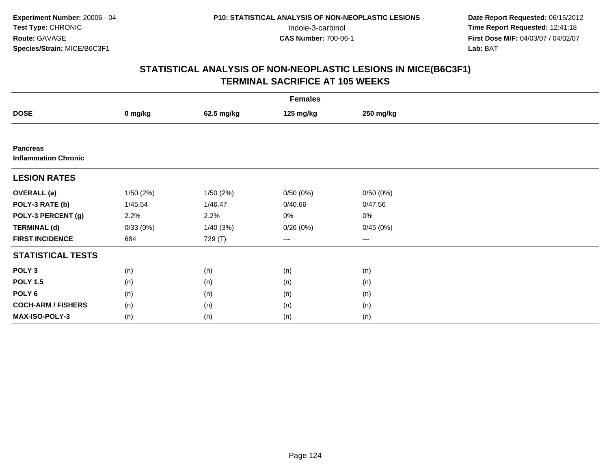|                                                | <b>Females</b> |            |           |           |  |  |  |  |
|------------------------------------------------|----------------|------------|-----------|-----------|--|--|--|--|
| <b>DOSE</b>                                    | 0 mg/kg        | 62.5 mg/kg | 125 mg/kg | 250 mg/kg |  |  |  |  |
|                                                |                |            |           |           |  |  |  |  |
| <b>Pancreas</b><br><b>Inflammation Chronic</b> |                |            |           |           |  |  |  |  |
| <b>LESION RATES</b>                            |                |            |           |           |  |  |  |  |
| <b>OVERALL</b> (a)                             | 1/50(2%)       | 1/50(2%)   | 0/50(0%)  | 0/50(0%)  |  |  |  |  |
| POLY-3 RATE (b)                                | 1/45.54        | 1/46.47    | 0/40.66   | 0/47.56   |  |  |  |  |
| POLY-3 PERCENT (g)                             | 2.2%           | 2.2%       | 0%        | 0%        |  |  |  |  |
| <b>TERMINAL (d)</b>                            | 0/33(0%)       | 1/40(3%)   | 0/26(0%)  | 0/45(0%)  |  |  |  |  |
| <b>FIRST INCIDENCE</b>                         | 684            | 729 (T)    | ---       | $--$      |  |  |  |  |
| <b>STATISTICAL TESTS</b>                       |                |            |           |           |  |  |  |  |
| POLY <sub>3</sub>                              | (n)            | (n)        | (n)       | (n)       |  |  |  |  |
| <b>POLY 1.5</b>                                | (n)            | (n)        | (n)       | (n)       |  |  |  |  |
| POLY <sub>6</sub>                              | (n)            | (n)        | (n)       | (n)       |  |  |  |  |
| <b>COCH-ARM / FISHERS</b>                      | (n)            | (n)        | (n)       | (n)       |  |  |  |  |
| MAX-ISO-POLY-3                                 | (n)            | (n)        | (n)       | (n)       |  |  |  |  |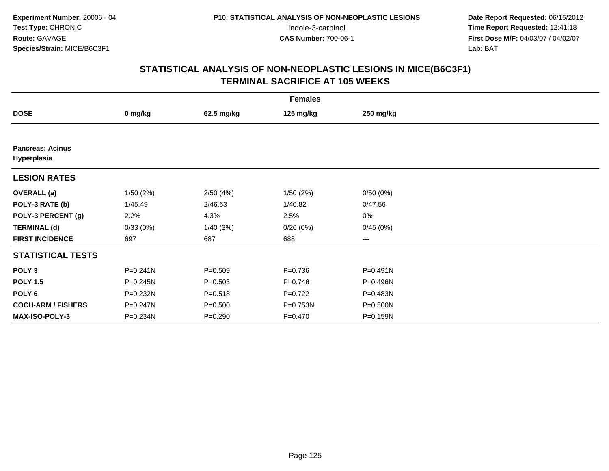|                                        |              |             | <b>Females</b> |              |  |
|----------------------------------------|--------------|-------------|----------------|--------------|--|
| <b>DOSE</b>                            | 0 mg/kg      | 62.5 mg/kg  | 125 mg/kg      | 250 mg/kg    |  |
|                                        |              |             |                |              |  |
| <b>Pancreas: Acinus</b><br>Hyperplasia |              |             |                |              |  |
| <b>LESION RATES</b>                    |              |             |                |              |  |
| <b>OVERALL</b> (a)                     | 1/50(2%)     | 2/50(4%)    | 1/50(2%)       | 0/50(0%)     |  |
| POLY-3 RATE (b)                        | 1/45.49      | 2/46.63     | 1/40.82        | 0/47.56      |  |
| POLY-3 PERCENT (g)                     | 2.2%         | 4.3%        | 2.5%           | 0%           |  |
| <b>TERMINAL (d)</b>                    | 0/33(0%)     | 1/40(3%)    | 0/26(0%)       | 0/45(0%)     |  |
| <b>FIRST INCIDENCE</b>                 | 697          | 687         | 688            | $--$         |  |
| <b>STATISTICAL TESTS</b>               |              |             |                |              |  |
| POLY <sub>3</sub>                      | $P = 0.241N$ | $P = 0.509$ | $P = 0.736$    | $P = 0.491N$ |  |
| <b>POLY 1.5</b>                        | $P = 0.245N$ | $P = 0.503$ | $P = 0.746$    | P=0.496N     |  |
| POLY 6                                 | P=0.232N     | $P = 0.518$ | $P=0.722$      | P=0.483N     |  |
| <b>COCH-ARM / FISHERS</b>              | P=0.247N     | $P = 0.500$ | P=0.753N       | P=0.500N     |  |
| <b>MAX-ISO-POLY-3</b>                  | P=0.234N     | $P = 0.290$ | $P=0.470$      | P=0.159N     |  |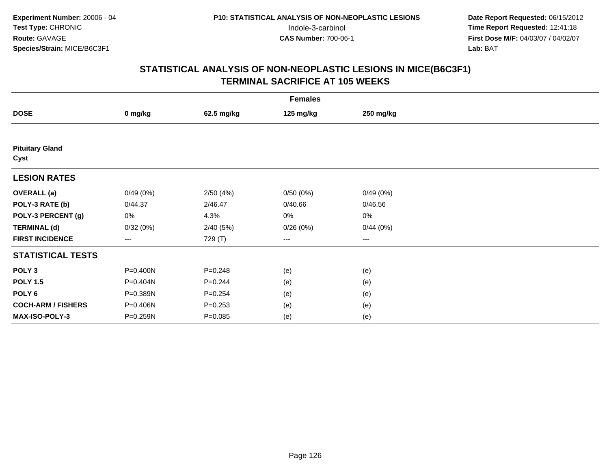|                                | <b>Females</b>         |             |           |           |  |  |  |  |
|--------------------------------|------------------------|-------------|-----------|-----------|--|--|--|--|
| <b>DOSE</b>                    | 0 mg/kg                | 62.5 mg/kg  | 125 mg/kg | 250 mg/kg |  |  |  |  |
|                                |                        |             |           |           |  |  |  |  |
| <b>Pituitary Gland</b><br>Cyst |                        |             |           |           |  |  |  |  |
| <b>LESION RATES</b>            |                        |             |           |           |  |  |  |  |
| <b>OVERALL</b> (a)             | 0/49(0%)               | 2/50(4%)    | 0/50(0%)  | 0/49(0%)  |  |  |  |  |
| POLY-3 RATE (b)                | 0/44.37                | 2/46.47     | 0/40.66   | 0/46.56   |  |  |  |  |
| POLY-3 PERCENT (g)             | 0%                     | 4.3%        | 0%        | 0%        |  |  |  |  |
| <b>TERMINAL (d)</b>            | 0/32(0%)               | 2/40(5%)    | 0/26(0%)  | 0/44(0%)  |  |  |  |  |
| <b>FIRST INCIDENCE</b>         | $\qquad \qquad \cdots$ | 729 (T)     | ---       | $--$      |  |  |  |  |
| <b>STATISTICAL TESTS</b>       |                        |             |           |           |  |  |  |  |
| POLY <sub>3</sub>              | P=0.400N               | $P = 0.248$ | (e)       | (e)       |  |  |  |  |
| <b>POLY 1.5</b>                | P=0.404N               | $P = 0.244$ | (e)       | (e)       |  |  |  |  |
| POLY <sub>6</sub>              | P=0.389N               | $P = 0.254$ | (e)       | (e)       |  |  |  |  |
| <b>COCH-ARM / FISHERS</b>      | P=0.406N               | $P = 0.253$ | (e)       | (e)       |  |  |  |  |
| MAX-ISO-POLY-3                 | P=0.259N               | $P = 0.085$ | (e)       | (e)       |  |  |  |  |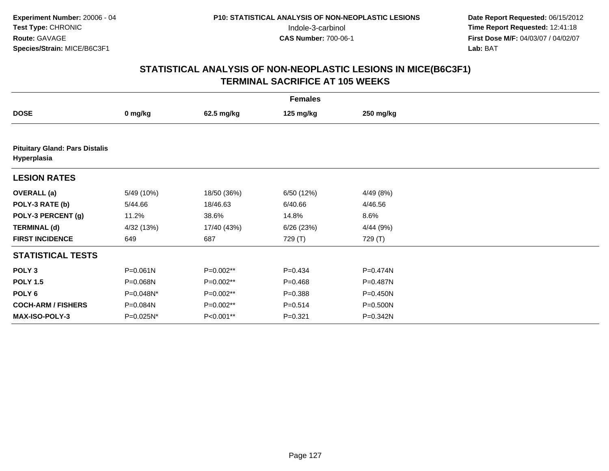|                                                      | <b>Females</b> |             |             |              |  |  |  |  |  |
|------------------------------------------------------|----------------|-------------|-------------|--------------|--|--|--|--|--|
| <b>DOSE</b>                                          | 0 mg/kg        | 62.5 mg/kg  | 125 mg/kg   | 250 mg/kg    |  |  |  |  |  |
|                                                      |                |             |             |              |  |  |  |  |  |
| <b>Pituitary Gland: Pars Distalis</b><br>Hyperplasia |                |             |             |              |  |  |  |  |  |
| <b>LESION RATES</b>                                  |                |             |             |              |  |  |  |  |  |
| <b>OVERALL</b> (a)                                   | 5/49 (10%)     | 18/50 (36%) | 6/50 (12%)  | 4/49 (8%)    |  |  |  |  |  |
| POLY-3 RATE (b)                                      | 5/44.66        | 18/46.63    | 6/40.66     | 4/46.56      |  |  |  |  |  |
| POLY-3 PERCENT (g)                                   | 11.2%          | 38.6%       | 14.8%       | 8.6%         |  |  |  |  |  |
| <b>TERMINAL (d)</b>                                  | 4/32 (13%)     | 17/40 (43%) | 6/26 (23%)  | 4/44(9%)     |  |  |  |  |  |
| <b>FIRST INCIDENCE</b>                               | 649            | 687         | 729 (T)     | 729 (T)      |  |  |  |  |  |
| <b>STATISTICAL TESTS</b>                             |                |             |             |              |  |  |  |  |  |
| POLY <sub>3</sub>                                    | P=0.061N       | P=0.002**   | $P=0.434$   | P=0.474N     |  |  |  |  |  |
| <b>POLY 1.5</b>                                      | P=0.068N       | P=0.002**   | $P=0.468$   | P=0.487N     |  |  |  |  |  |
| POLY <sub>6</sub>                                    | P=0.048N*      | P=0.002**   | $P = 0.388$ | $P = 0.450N$ |  |  |  |  |  |
| <b>COCH-ARM / FISHERS</b>                            | P=0.084N       | P=0.002**   | $P = 0.514$ | P=0.500N     |  |  |  |  |  |
| <b>MAX-ISO-POLY-3</b>                                | P=0.025N*      | P<0.001**   | $P = 0.321$ | P=0.342N     |  |  |  |  |  |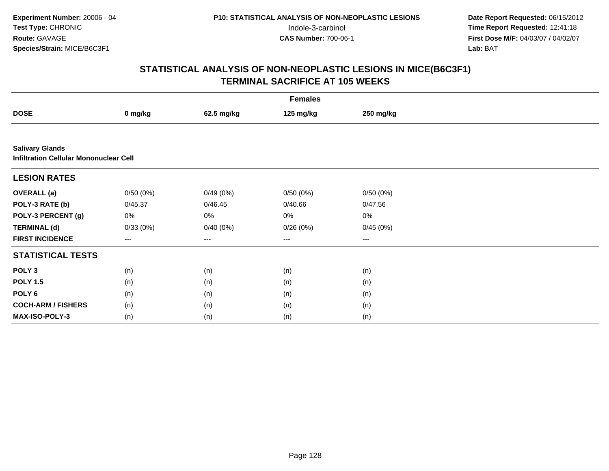|                                                                         | <b>Females</b> |            |           |           |  |  |  |  |
|-------------------------------------------------------------------------|----------------|------------|-----------|-----------|--|--|--|--|
| <b>DOSE</b>                                                             | 0 mg/kg        | 62.5 mg/kg | 125 mg/kg | 250 mg/kg |  |  |  |  |
|                                                                         |                |            |           |           |  |  |  |  |
| <b>Salivary Glands</b><br><b>Infiltration Cellular Mononuclear Cell</b> |                |            |           |           |  |  |  |  |
| <b>LESION RATES</b>                                                     |                |            |           |           |  |  |  |  |
| <b>OVERALL (a)</b>                                                      | 0/50(0%)       | 0/49(0%)   | 0/50(0%)  | 0/50(0%)  |  |  |  |  |
| POLY-3 RATE (b)                                                         | 0/45.37        | 0/46.45    | 0/40.66   | 0/47.56   |  |  |  |  |
| POLY-3 PERCENT (g)                                                      | 0%             | 0%         | 0%        | 0%        |  |  |  |  |
| <b>TERMINAL (d)</b>                                                     | 0/33(0%)       | 0/40(0%)   | 0/26(0%)  | 0/45(0%)  |  |  |  |  |
| <b>FIRST INCIDENCE</b>                                                  | ---            | ---        | ---       | ---       |  |  |  |  |
| <b>STATISTICAL TESTS</b>                                                |                |            |           |           |  |  |  |  |
| POLY <sub>3</sub>                                                       | (n)            | (n)        | (n)       | (n)       |  |  |  |  |
| <b>POLY 1.5</b>                                                         | (n)            | (n)        | (n)       | (n)       |  |  |  |  |
| POLY 6                                                                  | (n)            | (n)        | (n)       | (n)       |  |  |  |  |
| <b>COCH-ARM / FISHERS</b>                                               | (n)            | (n)        | (n)       | (n)       |  |  |  |  |
| MAX-ISO-POLY-3                                                          | (n)            | (n)        | (n)       | (n)       |  |  |  |  |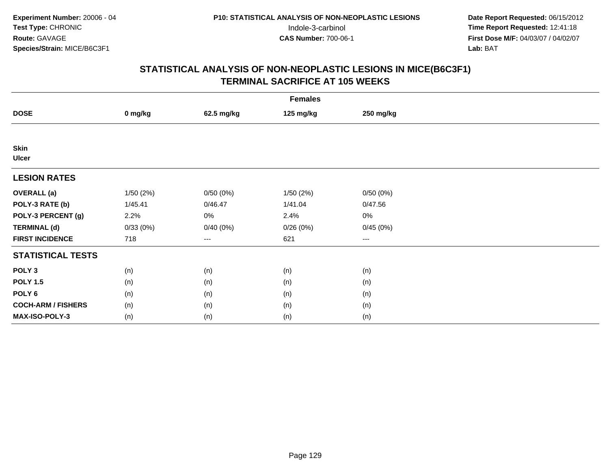| <b>Females</b>              |          |                   |           |           |  |  |  |
|-----------------------------|----------|-------------------|-----------|-----------|--|--|--|
| <b>DOSE</b>                 | 0 mg/kg  | 62.5 mg/kg        | 125 mg/kg | 250 mg/kg |  |  |  |
|                             |          |                   |           |           |  |  |  |
| <b>Skin</b><br><b>Ulcer</b> |          |                   |           |           |  |  |  |
| <b>LESION RATES</b>         |          |                   |           |           |  |  |  |
| <b>OVERALL (a)</b>          | 1/50(2%) | 0/50(0%)          | 1/50(2%)  | 0/50(0%)  |  |  |  |
| POLY-3 RATE (b)             | 1/45.41  | 0/46.47           | 1/41.04   | 0/47.56   |  |  |  |
| POLY-3 PERCENT (g)          | 2.2%     | 0%                | 2.4%      | 0%        |  |  |  |
| <b>TERMINAL (d)</b>         | 0/33(0%) | 0/40(0%)          | 0/26(0%)  | 0/45(0%)  |  |  |  |
| <b>FIRST INCIDENCE</b>      | 718      | $\qquad \qquad -$ | 621       | $\cdots$  |  |  |  |
| <b>STATISTICAL TESTS</b>    |          |                   |           |           |  |  |  |
| POLY <sub>3</sub>           | (n)      | (n)               | (n)       | (n)       |  |  |  |
| <b>POLY 1.5</b>             | (n)      | (n)               | (n)       | (n)       |  |  |  |
| POLY <sub>6</sub>           | (n)      | (n)               | (n)       | (n)       |  |  |  |
| <b>COCH-ARM / FISHERS</b>   | (n)      | (n)               | (n)       | (n)       |  |  |  |
| MAX-ISO-POLY-3              | (n)      | (n)               | (n)       | (n)       |  |  |  |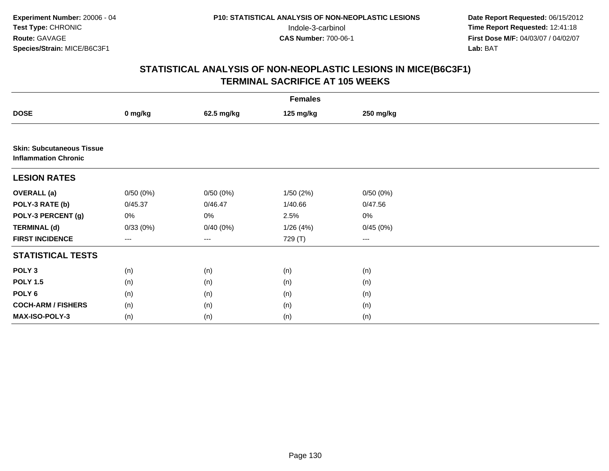|                                                                 | <b>Females</b> |            |           |           |  |  |  |  |
|-----------------------------------------------------------------|----------------|------------|-----------|-----------|--|--|--|--|
| <b>DOSE</b>                                                     | 0 mg/kg        | 62.5 mg/kg | 125 mg/kg | 250 mg/kg |  |  |  |  |
|                                                                 |                |            |           |           |  |  |  |  |
| <b>Skin: Subcutaneous Tissue</b><br><b>Inflammation Chronic</b> |                |            |           |           |  |  |  |  |
| <b>LESION RATES</b>                                             |                |            |           |           |  |  |  |  |
| <b>OVERALL</b> (a)                                              | 0/50(0%)       | 0/50(0%)   | 1/50(2%)  | 0/50(0%)  |  |  |  |  |
| POLY-3 RATE (b)                                                 | 0/45.37        | 0/46.47    | 1/40.66   | 0/47.56   |  |  |  |  |
| POLY-3 PERCENT (g)                                              | 0%             | 0%         | 2.5%      | 0%        |  |  |  |  |
| <b>TERMINAL (d)</b>                                             | 0/33(0%)       | 0/40(0%)   | 1/26(4%)  | 0/45(0%)  |  |  |  |  |
| <b>FIRST INCIDENCE</b>                                          | $---$          | $--$       | 729 (T)   | ---       |  |  |  |  |
| <b>STATISTICAL TESTS</b>                                        |                |            |           |           |  |  |  |  |
| POLY <sub>3</sub>                                               | (n)            | (n)        | (n)       | (n)       |  |  |  |  |
| <b>POLY 1.5</b>                                                 | (n)            | (n)        | (n)       | (n)       |  |  |  |  |
| POLY <sub>6</sub>                                               | (n)            | (n)        | (n)       | (n)       |  |  |  |  |
| <b>COCH-ARM / FISHERS</b>                                       | (n)            | (n)        | (n)       | (n)       |  |  |  |  |
| MAX-ISO-POLY-3                                                  | (n)            | (n)        | (n)       | (n)       |  |  |  |  |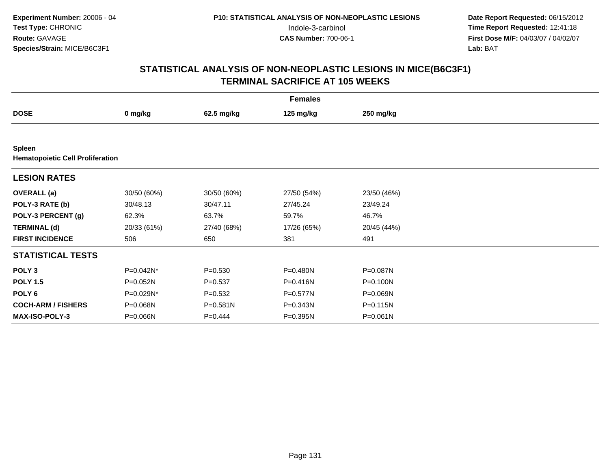|                                                          |             |             | <b>Females</b> |             |  |
|----------------------------------------------------------|-------------|-------------|----------------|-------------|--|
| <b>DOSE</b>                                              | 0 mg/kg     | 62.5 mg/kg  | 125 mg/kg      | 250 mg/kg   |  |
|                                                          |             |             |                |             |  |
| <b>Spleen</b><br><b>Hematopoietic Cell Proliferation</b> |             |             |                |             |  |
| <b>LESION RATES</b>                                      |             |             |                |             |  |
| <b>OVERALL</b> (a)                                       | 30/50 (60%) | 30/50 (60%) | 27/50 (54%)    | 23/50 (46%) |  |
| POLY-3 RATE (b)                                          | 30/48.13    | 30/47.11    | 27/45.24       | 23/49.24    |  |
| POLY-3 PERCENT (g)                                       | 62.3%       | 63.7%       | 59.7%          | 46.7%       |  |
| <b>TERMINAL (d)</b>                                      | 20/33 (61%) | 27/40 (68%) | 17/26 (65%)    | 20/45 (44%) |  |
| <b>FIRST INCIDENCE</b>                                   | 506         | 650         | 381            | 491         |  |
| <b>STATISTICAL TESTS</b>                                 |             |             |                |             |  |
| POLY <sub>3</sub>                                        | P=0.042N*   | $P = 0.530$ | P=0.480N       | P=0.087N    |  |
| <b>POLY 1.5</b>                                          | P=0.052N    | $P = 0.537$ | P=0.416N       | P=0.100N    |  |
| POLY 6                                                   | P=0.029N*   | $P = 0.532$ | P=0.577N       | P=0.069N    |  |
| <b>COCH-ARM / FISHERS</b>                                | P=0.068N    | P=0.581N    | P=0.343N       | P=0.115N    |  |
| <b>MAX-ISO-POLY-3</b>                                    | P=0.066N    | $P=0.444$   | P=0.395N       | P=0.061N    |  |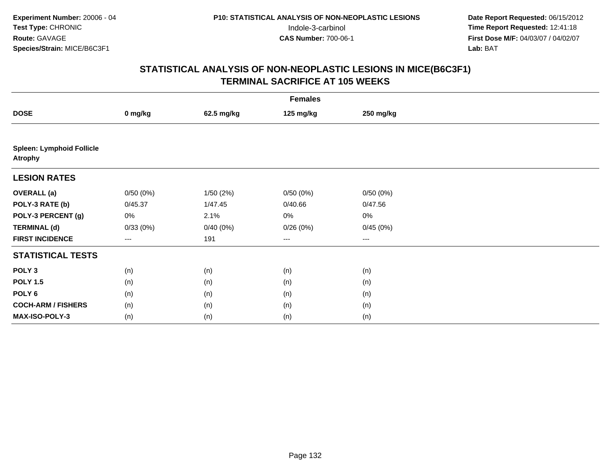|                                                    | <b>Females</b> |            |                        |                        |  |  |  |  |
|----------------------------------------------------|----------------|------------|------------------------|------------------------|--|--|--|--|
| <b>DOSE</b>                                        | 0 mg/kg        | 62.5 mg/kg | 125 mg/kg              | 250 mg/kg              |  |  |  |  |
|                                                    |                |            |                        |                        |  |  |  |  |
| <b>Spleen: Lymphoid Follicle</b><br><b>Atrophy</b> |                |            |                        |                        |  |  |  |  |
| <b>LESION RATES</b>                                |                |            |                        |                        |  |  |  |  |
| <b>OVERALL</b> (a)                                 | 0/50(0%)       | 1/50(2%)   | 0/50(0%)               | 0/50(0%)               |  |  |  |  |
| POLY-3 RATE (b)                                    | 0/45.37        | 1/47.45    | 0/40.66                | 0/47.56                |  |  |  |  |
| POLY-3 PERCENT (g)                                 | 0%             | 2.1%       | 0%                     | $0\%$                  |  |  |  |  |
| <b>TERMINAL (d)</b>                                | 0/33(0%)       | 0/40(0%)   | 0/26(0%)               | 0/45(0%)               |  |  |  |  |
| <b>FIRST INCIDENCE</b>                             | $---$          | 191        | $\qquad \qquad \cdots$ | $\qquad \qquad \cdots$ |  |  |  |  |
| <b>STATISTICAL TESTS</b>                           |                |            |                        |                        |  |  |  |  |
| POLY <sub>3</sub>                                  | (n)            | (n)        | (n)                    | (n)                    |  |  |  |  |
| <b>POLY 1.5</b>                                    | (n)            | (n)        | (n)                    | (n)                    |  |  |  |  |
| POLY <sub>6</sub>                                  | (n)            | (n)        | (n)                    | (n)                    |  |  |  |  |
| <b>COCH-ARM / FISHERS</b>                          | (n)            | (n)        | (n)                    | (n)                    |  |  |  |  |
| MAX-ISO-POLY-3                                     | (n)            | (n)        | (n)                    | (n)                    |  |  |  |  |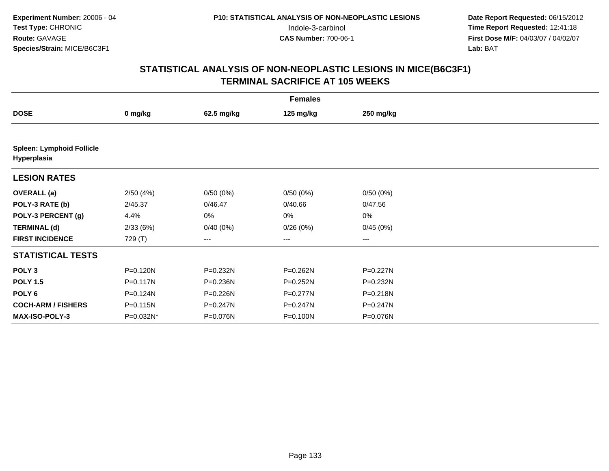|                                                 | <b>Females</b> |            |              |           |  |  |  |  |
|-------------------------------------------------|----------------|------------|--------------|-----------|--|--|--|--|
| <b>DOSE</b>                                     | 0 mg/kg        | 62.5 mg/kg | 125 mg/kg    | 250 mg/kg |  |  |  |  |
|                                                 |                |            |              |           |  |  |  |  |
| <b>Spleen: Lymphoid Follicle</b><br>Hyperplasia |                |            |              |           |  |  |  |  |
| <b>LESION RATES</b>                             |                |            |              |           |  |  |  |  |
| <b>OVERALL</b> (a)                              | 2/50(4%)       | 0/50(0%)   | 0/50(0%)     | 0/50(0%)  |  |  |  |  |
| POLY-3 RATE (b)                                 | 2/45.37        | 0/46.47    | 0/40.66      | 0/47.56   |  |  |  |  |
| POLY-3 PERCENT (g)                              | 4.4%           | 0%         | 0%           | 0%        |  |  |  |  |
| <b>TERMINAL (d)</b>                             | 2/33(6%)       | 0/40(0%)   | 0/26(0%)     | 0/45(0%)  |  |  |  |  |
| <b>FIRST INCIDENCE</b>                          | 729 (T)        | ---        | ---          | ---       |  |  |  |  |
| <b>STATISTICAL TESTS</b>                        |                |            |              |           |  |  |  |  |
| POLY <sub>3</sub>                               | P=0.120N       | P=0.232N   | P=0.262N     | P=0.227N  |  |  |  |  |
| <b>POLY 1.5</b>                                 | P=0.117N       | P=0.236N   | P=0.252N     | P=0.232N  |  |  |  |  |
| POLY <sub>6</sub>                               | P=0.124N       | P=0.226N   | $P = 0.277N$ | P=0.218N  |  |  |  |  |
| <b>COCH-ARM / FISHERS</b>                       | P=0.115N       | P=0.247N   | P=0.247N     | P=0.247N  |  |  |  |  |
| <b>MAX-ISO-POLY-3</b>                           | P=0.032N*      | P=0.076N   | P=0.100N     | P=0.076N  |  |  |  |  |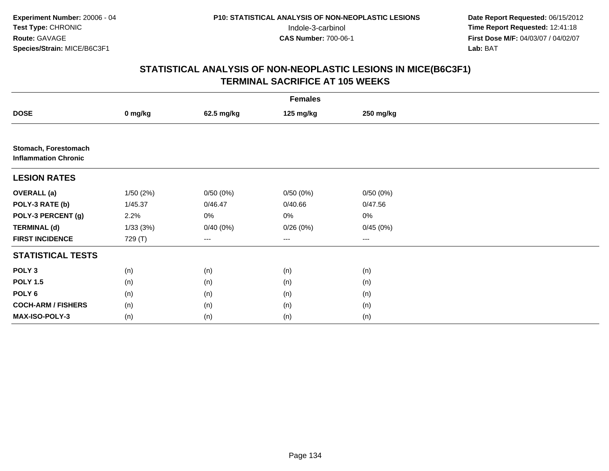|                                                     |          |            | <b>Females</b> |           |  |
|-----------------------------------------------------|----------|------------|----------------|-----------|--|
| <b>DOSE</b>                                         | 0 mg/kg  | 62.5 mg/kg | 125 mg/kg      | 250 mg/kg |  |
|                                                     |          |            |                |           |  |
| Stomach, Forestomach<br><b>Inflammation Chronic</b> |          |            |                |           |  |
| <b>LESION RATES</b>                                 |          |            |                |           |  |
| <b>OVERALL (a)</b>                                  | 1/50(2%) | 0/50(0%)   | 0/50(0%)       | 0/50(0%)  |  |
| POLY-3 RATE (b)                                     | 1/45.37  | 0/46.47    | 0/40.66        | 0/47.56   |  |
| POLY-3 PERCENT (g)                                  | 2.2%     | 0%         | $0\%$          | $0\%$     |  |
| <b>TERMINAL (d)</b>                                 | 1/33(3%) | 0/40(0%)   | 0/26(0%)       | 0/45(0%)  |  |
| <b>FIRST INCIDENCE</b>                              | 729 (T)  | $\cdots$   | $\cdots$       | $\cdots$  |  |
| <b>STATISTICAL TESTS</b>                            |          |            |                |           |  |
| POLY <sub>3</sub>                                   | (n)      | (n)        | (n)            | (n)       |  |
| <b>POLY 1.5</b>                                     | (n)      | (n)        | (n)            | (n)       |  |
| POLY 6                                              | (n)      | (n)        | (n)            | (n)       |  |
| <b>COCH-ARM / FISHERS</b>                           | (n)      | (n)        | (n)            | (n)       |  |
| <b>MAX-ISO-POLY-3</b>                               | (n)      | (n)        | (n)            | (n)       |  |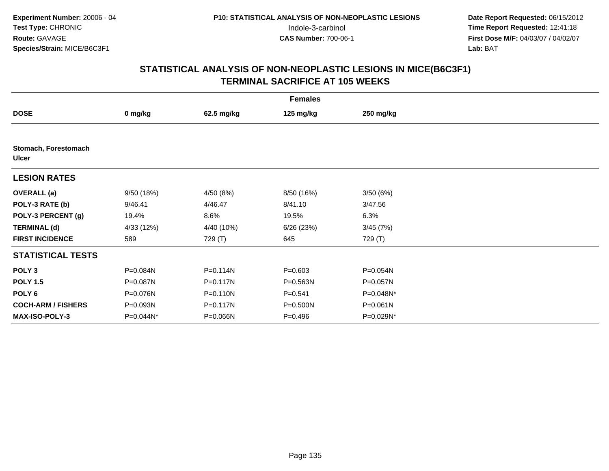|                                      | <b>Females</b> |            |             |           |  |  |  |  |
|--------------------------------------|----------------|------------|-------------|-----------|--|--|--|--|
| <b>DOSE</b>                          | 0 mg/kg        | 62.5 mg/kg | 125 mg/kg   | 250 mg/kg |  |  |  |  |
|                                      |                |            |             |           |  |  |  |  |
| Stomach, Forestomach<br><b>Ulcer</b> |                |            |             |           |  |  |  |  |
| <b>LESION RATES</b>                  |                |            |             |           |  |  |  |  |
| <b>OVERALL</b> (a)                   | 9/50(18%)      | 4/50 (8%)  | 8/50 (16%)  | 3/50(6%)  |  |  |  |  |
| POLY-3 RATE (b)                      | 9/46.41        | 4/46.47    | 8/41.10     | 3/47.56   |  |  |  |  |
| POLY-3 PERCENT (g)                   | 19.4%          | 8.6%       | 19.5%       | 6.3%      |  |  |  |  |
| <b>TERMINAL (d)</b>                  | 4/33 (12%)     | 4/40 (10%) | 6/26 (23%)  | 3/45(7%)  |  |  |  |  |
| <b>FIRST INCIDENCE</b>               | 589            | 729 (T)    | 645         | 729 (T)   |  |  |  |  |
| <b>STATISTICAL TESTS</b>             |                |            |             |           |  |  |  |  |
| POLY <sub>3</sub>                    | P=0.084N       | P=0.114N   | $P = 0.603$ | P=0.054N  |  |  |  |  |
| <b>POLY 1.5</b>                      | P=0.087N       | P=0.117N   | P=0.563N    | P=0.057N  |  |  |  |  |
| POLY <sub>6</sub>                    | P=0.076N       | P=0.110N   | $P = 0.541$ | P=0.048N* |  |  |  |  |
| <b>COCH-ARM / FISHERS</b>            | P=0.093N       | P=0.117N   | P=0.500N    | P=0.061N  |  |  |  |  |
| <b>MAX-ISO-POLY-3</b>                | P=0.044N*      | P=0.066N   | $P = 0.496$ | P=0.029N* |  |  |  |  |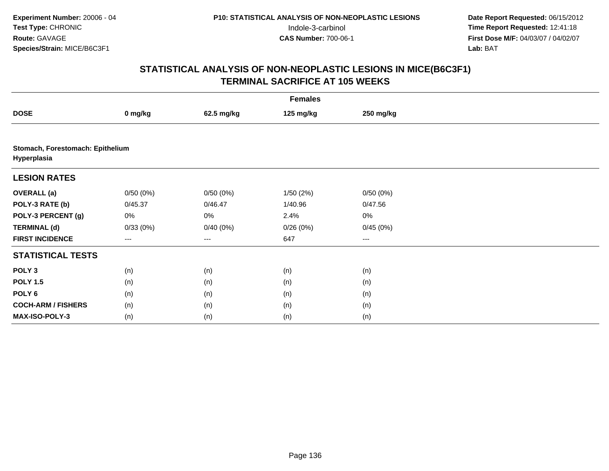|                                                 | <b>Females</b> |            |           |                        |  |  |  |  |
|-------------------------------------------------|----------------|------------|-----------|------------------------|--|--|--|--|
| <b>DOSE</b>                                     | 0 mg/kg        | 62.5 mg/kg | 125 mg/kg | 250 mg/kg              |  |  |  |  |
|                                                 |                |            |           |                        |  |  |  |  |
| Stomach, Forestomach: Epithelium<br>Hyperplasia |                |            |           |                        |  |  |  |  |
| <b>LESION RATES</b>                             |                |            |           |                        |  |  |  |  |
| <b>OVERALL</b> (a)                              | 0/50(0%)       | 0/50(0%)   | 1/50(2%)  | 0/50(0%)               |  |  |  |  |
| POLY-3 RATE (b)                                 | 0/45.37        | 0/46.47    | 1/40.96   | 0/47.56                |  |  |  |  |
| POLY-3 PERCENT (g)                              | 0%             | 0%         | 2.4%      | 0%                     |  |  |  |  |
| <b>TERMINAL (d)</b>                             | 0/33(0%)       | 0/40(0%)   | 0/26(0%)  | 0/45(0%)               |  |  |  |  |
| <b>FIRST INCIDENCE</b>                          | $---$          | ---        | 647       | $\qquad \qquad \cdots$ |  |  |  |  |
| <b>STATISTICAL TESTS</b>                        |                |            |           |                        |  |  |  |  |
| POLY <sub>3</sub>                               | (n)            | (n)        | (n)       | (n)                    |  |  |  |  |
| <b>POLY 1.5</b>                                 | (n)            | (n)        | (n)       | (n)                    |  |  |  |  |
| POLY 6                                          | (n)            | (n)        | (n)       | (n)                    |  |  |  |  |
| <b>COCH-ARM / FISHERS</b>                       | (n)            | (n)        | (n)       | (n)                    |  |  |  |  |
| MAX-ISO-POLY-3                                  | (n)            | (n)        | (n)       | (n)                    |  |  |  |  |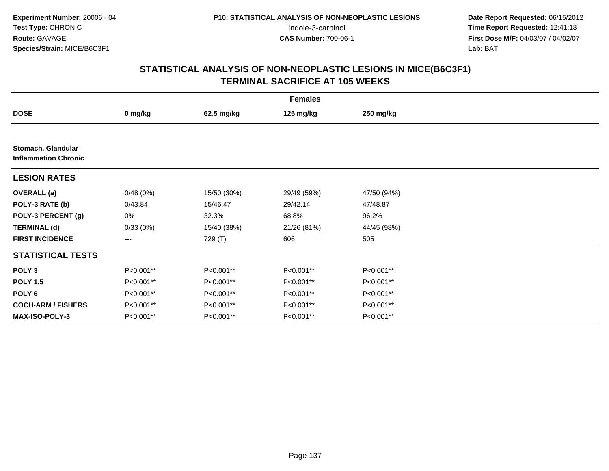|                                                   |           |             | <b>Females</b> |             |  |
|---------------------------------------------------|-----------|-------------|----------------|-------------|--|
| <b>DOSE</b>                                       | 0 mg/kg   | 62.5 mg/kg  | 125 mg/kg      | 250 mg/kg   |  |
|                                                   |           |             |                |             |  |
| Stomach, Glandular<br><b>Inflammation Chronic</b> |           |             |                |             |  |
| <b>LESION RATES</b>                               |           |             |                |             |  |
| <b>OVERALL</b> (a)                                | 0/48(0%)  | 15/50 (30%) | 29/49 (59%)    | 47/50 (94%) |  |
| POLY-3 RATE (b)                                   | 0/43.84   | 15/46.47    | 29/42.14       | 47/48.87    |  |
| POLY-3 PERCENT (g)                                | 0%        | 32.3%       | 68.8%          | 96.2%       |  |
| <b>TERMINAL (d)</b>                               | 0/33(0%)  | 15/40 (38%) | 21/26 (81%)    | 44/45 (98%) |  |
| <b>FIRST INCIDENCE</b>                            | ---       | 729 (T)     | 606            | 505         |  |
| <b>STATISTICAL TESTS</b>                          |           |             |                |             |  |
| POLY <sub>3</sub>                                 | P<0.001** | P<0.001**   | P<0.001**      | $P<0.001**$ |  |
| <b>POLY 1.5</b>                                   | P<0.001** | P<0.001**   | P<0.001**      | P<0.001**   |  |
| POLY 6                                            | P<0.001** | P<0.001**   | P<0.001**      | P<0.001**   |  |
| <b>COCH-ARM / FISHERS</b>                         | P<0.001** | P<0.001**   | P<0.001**      | P<0.001**   |  |
| MAX-ISO-POLY-3                                    | P<0.001** | P<0.001**   | P<0.001**      | P<0.001**   |  |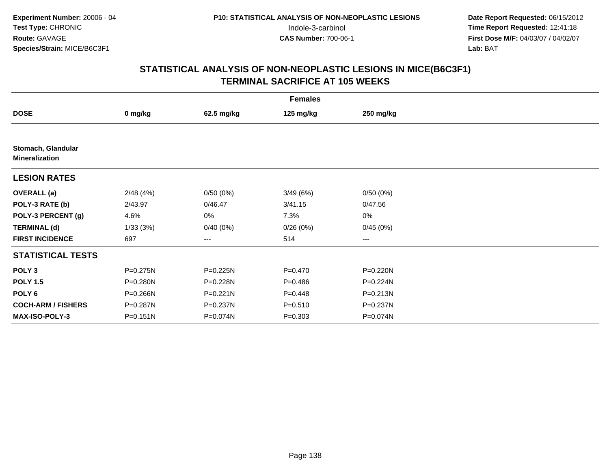|                                             | <b>Females</b> |              |             |           |  |  |  |  |
|---------------------------------------------|----------------|--------------|-------------|-----------|--|--|--|--|
| <b>DOSE</b>                                 | 0 mg/kg        | 62.5 mg/kg   | 125 mg/kg   | 250 mg/kg |  |  |  |  |
|                                             |                |              |             |           |  |  |  |  |
| Stomach, Glandular<br><b>Mineralization</b> |                |              |             |           |  |  |  |  |
| <b>LESION RATES</b>                         |                |              |             |           |  |  |  |  |
| <b>OVERALL</b> (a)                          | 2/48(4%)       | 0/50(0%)     | 3/49(6%)    | 0/50(0%)  |  |  |  |  |
| POLY-3 RATE (b)                             | 2/43.97        | 0/46.47      | 3/41.15     | 0/47.56   |  |  |  |  |
| POLY-3 PERCENT (g)                          | 4.6%           | 0%           | 7.3%        | 0%        |  |  |  |  |
| <b>TERMINAL (d)</b>                         | 1/33(3%)       | 0/40(0%)     | 0/26(0%)    | 0/45(0%)  |  |  |  |  |
| <b>FIRST INCIDENCE</b>                      | 697            | ---          | 514         | ---       |  |  |  |  |
| <b>STATISTICAL TESTS</b>                    |                |              |             |           |  |  |  |  |
| POLY <sub>3</sub>                           | P=0.275N       | P=0.225N     | $P = 0.470$ | P=0.220N  |  |  |  |  |
| <b>POLY 1.5</b>                             | P=0.280N       | P=0.228N     | $P = 0.486$ | P=0.224N  |  |  |  |  |
| POLY <sub>6</sub>                           | P=0.266N       | $P = 0.221N$ | $P=0.448$   | P=0.213N  |  |  |  |  |
| <b>COCH-ARM / FISHERS</b>                   | P=0.287N       | P=0.237N     | $P = 0.510$ | P=0.237N  |  |  |  |  |
| <b>MAX-ISO-POLY-3</b>                       | P=0.151N       | P=0.074N     | $P = 0.303$ | P=0.074N  |  |  |  |  |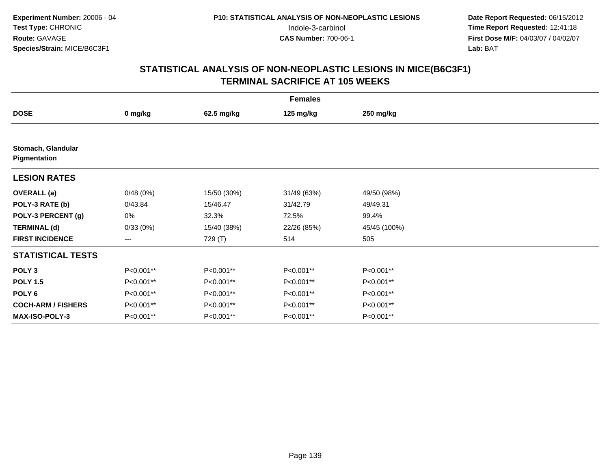|                                    | <b>Females</b> |             |             |              |  |  |  |
|------------------------------------|----------------|-------------|-------------|--------------|--|--|--|
| <b>DOSE</b>                        | 0 mg/kg        | 62.5 mg/kg  | 125 mg/kg   | 250 mg/kg    |  |  |  |
|                                    |                |             |             |              |  |  |  |
| Stomach, Glandular<br>Pigmentation |                |             |             |              |  |  |  |
| <b>LESION RATES</b>                |                |             |             |              |  |  |  |
| <b>OVERALL</b> (a)                 | 0/48(0%)       | 15/50 (30%) | 31/49 (63%) | 49/50 (98%)  |  |  |  |
| POLY-3 RATE (b)                    | 0/43.84        | 15/46.47    | 31/42.79    | 49/49.31     |  |  |  |
| POLY-3 PERCENT (g)                 | 0%             | 32.3%       | 72.5%       | 99.4%        |  |  |  |
| <b>TERMINAL (d)</b>                | 0/33(0%)       | 15/40 (38%) | 22/26 (85%) | 45/45 (100%) |  |  |  |
| <b>FIRST INCIDENCE</b>             | $---$          | 729 (T)     | 514         | 505          |  |  |  |
| <b>STATISTICAL TESTS</b>           |                |             |             |              |  |  |  |
| POLY <sub>3</sub>                  | P<0.001**      | P<0.001**   | P<0.001**   | P<0.001**    |  |  |  |
| <b>POLY 1.5</b>                    | P<0.001**      | P<0.001**   | P<0.001**   | P<0.001**    |  |  |  |
| POLY <sub>6</sub>                  | P<0.001**      | P<0.001**   | P<0.001**   | P<0.001**    |  |  |  |
| <b>COCH-ARM / FISHERS</b>          | P<0.001**      | P<0.001**   | P<0.001**   | P<0.001**    |  |  |  |
| <b>MAX-ISO-POLY-3</b>              | P<0.001**      | P<0.001**   | P<0.001**   | P<0.001**    |  |  |  |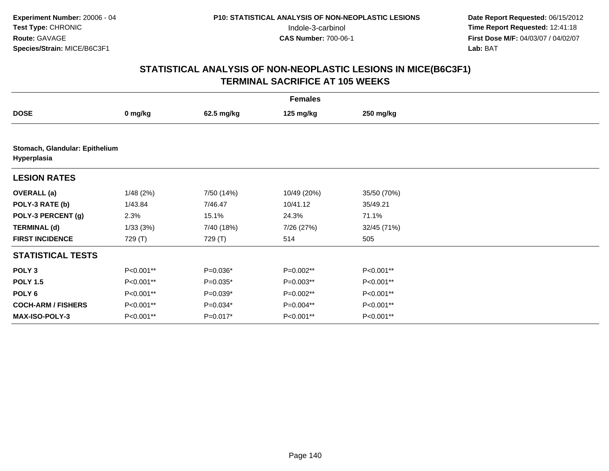|                                               | <b>Females</b> |            |             |             |  |  |  |
|-----------------------------------------------|----------------|------------|-------------|-------------|--|--|--|
| <b>DOSE</b>                                   | 0 mg/kg        | 62.5 mg/kg | 125 mg/kg   | 250 mg/kg   |  |  |  |
|                                               |                |            |             |             |  |  |  |
| Stomach, Glandular: Epithelium<br>Hyperplasia |                |            |             |             |  |  |  |
| <b>LESION RATES</b>                           |                |            |             |             |  |  |  |
| <b>OVERALL</b> (a)                            | 1/48(2%)       | 7/50 (14%) | 10/49 (20%) | 35/50 (70%) |  |  |  |
| POLY-3 RATE (b)                               | 1/43.84        | 7/46.47    | 10/41.12    | 35/49.21    |  |  |  |
| POLY-3 PERCENT (g)                            | 2.3%           | 15.1%      | 24.3%       | 71.1%       |  |  |  |
| <b>TERMINAL (d)</b>                           | 1/33(3%)       | 7/40 (18%) | 7/26 (27%)  | 32/45 (71%) |  |  |  |
| <b>FIRST INCIDENCE</b>                        | 729 (T)        | 729 (T)    | 514         | 505         |  |  |  |
| <b>STATISTICAL TESTS</b>                      |                |            |             |             |  |  |  |
| POLY <sub>3</sub>                             | P<0.001**      | $P=0.036*$ | P=0.002**   | P<0.001**   |  |  |  |
| <b>POLY 1.5</b>                               | P<0.001**      | $P=0.035*$ | $P=0.003**$ | P<0.001**   |  |  |  |
| POLY <sub>6</sub>                             | P<0.001**      | $P=0.039*$ | P=0.002**   | P<0.001**   |  |  |  |
| <b>COCH-ARM / FISHERS</b>                     | P<0.001**      | $P=0.034*$ | P=0.004**   | P<0.001**   |  |  |  |
| <b>MAX-ISO-POLY-3</b>                         | P<0.001**      | $P=0.017*$ | P<0.001**   | P<0.001**   |  |  |  |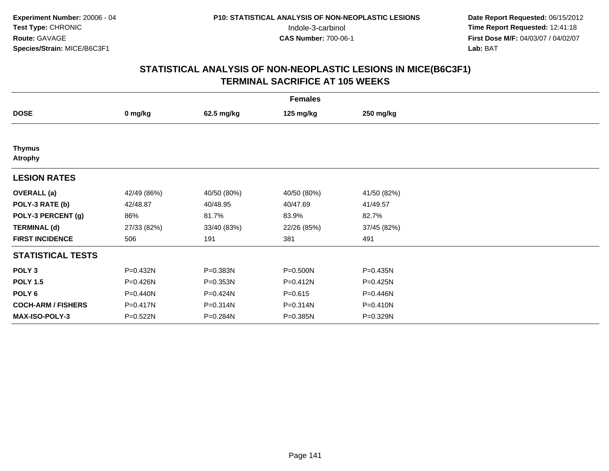|                                 | <b>Females</b> |              |             |              |  |  |  |  |
|---------------------------------|----------------|--------------|-------------|--------------|--|--|--|--|
| <b>DOSE</b>                     | 0 mg/kg        | 62.5 mg/kg   | 125 mg/kg   | 250 mg/kg    |  |  |  |  |
|                                 |                |              |             |              |  |  |  |  |
| <b>Thymus</b><br><b>Atrophy</b> |                |              |             |              |  |  |  |  |
| <b>LESION RATES</b>             |                |              |             |              |  |  |  |  |
| <b>OVERALL</b> (a)              | 42/49 (86%)    | 40/50 (80%)  | 40/50 (80%) | 41/50 (82%)  |  |  |  |  |
| POLY-3 RATE (b)                 | 42/48.87       | 40/48.95     | 40/47.69    | 41/49.57     |  |  |  |  |
| POLY-3 PERCENT (g)              | 86%            | 81.7%        | 83.9%       | 82.7%        |  |  |  |  |
| <b>TERMINAL (d)</b>             | 27/33 (82%)    | 33/40 (83%)  | 22/26 (85%) | 37/45 (82%)  |  |  |  |  |
| <b>FIRST INCIDENCE</b>          | 506            | 191          | 381         | 491          |  |  |  |  |
| <b>STATISTICAL TESTS</b>        |                |              |             |              |  |  |  |  |
| POLY <sub>3</sub>               | P=0.432N       | P=0.383N     | P=0.500N    | P=0.435N     |  |  |  |  |
| <b>POLY 1.5</b>                 | P=0.426N       | $P = 0.353N$ | P=0.412N    | $P = 0.425N$ |  |  |  |  |
| POLY 6                          | P=0.440N       | P=0.424N     | $P = 0.615$ | P=0.446N     |  |  |  |  |
| <b>COCH-ARM / FISHERS</b>       | P=0.417N       | P=0.314N     | P=0.314N    | $P = 0.410N$ |  |  |  |  |
| MAX-ISO-POLY-3                  | P=0.522N       | P=0.284N     | P=0.385N    | P=0.329N     |  |  |  |  |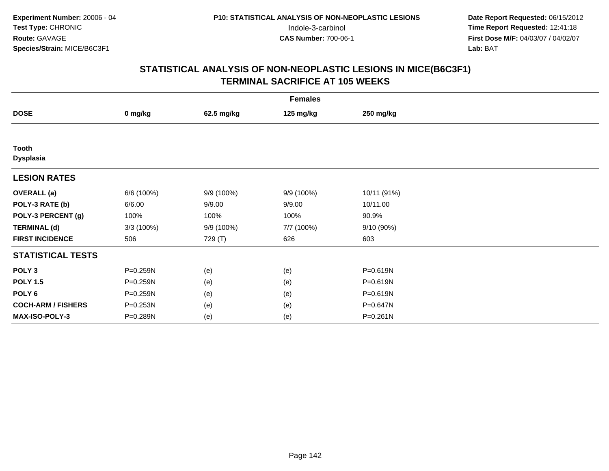|                           | <b>Females</b> |            |            |              |  |  |  |  |
|---------------------------|----------------|------------|------------|--------------|--|--|--|--|
| <b>DOSE</b>               | 0 mg/kg        | 62.5 mg/kg | 125 mg/kg  | 250 mg/kg    |  |  |  |  |
|                           |                |            |            |              |  |  |  |  |
| Tooth<br><b>Dysplasia</b> |                |            |            |              |  |  |  |  |
| <b>LESION RATES</b>       |                |            |            |              |  |  |  |  |
| <b>OVERALL</b> (a)        | 6/6 (100%)     | 9/9 (100%) | 9/9 (100%) | 10/11 (91%)  |  |  |  |  |
| POLY-3 RATE (b)           | 6/6.00         | 9/9.00     | 9/9.00     | 10/11.00     |  |  |  |  |
| POLY-3 PERCENT (g)        | 100%           | 100%       | 100%       | 90.9%        |  |  |  |  |
| <b>TERMINAL (d)</b>       | 3/3(100%)      | 9/9 (100%) | 7/7 (100%) | 9/10 (90%)   |  |  |  |  |
| <b>FIRST INCIDENCE</b>    | 506            | 729 (T)    | 626        | 603          |  |  |  |  |
| <b>STATISTICAL TESTS</b>  |                |            |            |              |  |  |  |  |
| POLY <sub>3</sub>         | P=0.259N       | (e)        | (e)        | P=0.619N     |  |  |  |  |
| <b>POLY 1.5</b>           | P=0.259N       | (e)        | (e)        | $P = 0.619N$ |  |  |  |  |
| POLY <sub>6</sub>         | P=0.259N       | (e)        | (e)        | P=0.619N     |  |  |  |  |
| <b>COCH-ARM / FISHERS</b> | P=0.253N       | (e)        | (e)        | P=0.647N     |  |  |  |  |
| MAX-ISO-POLY-3            | P=0.289N       | (e)        | (e)        | P=0.261N     |  |  |  |  |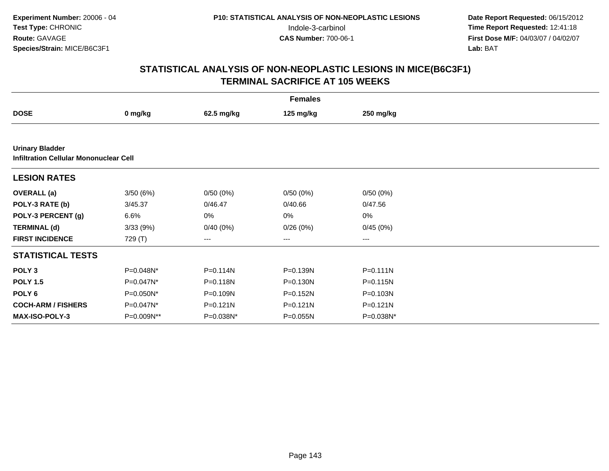|                                                                  |            |              | <b>Females</b> |              |  |
|------------------------------------------------------------------|------------|--------------|----------------|--------------|--|
| <b>DOSE</b>                                                      | 0 mg/kg    | 62.5 mg/kg   | 125 mg/kg      | 250 mg/kg    |  |
|                                                                  |            |              |                |              |  |
| <b>Urinary Bladder</b><br>Infiltration Cellular Mononuclear Cell |            |              |                |              |  |
| <b>LESION RATES</b>                                              |            |              |                |              |  |
| <b>OVERALL</b> (a)                                               | 3/50(6%)   | 0/50(0%)     | 0/50(0%)       | 0/50(0%)     |  |
| POLY-3 RATE (b)                                                  | 3/45.37    | 0/46.47      | 0/40.66        | 0/47.56      |  |
| POLY-3 PERCENT (g)                                               | 6.6%       | 0%           | 0%             | $0\%$        |  |
| <b>TERMINAL (d)</b>                                              | 3/33(9%)   | 0/40(0%)     | 0/26(0%)       | 0/45(0%)     |  |
| <b>FIRST INCIDENCE</b>                                           | 729 (T)    | ---          | $---$          | $---$        |  |
| <b>STATISTICAL TESTS</b>                                         |            |              |                |              |  |
| POLY <sub>3</sub>                                                | P=0.048N*  | P=0.114N     | P=0.139N       | $P = 0.111N$ |  |
| <b>POLY 1.5</b>                                                  | P=0.047N*  | P=0.118N     | P=0.130N       | P=0.115N     |  |
| POLY 6                                                           | P=0.050N*  | P=0.109N     | P=0.152N       | P=0.103N     |  |
| <b>COCH-ARM / FISHERS</b>                                        | P=0.047N*  | $P = 0.121N$ | $P = 0.121N$   | $P = 0.121N$ |  |
| <b>MAX-ISO-POLY-3</b>                                            | P=0.009N** | P=0.038N*    | $P = 0.055N$   | P=0.038N*    |  |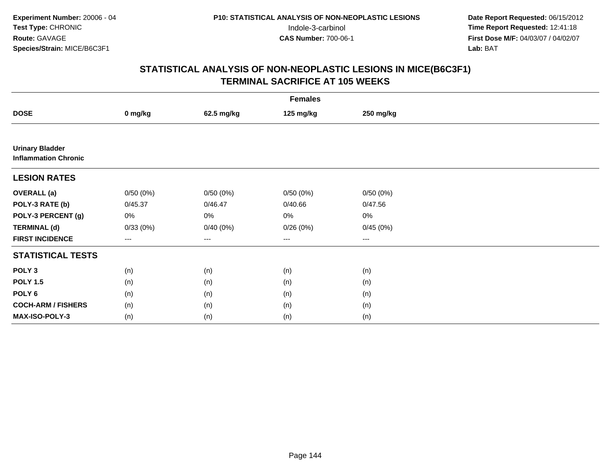|                                                       | <b>Females</b> |            |           |           |  |  |  |  |
|-------------------------------------------------------|----------------|------------|-----------|-----------|--|--|--|--|
| <b>DOSE</b>                                           | 0 mg/kg        | 62.5 mg/kg | 125 mg/kg | 250 mg/kg |  |  |  |  |
|                                                       |                |            |           |           |  |  |  |  |
| <b>Urinary Bladder</b><br><b>Inflammation Chronic</b> |                |            |           |           |  |  |  |  |
| <b>LESION RATES</b>                                   |                |            |           |           |  |  |  |  |
| <b>OVERALL</b> (a)                                    | 0/50(0%)       | 0/50(0%)   | 0/50(0%)  | 0/50(0%)  |  |  |  |  |
| POLY-3 RATE (b)                                       | 0/45.37        | 0/46.47    | 0/40.66   | 0/47.56   |  |  |  |  |
| POLY-3 PERCENT (g)                                    | 0%             | 0%         | 0%        | 0%        |  |  |  |  |
| <b>TERMINAL (d)</b>                                   | 0/33(0%)       | 0/40(0%)   | 0/26(0%)  | 0/45(0%)  |  |  |  |  |
| <b>FIRST INCIDENCE</b>                                | $---$          | ---        | $\cdots$  | $--$      |  |  |  |  |
| <b>STATISTICAL TESTS</b>                              |                |            |           |           |  |  |  |  |
| POLY <sub>3</sub>                                     | (n)            | (n)        | (n)       | (n)       |  |  |  |  |
| <b>POLY 1.5</b>                                       | (n)            | (n)        | (n)       | (n)       |  |  |  |  |
| POLY <sub>6</sub>                                     | (n)            | (n)        | (n)       | (n)       |  |  |  |  |
| <b>COCH-ARM / FISHERS</b>                             | (n)            | (n)        | (n)       | (n)       |  |  |  |  |
| MAX-ISO-POLY-3                                        | (n)            | (n)        | (n)       | (n)       |  |  |  |  |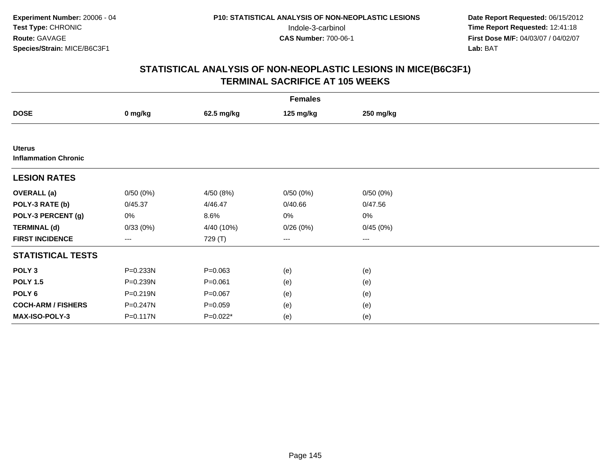**Date Report Requested:** 06/15/2012 Indole-3-carbinol **Time Report Requested:** 12:41:18 **First Dose M/F:** 04/03/07 / 04/02/07<br>Lab: BAT **Lab:** BAT

## **STATISTICAL ANALYSIS OF NON-NEOPLASTIC LESIONS IN MICE(B6C3F1)TERMINAL SACRIFICE AT 105 WEEKS**

| <b>Females</b>                               |                        |             |           |                        |  |  |
|----------------------------------------------|------------------------|-------------|-----------|------------------------|--|--|
| <b>DOSE</b>                                  | 0 mg/kg                | 62.5 mg/kg  | 125 mg/kg | 250 mg/kg              |  |  |
|                                              |                        |             |           |                        |  |  |
| <b>Uterus</b><br><b>Inflammation Chronic</b> |                        |             |           |                        |  |  |
| <b>LESION RATES</b>                          |                        |             |           |                        |  |  |
| <b>OVERALL</b> (a)                           | 0/50(0%)               | 4/50 (8%)   | 0/50(0%)  | 0/50(0%)               |  |  |
| POLY-3 RATE (b)                              | 0/45.37                | 4/46.47     | 0/40.66   | 0/47.56                |  |  |
| POLY-3 PERCENT (g)                           | 0%                     | 8.6%        | 0%        | 0%                     |  |  |
| <b>TERMINAL (d)</b>                          | 0/33(0%)               | 4/40 (10%)  | 0/26(0%)  | 0/45(0%)               |  |  |
| <b>FIRST INCIDENCE</b>                       | $\qquad \qquad \cdots$ | 729 (T)     | ---       | $\qquad \qquad \cdots$ |  |  |
| <b>STATISTICAL TESTS</b>                     |                        |             |           |                        |  |  |
| POLY <sub>3</sub>                            | P=0.233N               | $P = 0.063$ | (e)       | (e)                    |  |  |
| <b>POLY 1.5</b>                              | P=0.239N               | $P = 0.061$ | (e)       | (e)                    |  |  |
| POLY <sub>6</sub>                            | P=0.219N               | $P = 0.067$ | (e)       | (e)                    |  |  |
| <b>COCH-ARM / FISHERS</b>                    | P=0.247N               | $P = 0.059$ | (e)       | (e)                    |  |  |
| MAX-ISO-POLY-3                               | P=0.117N               | $P=0.022*$  | (e)       | (e)                    |  |  |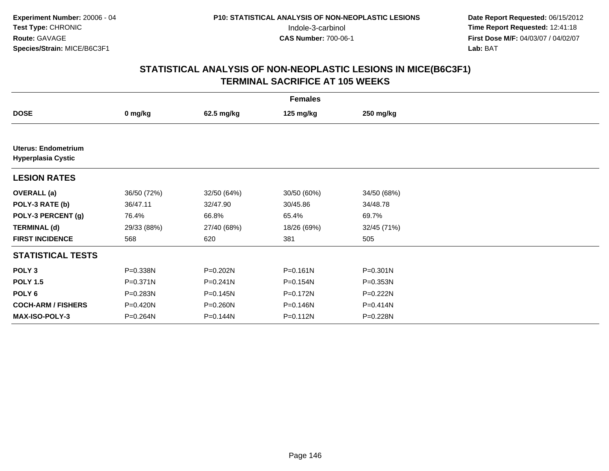**Date Report Requested:** 06/15/2012 Indole-3-carbinol **Time Report Requested:** 12:41:18 **First Dose M/F:** 04/03/07 / 04/02/07<br>Lab: BAT **Lab:** BAT

## **STATISTICAL ANALYSIS OF NON-NEOPLASTIC LESIONS IN MICE(B6C3F1)TERMINAL SACRIFICE AT 105 WEEKS**

| <b>Females</b>                                          |              |              |              |              |  |  |
|---------------------------------------------------------|--------------|--------------|--------------|--------------|--|--|
| <b>DOSE</b>                                             | 0 mg/kg      | 62.5 mg/kg   | 125 mg/kg    | 250 mg/kg    |  |  |
|                                                         |              |              |              |              |  |  |
| <b>Uterus: Endometrium</b><br><b>Hyperplasia Cystic</b> |              |              |              |              |  |  |
| <b>LESION RATES</b>                                     |              |              |              |              |  |  |
| <b>OVERALL</b> (a)                                      | 36/50 (72%)  | 32/50 (64%)  | 30/50 (60%)  | 34/50 (68%)  |  |  |
| POLY-3 RATE (b)                                         | 36/47.11     | 32/47.90     | 30/45.86     | 34/48.78     |  |  |
| POLY-3 PERCENT (g)                                      | 76.4%        | 66.8%        | 65.4%        | 69.7%        |  |  |
| <b>TERMINAL (d)</b>                                     | 29/33 (88%)  | 27/40 (68%)  | 18/26 (69%)  | 32/45 (71%)  |  |  |
| <b>FIRST INCIDENCE</b>                                  | 568          | 620          | 381          | 505          |  |  |
| <b>STATISTICAL TESTS</b>                                |              |              |              |              |  |  |
| POLY <sub>3</sub>                                       | P=0.338N     | P=0.202N     | $P = 0.161N$ | $P = 0.301N$ |  |  |
| <b>POLY 1.5</b>                                         | $P = 0.371N$ | $P = 0.241N$ | P=0.154N     | P=0.353N     |  |  |
| POLY 6                                                  | P=0.283N     | $P = 0.145N$ | P=0.172N     | P=0.222N     |  |  |
| <b>COCH-ARM / FISHERS</b>                               | P=0.420N     | P=0.260N     | P=0.146N     | P=0.414N     |  |  |
| <b>MAX-ISO-POLY-3</b>                                   | P=0.264N     | P=0.144N     | P=0.112N     | P=0.228N     |  |  |